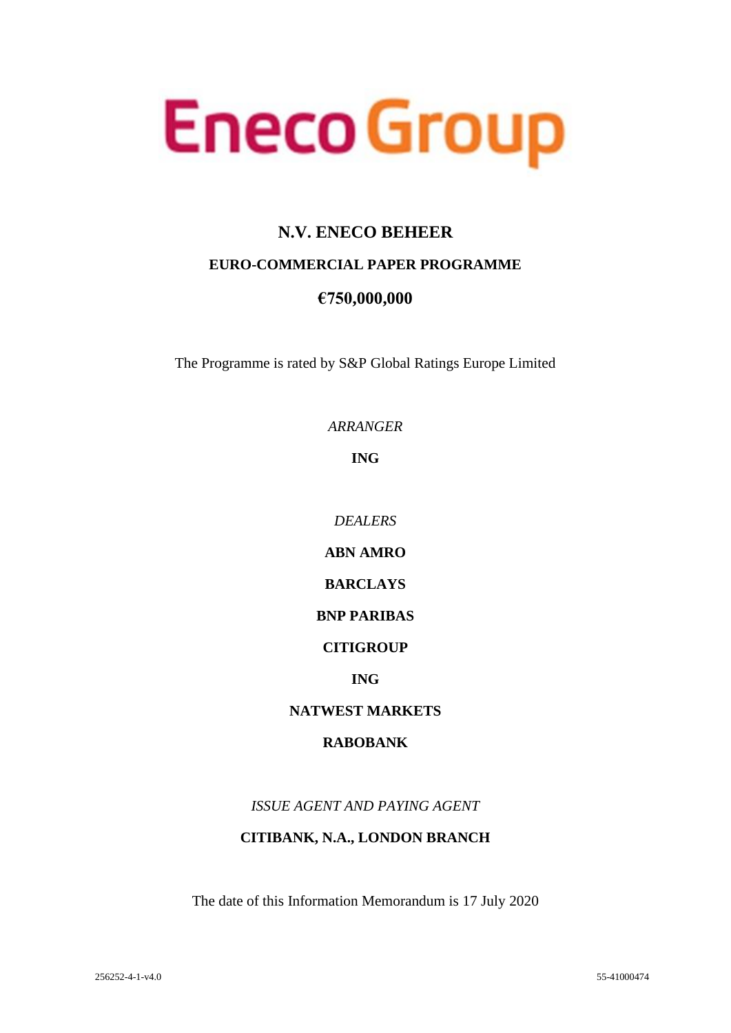

# **N.V. ENECO BEHEER**

# **EURO-COMMERCIAL PAPER PROGRAMME**

# **€750,000,000**

The Programme is rated by S&P Global Ratings Europe Limited

*ARRANGER*

**ING**

*DEALERS*

**ABN AMRO** 

**BARCLAYS**

# **BNP PARIBAS**

## **CITIGROUP**

## **ING**

## **NATWEST MARKETS**

## **RABOBANK**

*ISSUE AGENT AND PAYING AGENT*

## **CITIBANK, N.A., LONDON BRANCH**

The date of this Information Memorandum is 17 July 2020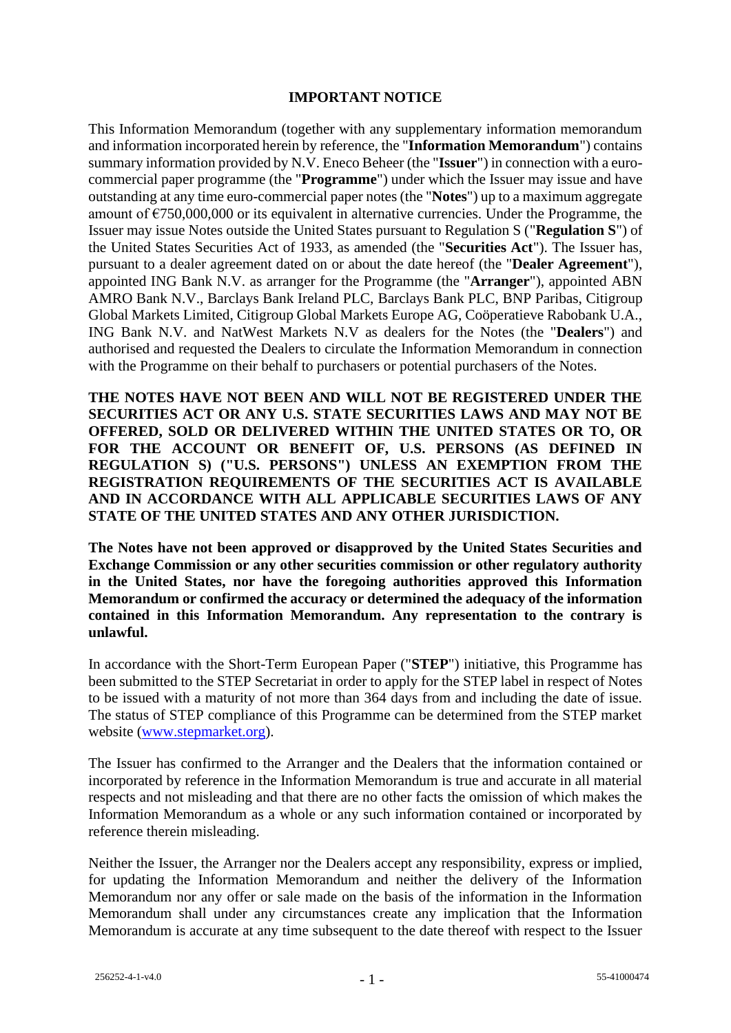## **IMPORTANT NOTICE**

This Information Memorandum (together with any supplementary information memorandum and information incorporated herein by reference, the "**Information Memorandum**") contains summary information provided by N.V. Eneco Beheer (the "**Issuer**") in connection with a eurocommercial paper programme (the "**Programme**") under which the Issuer may issue and have outstanding at any time euro-commercial paper notes (the "**Notes**") up to a maximum aggregate amount of  $\epsilon$ 750,000,000 or its equivalent in alternative currencies. Under the Programme, the Issuer may issue Notes outside the United States pursuant to Regulation S ("**Regulation S**") of the United States Securities Act of 1933, as amended (the "**Securities Act**"). The Issuer has, pursuant to a dealer agreement dated on or about the date hereof (the "**Dealer Agreement**"), appointed ING Bank N.V. as arranger for the Programme (the "**Arranger**"), appointed ABN AMRO Bank N.V., Barclays Bank Ireland PLC, Barclays Bank PLC, BNP Paribas, Citigroup Global Markets Limited, Citigroup Global Markets Europe AG, Coöperatieve Rabobank U.A., ING Bank N.V. and NatWest Markets N.V as dealers for the Notes (the "**Dealers**") and authorised and requested the Dealers to circulate the Information Memorandum in connection with the Programme on their behalf to purchasers or potential purchasers of the Notes.

**THE NOTES HAVE NOT BEEN AND WILL NOT BE REGISTERED UNDER THE SECURITIES ACT OR ANY U.S. STATE SECURITIES LAWS AND MAY NOT BE OFFERED, SOLD OR DELIVERED WITHIN THE UNITED STATES OR TO, OR FOR THE ACCOUNT OR BENEFIT OF, U.S. PERSONS (AS DEFINED IN REGULATION S) ("U.S. PERSONS") UNLESS AN EXEMPTION FROM THE REGISTRATION REQUIREMENTS OF THE SECURITIES ACT IS AVAILABLE AND IN ACCORDANCE WITH ALL APPLICABLE SECURITIES LAWS OF ANY STATE OF THE UNITED STATES AND ANY OTHER JURISDICTION.**

**The Notes have not been approved or disapproved by the United States Securities and Exchange Commission or any other securities commission or other regulatory authority in the United States, nor have the foregoing authorities approved this Information Memorandum or confirmed the accuracy or determined the adequacy of the information contained in this Information Memorandum. Any representation to the contrary is unlawful.**

In accordance with the Short-Term European Paper ("**STEP**") initiative, this Programme has been submitted to the STEP Secretariat in order to apply for the STEP label in respect of Notes to be issued with a maturity of not more than 364 days from and including the date of issue. The status of STEP compliance of this Programme can be determined from the STEP market website (www.stepmarket.org).

The Issuer has confirmed to the Arranger and the Dealers that the information contained or incorporated by reference in the Information Memorandum is true and accurate in all material respects and not misleading and that there are no other facts the omission of which makes the Information Memorandum as a whole or any such information contained or incorporated by reference therein misleading.

Neither the Issuer, the Arranger nor the Dealers accept any responsibility, express or implied, for updating the Information Memorandum and neither the delivery of the Information Memorandum nor any offer or sale made on the basis of the information in the Information Memorandum shall under any circumstances create any implication that the Information Memorandum is accurate at any time subsequent to the date thereof with respect to the Issuer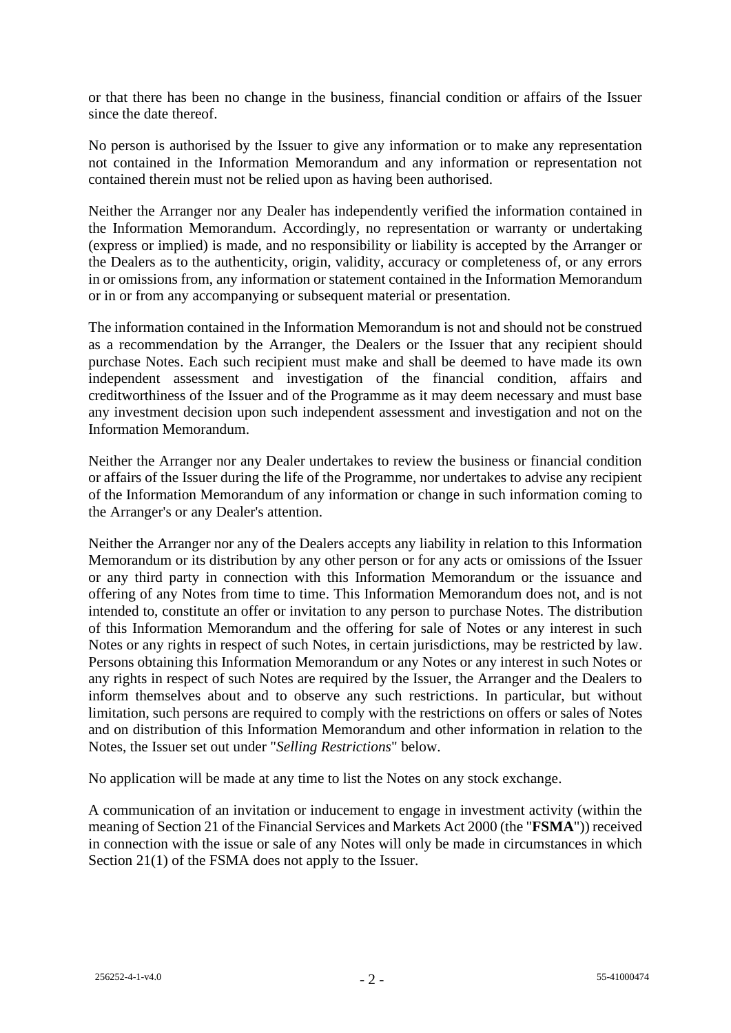or that there has been no change in the business, financial condition or affairs of the Issuer since the date thereof.

No person is authorised by the Issuer to give any information or to make any representation not contained in the Information Memorandum and any information or representation not contained therein must not be relied upon as having been authorised.

Neither the Arranger nor any Dealer has independently verified the information contained in the Information Memorandum. Accordingly, no representation or warranty or undertaking (express or implied) is made, and no responsibility or liability is accepted by the Arranger or the Dealers as to the authenticity, origin, validity, accuracy or completeness of, or any errors in or omissions from, any information or statement contained in the Information Memorandum or in or from any accompanying or subsequent material or presentation.

The information contained in the Information Memorandum is not and should not be construed as a recommendation by the Arranger, the Dealers or the Issuer that any recipient should purchase Notes. Each such recipient must make and shall be deemed to have made its own independent assessment and investigation of the financial condition, affairs and creditworthiness of the Issuer and of the Programme as it may deem necessary and must base any investment decision upon such independent assessment and investigation and not on the Information Memorandum.

Neither the Arranger nor any Dealer undertakes to review the business or financial condition or affairs of the Issuer during the life of the Programme, nor undertakes to advise any recipient of the Information Memorandum of any information or change in such information coming to the Arranger's or any Dealer's attention.

Neither the Arranger nor any of the Dealers accepts any liability in relation to this Information Memorandum or its distribution by any other person or for any acts or omissions of the Issuer or any third party in connection with this Information Memorandum or the issuance and offering of any Notes from time to time. This Information Memorandum does not, and is not intended to, constitute an offer or invitation to any person to purchase Notes. The distribution of this Information Memorandum and the offering for sale of Notes or any interest in such Notes or any rights in respect of such Notes, in certain jurisdictions, may be restricted by law. Persons obtaining this Information Memorandum or any Notes or any interest in such Notes or any rights in respect of such Notes are required by the Issuer, the Arranger and the Dealers to inform themselves about and to observe any such restrictions. In particular, but without limitation, such persons are required to comply with the restrictions on offers or sales of Notes and on distribution of this Information Memorandum and other information in relation to the Notes, the Issuer set out under "*Selling Restrictions*" below.

No application will be made at any time to list the Notes on any stock exchange.

A communication of an invitation or inducement to engage in investment activity (within the meaning of Section 21 of the Financial Services and Markets Act 2000 (the "**FSMA**")) received in connection with the issue or sale of any Notes will only be made in circumstances in which Section 21(1) of the FSMA does not apply to the Issuer.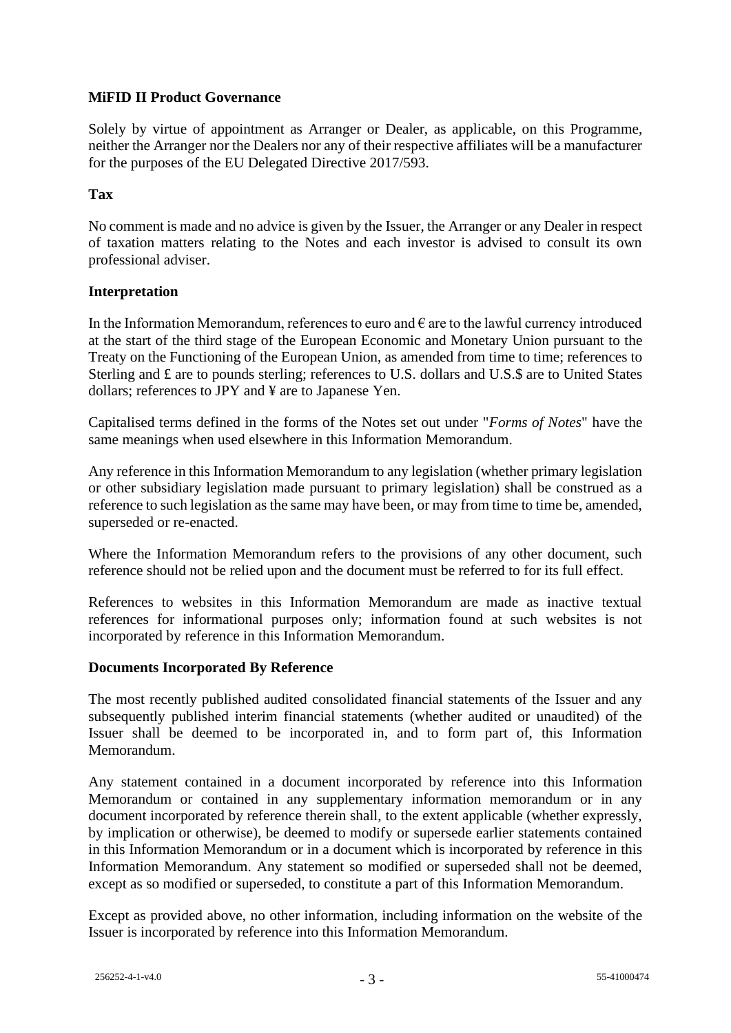# **MiFID II Product Governance**

Solely by virtue of appointment as Arranger or Dealer, as applicable, on this Programme, neither the Arranger nor the Dealers nor any of their respective affiliates will be a manufacturer for the purposes of the EU Delegated Directive 2017/593.

# **Tax**

No comment is made and no advice is given by the Issuer, the Arranger or any Dealer in respect of taxation matters relating to the Notes and each investor is advised to consult its own professional adviser.

## **Interpretation**

In the Information Memorandum, references to euro and  $\epsilon$  are to the lawful currency introduced at the start of the third stage of the European Economic and Monetary Union pursuant to the Treaty on the Functioning of the European Union, as amended from time to time; references to Sterling and £ are to pounds sterling; references to U.S. dollars and U.S.\$ are to United States dollars; references to JPY and ¥ are to Japanese Yen.

Capitalised terms defined in the forms of the Notes set out under "*Forms of Notes*" have the same meanings when used elsewhere in this Information Memorandum.

Any reference in this Information Memorandum to any legislation (whether primary legislation or other subsidiary legislation made pursuant to primary legislation) shall be construed as a reference to such legislation as the same may have been, or may from time to time be, amended, superseded or re-enacted.

Where the Information Memorandum refers to the provisions of any other document, such reference should not be relied upon and the document must be referred to for its full effect.

References to websites in this Information Memorandum are made as inactive textual references for informational purposes only; information found at such websites is not incorporated by reference in this Information Memorandum.

## **Documents Incorporated By Reference**

The most recently published audited consolidated financial statements of the Issuer and any subsequently published interim financial statements (whether audited or unaudited) of the Issuer shall be deemed to be incorporated in, and to form part of, this Information Memorandum.

Any statement contained in a document incorporated by reference into this Information Memorandum or contained in any supplementary information memorandum or in any document incorporated by reference therein shall, to the extent applicable (whether expressly, by implication or otherwise), be deemed to modify or supersede earlier statements contained in this Information Memorandum or in a document which is incorporated by reference in this Information Memorandum. Any statement so modified or superseded shall not be deemed, except as so modified or superseded, to constitute a part of this Information Memorandum.

Except as provided above, no other information, including information on the website of the Issuer is incorporated by reference into this Information Memorandum.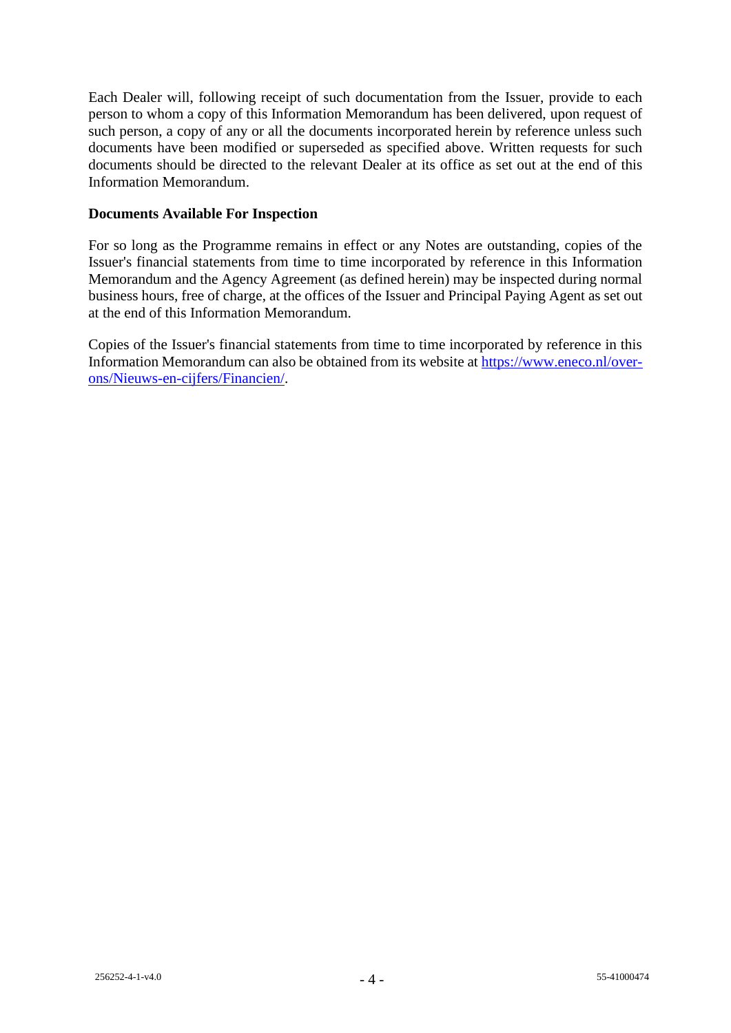Each Dealer will, following receipt of such documentation from the Issuer, provide to each person to whom a copy of this Information Memorandum has been delivered, upon request of such person, a copy of any or all the documents incorporated herein by reference unless such documents have been modified or superseded as specified above. Written requests for such documents should be directed to the relevant Dealer at its office as set out at the end of this Information Memorandum.

# **Documents Available For Inspection**

For so long as the Programme remains in effect or any Notes are outstanding, copies of the Issuer's financial statements from time to time incorporated by reference in this Information Memorandum and the Agency Agreement (as defined herein) may be inspected during normal business hours, free of charge, at the offices of the Issuer and Principal Paying Agent as set out at the end of this Information Memorandum.

Copies of the Issuer's financial statements from time to time incorporated by reference in this Information Memorandum can also be obtained from its website at [https://www.eneco.nl/over](https://www.eneco.nl/over-ons/Nieuws-en-cijfers/Financien/)[ons/Nieuws-en-cijfers/Financien/.](https://www.eneco.nl/over-ons/Nieuws-en-cijfers/Financien/)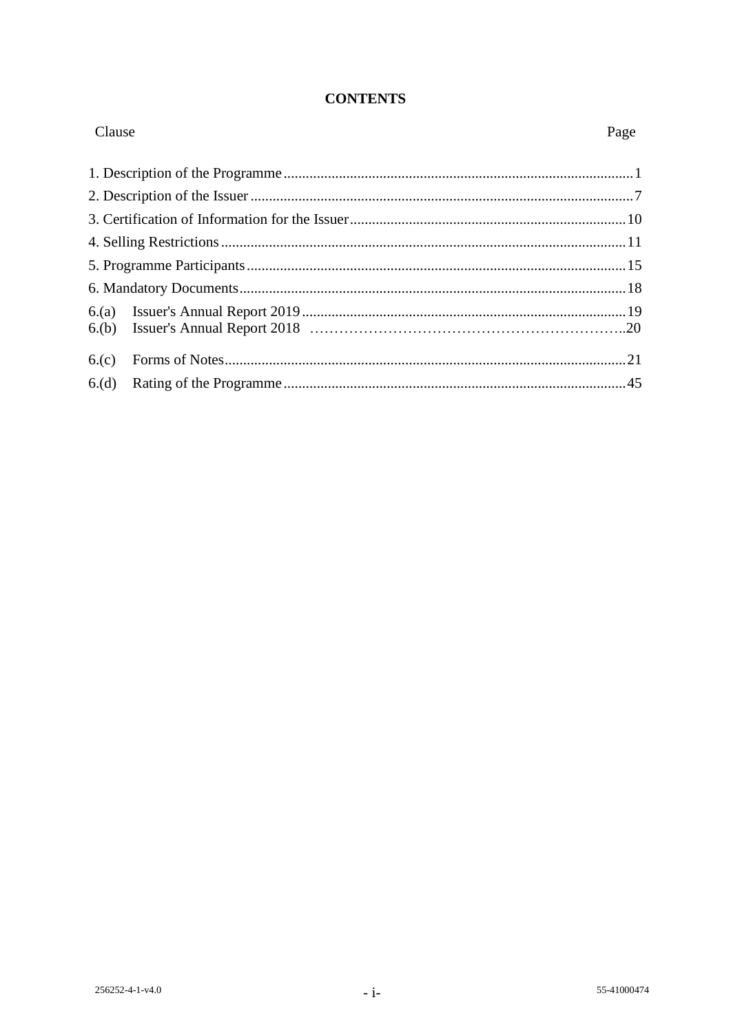# **CONTENTS**

| Clause | Page |
|--------|------|
|        |      |
|        |      |
|        |      |
|        |      |
|        |      |
|        |      |
|        |      |
|        |      |
| 6.(c)  |      |
| 6.(d)  |      |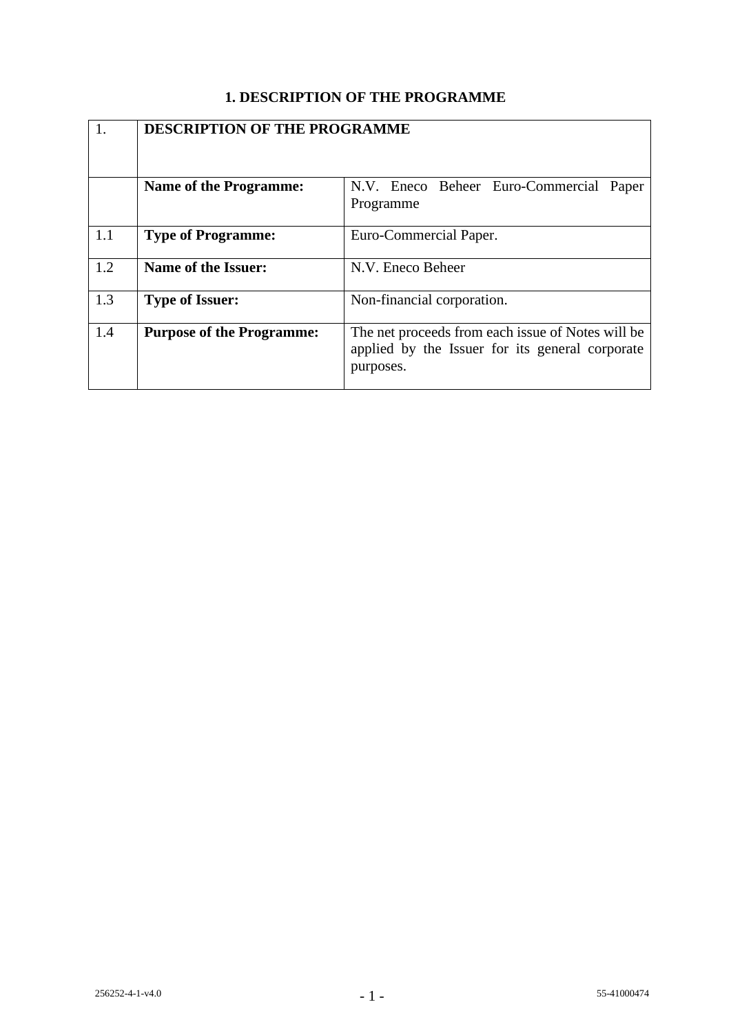# **1. DESCRIPTION OF THE PROGRAMME**

|     | <b>DESCRIPTION OF THE PROGRAMME</b> |                                                                                                                   |  |
|-----|-------------------------------------|-------------------------------------------------------------------------------------------------------------------|--|
|     | <b>Name of the Programme:</b>       | N.V. Eneco Beheer Euro-Commercial Paper<br>Programme                                                              |  |
| 1.1 | <b>Type of Programme:</b>           | Euro-Commercial Paper.                                                                                            |  |
| 1.2 | Name of the Issuer:                 | N.V. Eneco Beheer                                                                                                 |  |
| 1.3 | <b>Type of Issuer:</b>              | Non-financial corporation.                                                                                        |  |
| 1.4 | <b>Purpose of the Programme:</b>    | The net proceeds from each issue of Notes will be<br>applied by the Issuer for its general corporate<br>purposes. |  |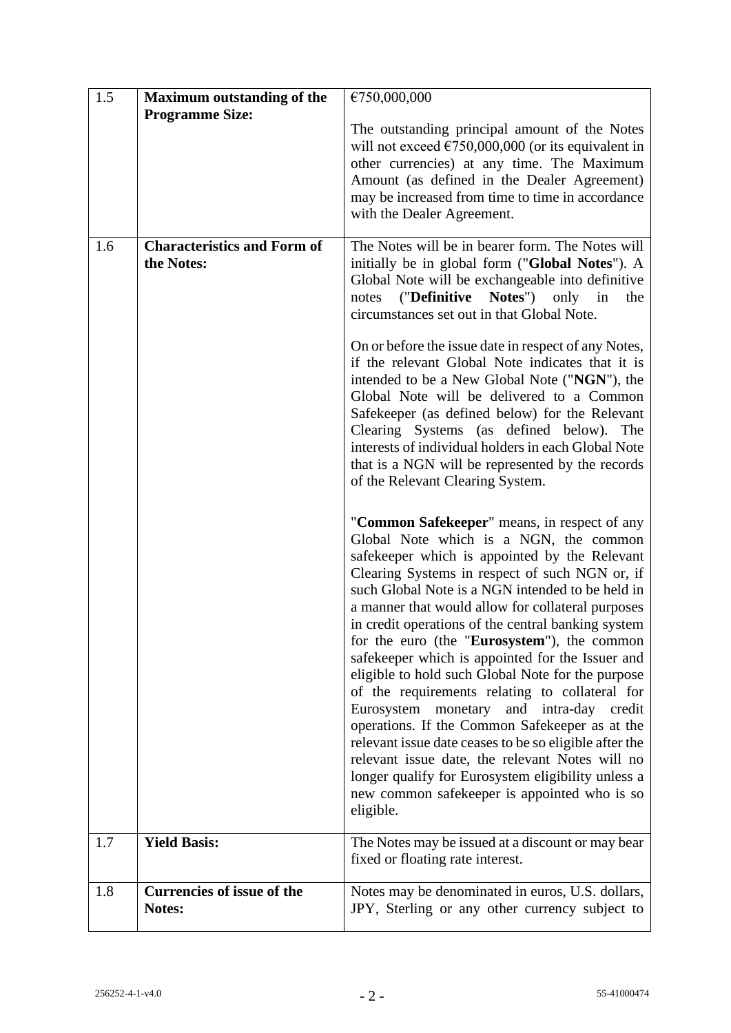| 1.5 | <b>Maximum outstanding of the</b>                | €750,000,000                                                                                                                                                                                                                                                                                                                                                                                                                                                                                                                                                                                                                                                                                                                                                                                                                                                                                                                                  |
|-----|--------------------------------------------------|-----------------------------------------------------------------------------------------------------------------------------------------------------------------------------------------------------------------------------------------------------------------------------------------------------------------------------------------------------------------------------------------------------------------------------------------------------------------------------------------------------------------------------------------------------------------------------------------------------------------------------------------------------------------------------------------------------------------------------------------------------------------------------------------------------------------------------------------------------------------------------------------------------------------------------------------------|
|     | <b>Programme Size:</b>                           | The outstanding principal amount of the Notes<br>will not exceed $\epsilon$ 750,000,000 (or its equivalent in<br>other currencies) at any time. The Maximum<br>Amount (as defined in the Dealer Agreement)<br>may be increased from time to time in accordance<br>with the Dealer Agreement.                                                                                                                                                                                                                                                                                                                                                                                                                                                                                                                                                                                                                                                  |
| 1.6 | <b>Characteristics and Form of</b><br>the Notes: | The Notes will be in bearer form. The Notes will<br>initially be in global form ("Global Notes"). A<br>Global Note will be exchangeable into definitive<br>("Definitive<br>Notes")<br>only<br>in<br>the<br>notes<br>circumstances set out in that Global Note.<br>On or before the issue date in respect of any Notes,<br>if the relevant Global Note indicates that it is<br>intended to be a New Global Note ("NGN"), the<br>Global Note will be delivered to a Common<br>Safekeeper (as defined below) for the Relevant<br>Clearing Systems (as defined below). The<br>interests of individual holders in each Global Note<br>that is a NGN will be represented by the records                                                                                                                                                                                                                                                             |
|     |                                                  | of the Relevant Clearing System.<br>"Common Safekeeper" means, in respect of any<br>Global Note which is a NGN, the common<br>safekeeper which is appointed by the Relevant<br>Clearing Systems in respect of such NGN or, if<br>such Global Note is a NGN intended to be held in<br>a manner that would allow for collateral purposes<br>in credit operations of the central banking system<br>for the euro (the "Eurosystem"), the common<br>safekeeper which is appointed for the Issuer and<br>eligible to hold such Global Note for the purpose<br>of the requirements relating to collateral for<br>Eurosystem monetary<br>and<br>intra-day<br>credit<br>operations. If the Common Safekeeper as at the<br>relevant issue date ceases to be so eligible after the<br>relevant issue date, the relevant Notes will no<br>longer qualify for Eurosystem eligibility unless a<br>new common safekeeper is appointed who is so<br>eligible. |
| 1.7 | <b>Yield Basis:</b>                              | The Notes may be issued at a discount or may bear<br>fixed or floating rate interest.                                                                                                                                                                                                                                                                                                                                                                                                                                                                                                                                                                                                                                                                                                                                                                                                                                                         |
| 1.8 | <b>Currencies of issue of the</b><br>Notes:      | Notes may be denominated in euros, U.S. dollars,<br>JPY, Sterling or any other currency subject to                                                                                                                                                                                                                                                                                                                                                                                                                                                                                                                                                                                                                                                                                                                                                                                                                                            |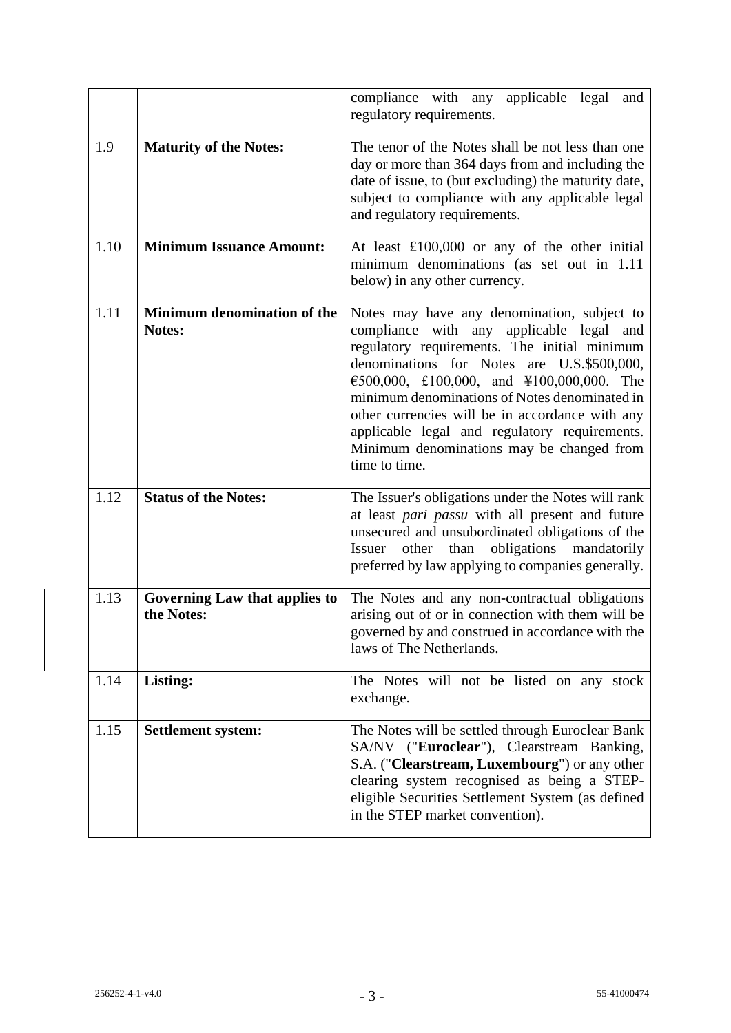|      |                                             | applicable legal<br>compliance with any<br>and<br>regulatory requirements.                                                                                                                                                                                                                                                                                                                                                                            |
|------|---------------------------------------------|-------------------------------------------------------------------------------------------------------------------------------------------------------------------------------------------------------------------------------------------------------------------------------------------------------------------------------------------------------------------------------------------------------------------------------------------------------|
| 1.9  | <b>Maturity of the Notes:</b>               | The tenor of the Notes shall be not less than one<br>day or more than 364 days from and including the<br>date of issue, to (but excluding) the maturity date,<br>subject to compliance with any applicable legal<br>and regulatory requirements.                                                                                                                                                                                                      |
| 1.10 | <b>Minimum Issuance Amount:</b>             | At least £100,000 or any of the other initial<br>minimum denominations (as set out in 1.11<br>below) in any other currency.                                                                                                                                                                                                                                                                                                                           |
| 1.11 | Minimum denomination of the<br>Notes:       | Notes may have any denomination, subject to<br>compliance with any applicable legal and<br>regulatory requirements. The initial minimum<br>denominations for Notes are U.S.\$500,000,<br>€500,000, £100,000, and ¥100,000,000. The<br>minimum denominations of Notes denominated in<br>other currencies will be in accordance with any<br>applicable legal and regulatory requirements.<br>Minimum denominations may be changed from<br>time to time. |
| 1.12 | <b>Status of the Notes:</b>                 | The Issuer's obligations under the Notes will rank<br>at least pari passu with all present and future<br>unsecured and unsubordinated obligations of the<br>other than obligations mandatorily<br>Issuer<br>preferred by law applying to companies generally.                                                                                                                                                                                         |
| 1.13 | Governing Law that applies to<br>the Notes: | The Notes and any non-contractual obligations<br>arising out of or in connection with them will be<br>governed by and construed in accordance with the<br>laws of The Netherlands.                                                                                                                                                                                                                                                                    |
| 1.14 | Listing:                                    | The Notes will not be listed on any stock<br>exchange.                                                                                                                                                                                                                                                                                                                                                                                                |
| 1.15 | <b>Settlement system:</b>                   | The Notes will be settled through Euroclear Bank<br>SA/NV ("Euroclear"), Clearstream Banking,<br>S.A. ("Clearstream, Luxembourg") or any other<br>clearing system recognised as being a STEP-<br>eligible Securities Settlement System (as defined<br>in the STEP market convention).                                                                                                                                                                 |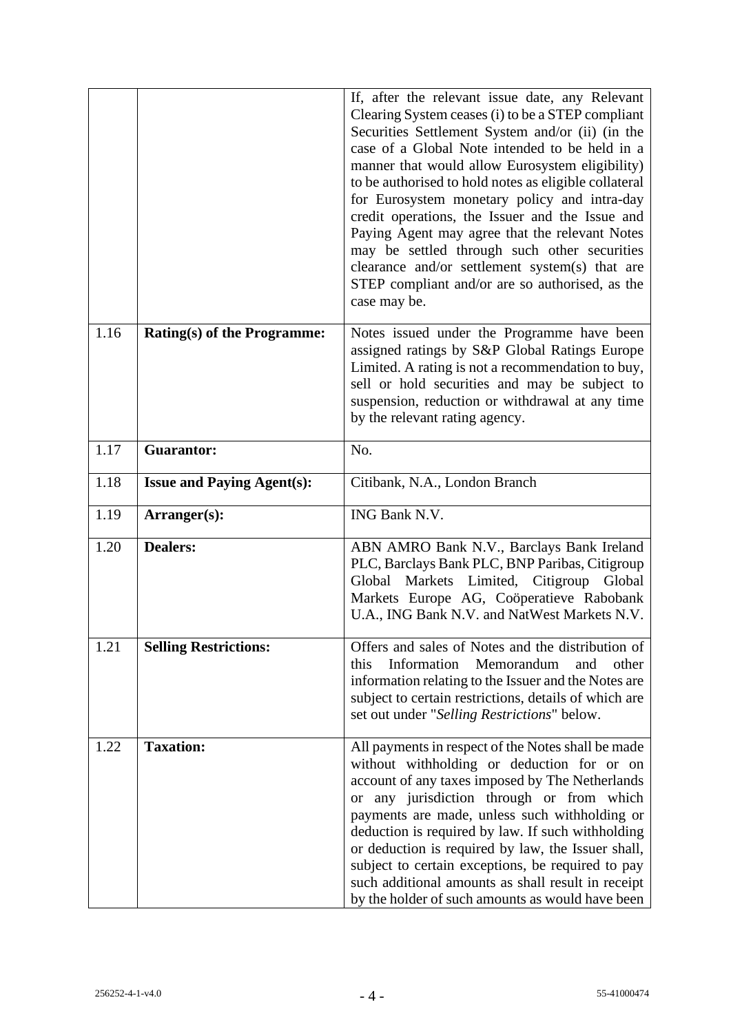|      |                                    | If, after the relevant issue date, any Relevant<br>Clearing System ceases (i) to be a STEP compliant<br>Securities Settlement System and/or (ii) (in the<br>case of a Global Note intended to be held in a<br>manner that would allow Eurosystem eligibility)<br>to be authorised to hold notes as eligible collateral<br>for Eurosystem monetary policy and intra-day<br>credit operations, the Issuer and the Issue and<br>Paying Agent may agree that the relevant Notes<br>may be settled through such other securities<br>clearance and/or settlement system(s) that are<br>STEP compliant and/or are so authorised, as the<br>case may be. |
|------|------------------------------------|--------------------------------------------------------------------------------------------------------------------------------------------------------------------------------------------------------------------------------------------------------------------------------------------------------------------------------------------------------------------------------------------------------------------------------------------------------------------------------------------------------------------------------------------------------------------------------------------------------------------------------------------------|
| 1.16 | <b>Rating(s) of the Programme:</b> | Notes issued under the Programme have been<br>assigned ratings by S&P Global Ratings Europe<br>Limited. A rating is not a recommendation to buy,<br>sell or hold securities and may be subject to<br>suspension, reduction or withdrawal at any time<br>by the relevant rating agency.                                                                                                                                                                                                                                                                                                                                                           |
| 1.17 | <b>Guarantor:</b>                  | No.                                                                                                                                                                                                                                                                                                                                                                                                                                                                                                                                                                                                                                              |
| 1.18 | <b>Issue and Paying Agent(s):</b>  | Citibank, N.A., London Branch                                                                                                                                                                                                                                                                                                                                                                                                                                                                                                                                                                                                                    |
| 1.19 | Arranger(s):                       | ING Bank N.V.                                                                                                                                                                                                                                                                                                                                                                                                                                                                                                                                                                                                                                    |
| 1.20 | <b>Dealers:</b>                    | ABN AMRO Bank N.V., Barclays Bank Ireland<br>PLC, Barclays Bank PLC, BNP Paribas, Citigroup<br>Global Markets Limited, Citigroup<br>Global<br>Markets Europe AG, Coöperatieve Rabobank<br>U.A., ING Bank N.V. and NatWest Markets N.V.                                                                                                                                                                                                                                                                                                                                                                                                           |
| 1.21 | <b>Selling Restrictions:</b>       | Offers and sales of Notes and the distribution of<br>Information<br>Memorandum<br>and<br>other<br>this<br>information relating to the Issuer and the Notes are<br>subject to certain restrictions, details of which are<br>set out under "Selling Restrictions" below.                                                                                                                                                                                                                                                                                                                                                                           |
| 1.22 | <b>Taxation:</b>                   | All payments in respect of the Notes shall be made<br>without withholding or deduction for or on<br>account of any taxes imposed by The Netherlands<br>or any jurisdiction through or from which<br>payments are made, unless such withholding or<br>deduction is required by law. If such withholding<br>or deduction is required by law, the Issuer shall,<br>subject to certain exceptions, be required to pay<br>such additional amounts as shall result in receipt<br>by the holder of such amounts as would have been                                                                                                                      |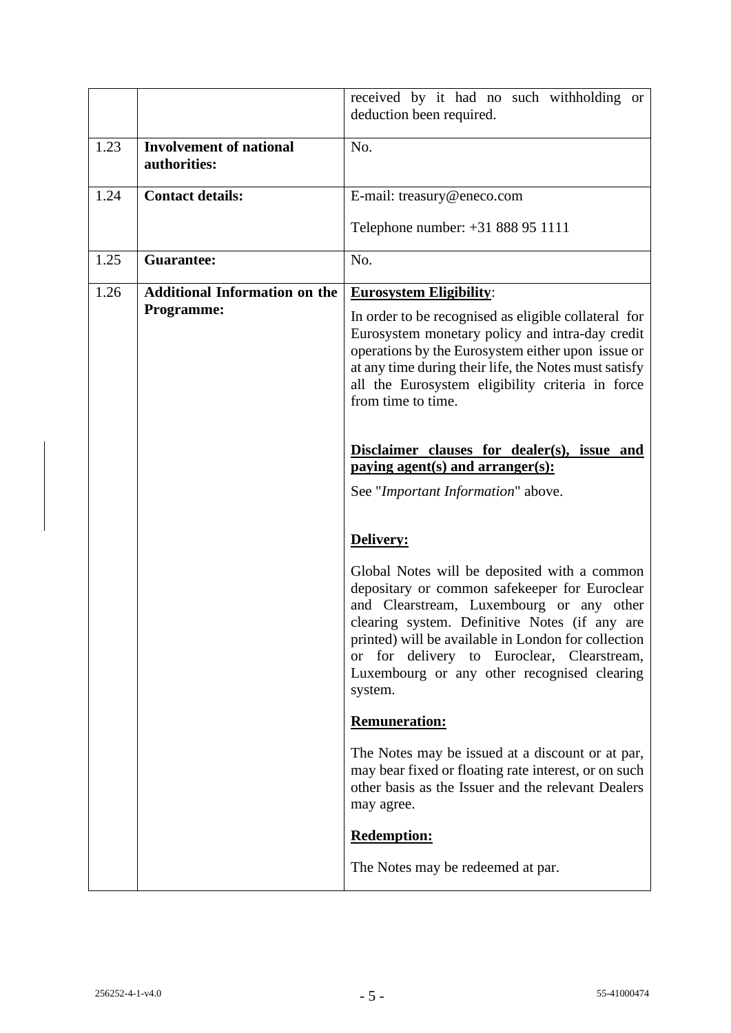|      |                                                           | received by it had no such withholding or<br>deduction been required.                                                                                                                                                                                                                                                                                                  |
|------|-----------------------------------------------------------|------------------------------------------------------------------------------------------------------------------------------------------------------------------------------------------------------------------------------------------------------------------------------------------------------------------------------------------------------------------------|
| 1.23 | <b>Involvement of national</b><br>authorities:            | No.                                                                                                                                                                                                                                                                                                                                                                    |
| 1.24 | <b>Contact details:</b>                                   | E-mail: treasury@eneco.com                                                                                                                                                                                                                                                                                                                                             |
|      |                                                           | Telephone number: +31 888 95 1111                                                                                                                                                                                                                                                                                                                                      |
| 1.25 | <b>Guarantee:</b>                                         | No.                                                                                                                                                                                                                                                                                                                                                                    |
| 1.26 | <b>Additional Information on the</b><br><b>Programme:</b> | <b>Eurosystem Eligibility:</b><br>In order to be recognised as eligible collateral for<br>Eurosystem monetary policy and intra-day credit<br>operations by the Eurosystem either upon issue or<br>at any time during their life, the Notes must satisfy<br>all the Eurosystem eligibility criteria in force<br>from time to time.                                      |
|      |                                                           | Disclaimer clauses for dealer(s), issue and<br>paying agent(s) and $arranger(s)$ :<br>See "Important Information" above.                                                                                                                                                                                                                                               |
|      |                                                           | Delivery:                                                                                                                                                                                                                                                                                                                                                              |
|      |                                                           | Global Notes will be deposited with a common<br>depositary or common safekeeper for Euroclear<br>and Clearstream, Luxembourg or any other<br>clearing system. Definitive Notes (if any are<br>printed) will be available in London for collection<br>for delivery to Euroclear,<br>Clearstream,<br><b>or</b><br>Luxembourg or any other recognised clearing<br>system. |
|      |                                                           | <b>Remuneration:</b>                                                                                                                                                                                                                                                                                                                                                   |
|      |                                                           | The Notes may be issued at a discount or at par,<br>may bear fixed or floating rate interest, or on such<br>other basis as the Issuer and the relevant Dealers<br>may agree.                                                                                                                                                                                           |
|      |                                                           | <b>Redemption:</b>                                                                                                                                                                                                                                                                                                                                                     |
|      |                                                           | The Notes may be redeemed at par.                                                                                                                                                                                                                                                                                                                                      |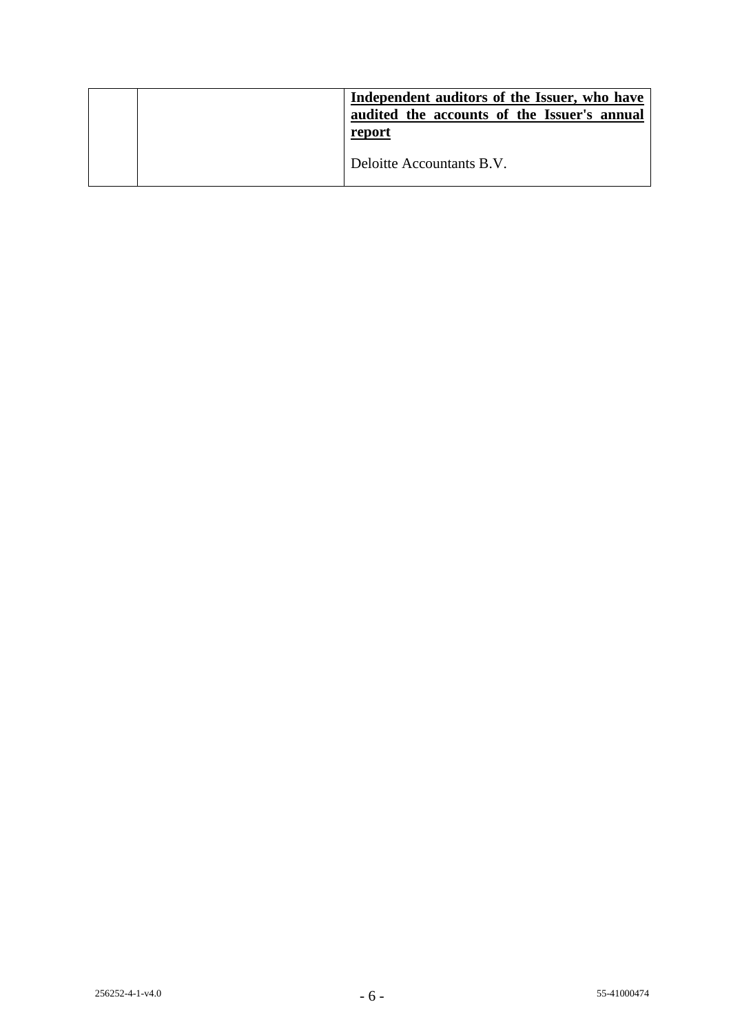|  | Independent auditors of the Issuer, who have<br>audited the accounts of the Issuer's annual<br>report |
|--|-------------------------------------------------------------------------------------------------------|
|  | Deloitte Accountants B.V.                                                                             |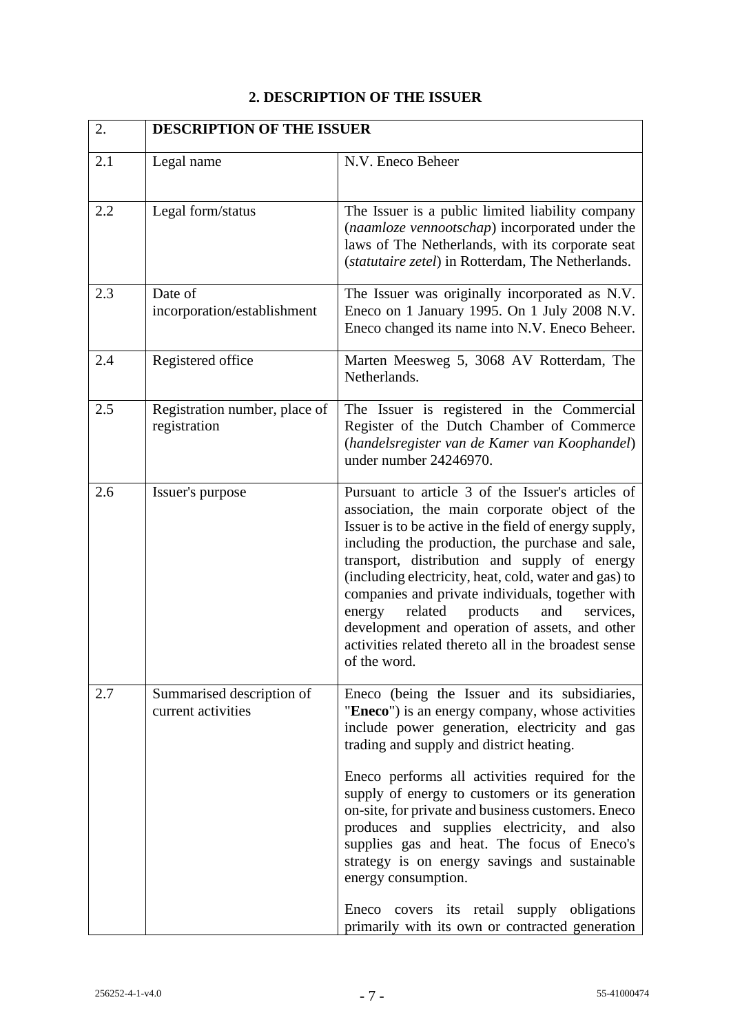# **2. DESCRIPTION OF THE ISSUER**

| 2.  | <b>DESCRIPTION OF THE ISSUER</b>                |                                                                                                                                                                                                                                                                                                                                                                                                                                                                                                                                                                                                                                 |
|-----|-------------------------------------------------|---------------------------------------------------------------------------------------------------------------------------------------------------------------------------------------------------------------------------------------------------------------------------------------------------------------------------------------------------------------------------------------------------------------------------------------------------------------------------------------------------------------------------------------------------------------------------------------------------------------------------------|
| 2.1 | Legal name                                      | N.V. Eneco Beheer                                                                                                                                                                                                                                                                                                                                                                                                                                                                                                                                                                                                               |
| 2.2 | Legal form/status                               | The Issuer is a public limited liability company<br>(naamloze vennootschap) incorporated under the<br>laws of The Netherlands, with its corporate seat<br>(statutaire zetel) in Rotterdam, The Netherlands.                                                                                                                                                                                                                                                                                                                                                                                                                     |
| 2.3 | Date of<br>incorporation/establishment          | The Issuer was originally incorporated as N.V.<br>Eneco on 1 January 1995. On 1 July 2008 N.V.<br>Eneco changed its name into N.V. Eneco Beheer.                                                                                                                                                                                                                                                                                                                                                                                                                                                                                |
| 2.4 | Registered office                               | Marten Meesweg 5, 3068 AV Rotterdam, The<br>Netherlands.                                                                                                                                                                                                                                                                                                                                                                                                                                                                                                                                                                        |
| 2.5 | Registration number, place of<br>registration   | The Issuer is registered in the Commercial<br>Register of the Dutch Chamber of Commerce<br>(handelsregister van de Kamer van Koophandel)<br>under number 24246970.                                                                                                                                                                                                                                                                                                                                                                                                                                                              |
| 2.6 | Issuer's purpose                                | Pursuant to article 3 of the Issuer's articles of<br>association, the main corporate object of the<br>Issuer is to be active in the field of energy supply,<br>including the production, the purchase and sale,<br>transport, distribution and supply of energy<br>(including electricity, heat, cold, water and gas) to<br>companies and private individuals, together with<br>related<br>products<br>and<br>energy<br>services,<br>development and operation of assets, and other<br>activities related thereto all in the broadest sense<br>of the word.                                                                     |
| 2.7 | Summarised description of<br>current activities | Eneco (being the Issuer and its subsidiaries,<br>"Eneco") is an energy company, whose activities<br>include power generation, electricity and gas<br>trading and supply and district heating.<br>Eneco performs all activities required for the<br>supply of energy to customers or its generation<br>on-site, for private and business customers. Eneco<br>produces and supplies electricity, and also<br>supplies gas and heat. The focus of Eneco's<br>strategy is on energy savings and sustainable<br>energy consumption.<br>Eneco covers its retail supply obligations<br>primarily with its own or contracted generation |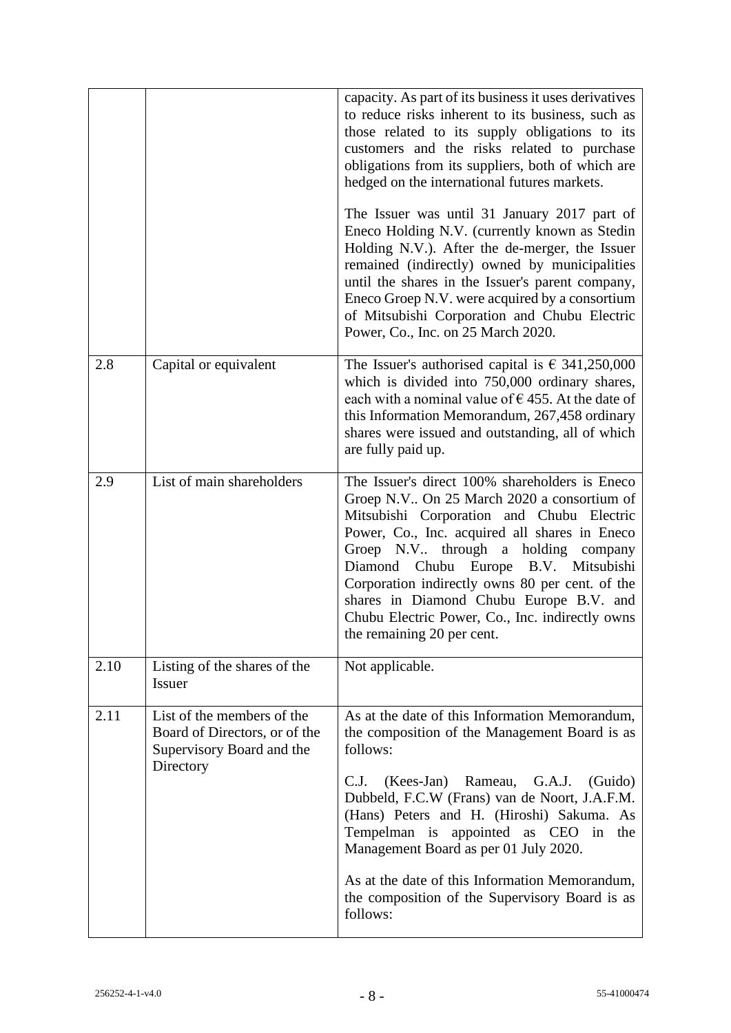|      |                                                                                                       | capacity. As part of its business it uses derivatives<br>to reduce risks inherent to its business, such as<br>those related to its supply obligations to its<br>customers and the risks related to purchase<br>obligations from its suppliers, both of which are<br>hedged on the international futures markets.<br>The Issuer was until 31 January 2017 part of<br>Eneco Holding N.V. (currently known as Stedin<br>Holding N.V.). After the de-merger, the Issuer<br>remained (indirectly) owned by municipalities<br>until the shares in the Issuer's parent company,<br>Eneco Groep N.V. were acquired by a consortium<br>of Mitsubishi Corporation and Chubu Electric<br>Power, Co., Inc. on 25 March 2020. |
|------|-------------------------------------------------------------------------------------------------------|------------------------------------------------------------------------------------------------------------------------------------------------------------------------------------------------------------------------------------------------------------------------------------------------------------------------------------------------------------------------------------------------------------------------------------------------------------------------------------------------------------------------------------------------------------------------------------------------------------------------------------------------------------------------------------------------------------------|
| 2.8  | Capital or equivalent                                                                                 | The Issuer's authorised capital is $\epsilon$ 341,250,000<br>which is divided into 750,000 ordinary shares,<br>each with a nominal value of $\epsilon$ 455. At the date of<br>this Information Memorandum, 267,458 ordinary<br>shares were issued and outstanding, all of which<br>are fully paid up.                                                                                                                                                                                                                                                                                                                                                                                                            |
| 2.9  | List of main shareholders                                                                             | The Issuer's direct 100% shareholders is Eneco<br>Groep N.V On 25 March 2020 a consortium of<br>Mitsubishi Corporation and Chubu Electric<br>Power, Co., Inc. acquired all shares in Eneco<br>Groep N.V through a holding company<br>Diamond Chubu Europe B.V. Mitsubishi<br>Corporation indirectly owns 80 per cent. of the<br>shares in Diamond Chubu Europe B.V. and<br>Chubu Electric Power, Co., Inc. indirectly owns<br>the remaining 20 per cent.                                                                                                                                                                                                                                                         |
| 2.10 | Listing of the shares of the<br><b>Issuer</b>                                                         | Not applicable.                                                                                                                                                                                                                                                                                                                                                                                                                                                                                                                                                                                                                                                                                                  |
| 2.11 | List of the members of the<br>Board of Directors, or of the<br>Supervisory Board and the<br>Directory | As at the date of this Information Memorandum,<br>the composition of the Management Board is as<br>follows:<br>(Kees-Jan) Rameau,<br>G.A.J.<br>C.J.<br>(Guido)<br>Dubbeld, F.C.W (Frans) van de Noort, J.A.F.M.<br>(Hans) Peters and H. (Hiroshi) Sakuma. As<br>Tempelman is appointed as CEO in<br>the<br>Management Board as per 01 July 2020.<br>As at the date of this Information Memorandum,<br>the composition of the Supervisory Board is as<br>follows:                                                                                                                                                                                                                                                 |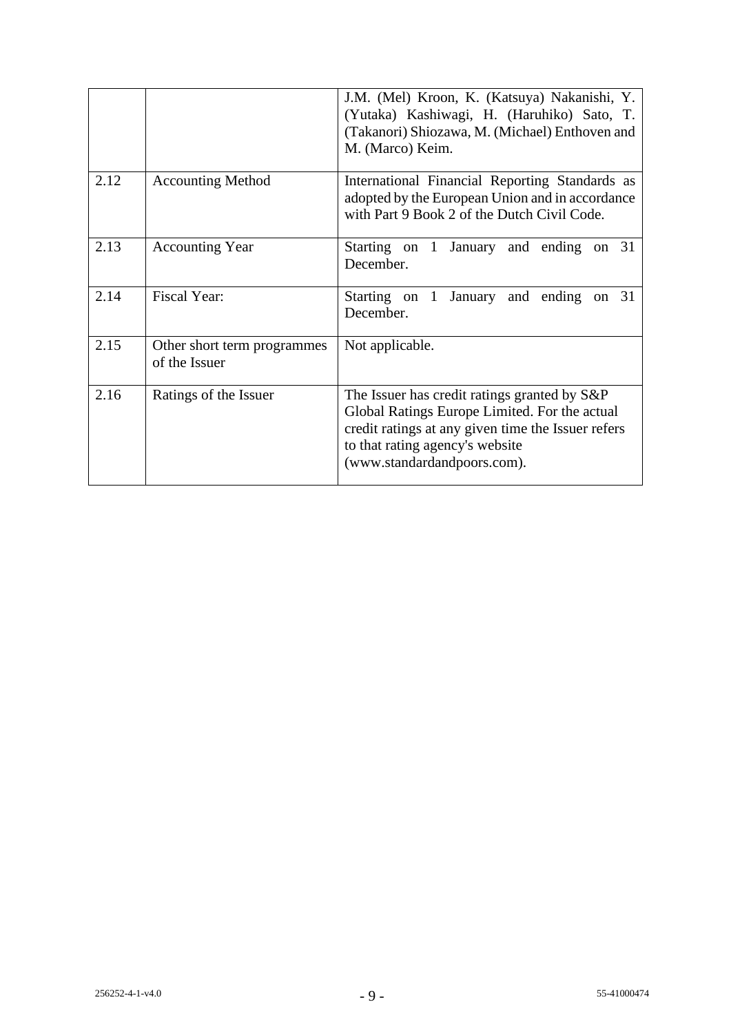|      |                                              | J.M. (Mel) Kroon, K. (Katsuya) Nakanishi, Y.<br>(Yutaka) Kashiwagi, H. (Haruhiko) Sato, T.<br>(Takanori) Shiozawa, M. (Michael) Enthoven and<br>M. (Marco) Keim.                                                      |
|------|----------------------------------------------|-----------------------------------------------------------------------------------------------------------------------------------------------------------------------------------------------------------------------|
| 2.12 | <b>Accounting Method</b>                     | International Financial Reporting Standards as<br>adopted by the European Union and in accordance<br>with Part 9 Book 2 of the Dutch Civil Code.                                                                      |
| 2.13 | <b>Accounting Year</b>                       | Starting on 1 January and ending<br>on $31$<br>December.                                                                                                                                                              |
| 2.14 | <b>Fiscal Year:</b>                          | Starting on 1<br>January and ending<br>on 31<br>December.                                                                                                                                                             |
| 2.15 | Other short term programmes<br>of the Issuer | Not applicable.                                                                                                                                                                                                       |
| 2.16 | Ratings of the Issuer                        | The Issuer has credit ratings granted by S&P<br>Global Ratings Europe Limited. For the actual<br>credit ratings at any given time the Issuer refers<br>to that rating agency's website<br>(www.standardandpoors.com). |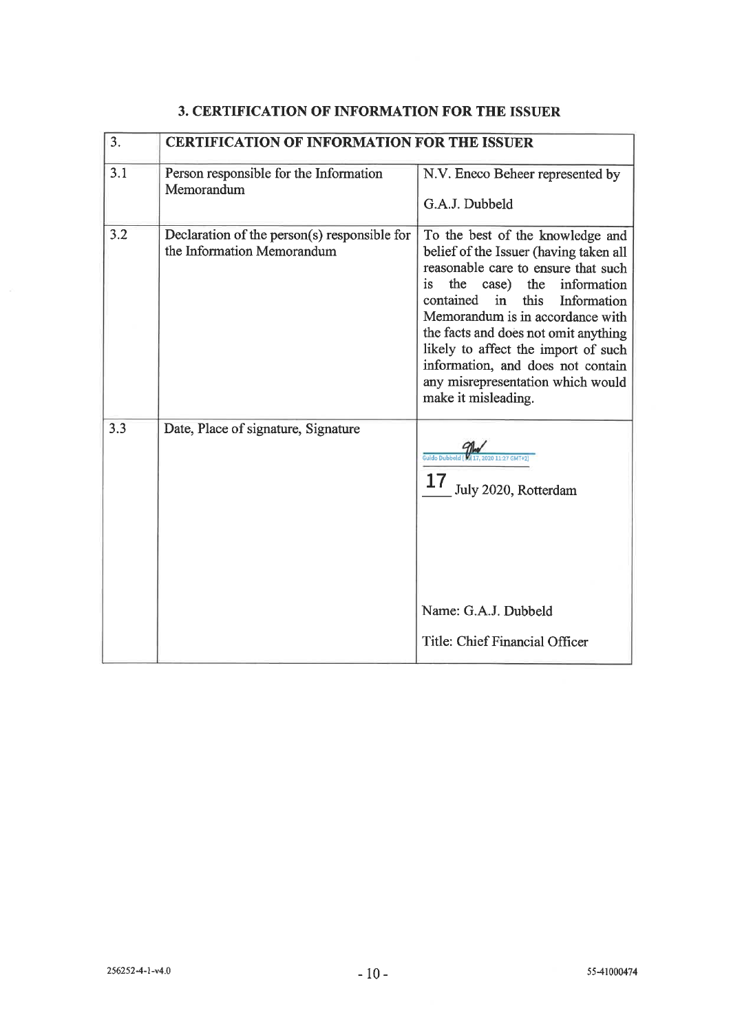| 3.  | <b>CERTIFICATION OF INFORMATION FOR THE ISSUER</b>                         |                                                                                                                                                                                                                                                                                                                                                                                                                       |
|-----|----------------------------------------------------------------------------|-----------------------------------------------------------------------------------------------------------------------------------------------------------------------------------------------------------------------------------------------------------------------------------------------------------------------------------------------------------------------------------------------------------------------|
| 3.1 | Person responsible for the Information<br>Memorandum                       | N.V. Eneco Beheer represented by<br>G.A.J. Dubbeld                                                                                                                                                                                                                                                                                                                                                                    |
| 3.2 | Declaration of the person(s) responsible for<br>the Information Memorandum | To the best of the knowledge and<br>belief of the Issuer (having taken all<br>reasonable care to ensure that such<br>is<br>the case)<br>the information<br>this<br>contained<br>in<br>Information<br>Memorandum is in accordance with<br>the facts and does not omit anything<br>likely to affect the import of such<br>information, and does not contain<br>any misrepresentation which would<br>make it misleading. |
| 3.3 | Date, Place of signature, Signature                                        | July 2020, Rotterdam<br>Name: G.A.J. Dubbeld<br>Title: Chief Financial Officer                                                                                                                                                                                                                                                                                                                                        |

# 3. CERTIFICATION OF INFORMATION FOR THE ISSUER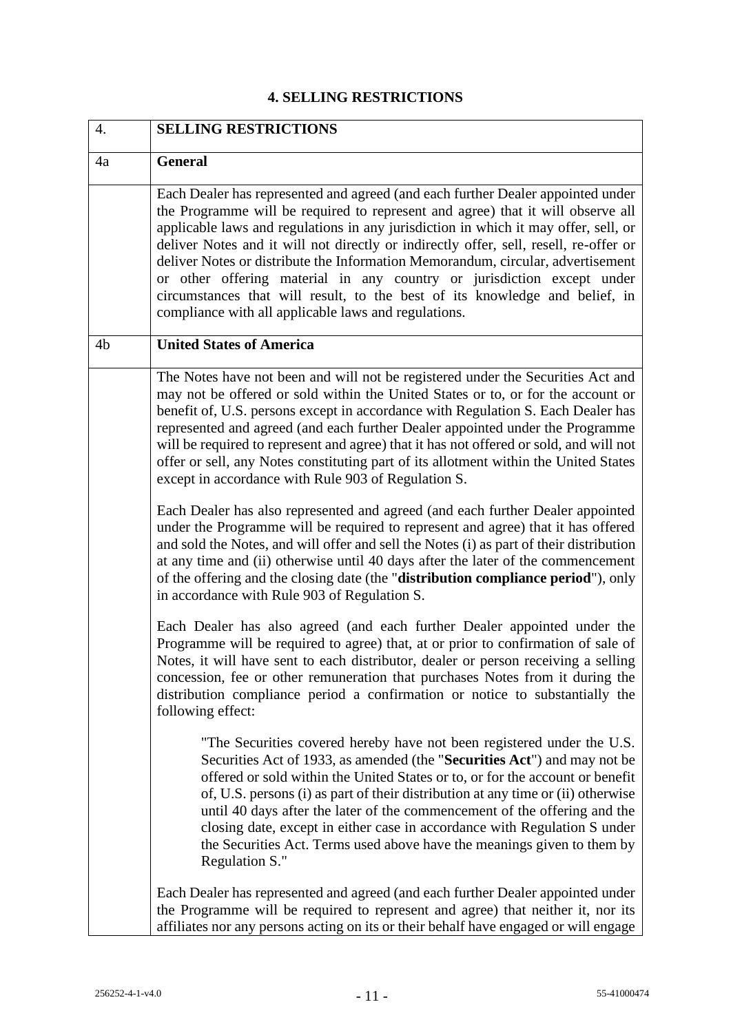# **4. SELLING RESTRICTIONS**

| 4. | <b>SELLING RESTRICTIONS</b>                                                                                                                                                                                                                                                                                                                                                                                                                                                                                                                                                                                                                            |  |
|----|--------------------------------------------------------------------------------------------------------------------------------------------------------------------------------------------------------------------------------------------------------------------------------------------------------------------------------------------------------------------------------------------------------------------------------------------------------------------------------------------------------------------------------------------------------------------------------------------------------------------------------------------------------|--|
| 4a | <b>General</b>                                                                                                                                                                                                                                                                                                                                                                                                                                                                                                                                                                                                                                         |  |
|    | Each Dealer has represented and agreed (and each further Dealer appointed under<br>the Programme will be required to represent and agree) that it will observe all<br>applicable laws and regulations in any jurisdiction in which it may offer, sell, or<br>deliver Notes and it will not directly or indirectly offer, sell, resell, re-offer or<br>deliver Notes or distribute the Information Memorandum, circular, advertisement<br>or other offering material in any country or jurisdiction except under<br>circumstances that will result, to the best of its knowledge and belief, in<br>compliance with all applicable laws and regulations. |  |
| 4b | <b>United States of America</b>                                                                                                                                                                                                                                                                                                                                                                                                                                                                                                                                                                                                                        |  |
|    | The Notes have not been and will not be registered under the Securities Act and<br>may not be offered or sold within the United States or to, or for the account or<br>benefit of, U.S. persons except in accordance with Regulation S. Each Dealer has<br>represented and agreed (and each further Dealer appointed under the Programme<br>will be required to represent and agree) that it has not offered or sold, and will not<br>offer or sell, any Notes constituting part of its allotment within the United States<br>except in accordance with Rule 903 of Regulation S.                                                                      |  |
|    | Each Dealer has also represented and agreed (and each further Dealer appointed<br>under the Programme will be required to represent and agree) that it has offered<br>and sold the Notes, and will offer and sell the Notes (i) as part of their distribution<br>at any time and (ii) otherwise until 40 days after the later of the commencement<br>of the offering and the closing date (the "distribution compliance period"), only<br>in accordance with Rule 903 of Regulation S.                                                                                                                                                                 |  |
|    | Each Dealer has also agreed (and each further Dealer appointed under the<br>Programme will be required to agree) that, at or prior to confirmation of sale of<br>Notes, it will have sent to each distributor, dealer or person receiving a selling<br>concession, fee or other remuneration that purchases Notes from it during the<br>distribution compliance period a confirmation or notice to substantially the<br>following effect:                                                                                                                                                                                                              |  |
|    | "The Securities covered hereby have not been registered under the U.S.<br>Securities Act of 1933, as amended (the "Securities Act") and may not be<br>offered or sold within the United States or to, or for the account or benefit<br>of, U.S. persons (i) as part of their distribution at any time or (ii) otherwise<br>until 40 days after the later of the commencement of the offering and the<br>closing date, except in either case in accordance with Regulation S under<br>the Securities Act. Terms used above have the meanings given to them by<br>Regulation S."                                                                         |  |
|    | Each Dealer has represented and agreed (and each further Dealer appointed under<br>the Programme will be required to represent and agree) that neither it, nor its<br>affiliates nor any persons acting on its or their behalf have engaged or will engage                                                                                                                                                                                                                                                                                                                                                                                             |  |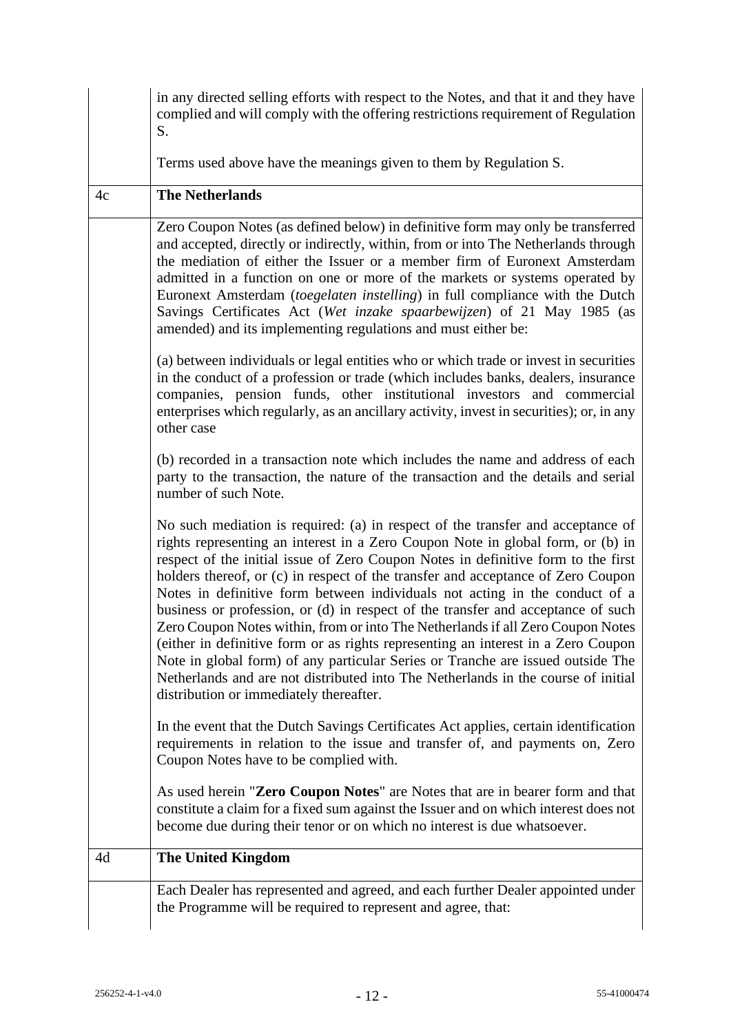|    | in any directed selling efforts with respect to the Notes, and that it and they have<br>complied and will comply with the offering restrictions requirement of Regulation<br>S.                                                                                                                                                                                                                                                                                                                                                                                                                                                                                                                                                                                                                                                                                                                           |  |  |  |  |
|----|-----------------------------------------------------------------------------------------------------------------------------------------------------------------------------------------------------------------------------------------------------------------------------------------------------------------------------------------------------------------------------------------------------------------------------------------------------------------------------------------------------------------------------------------------------------------------------------------------------------------------------------------------------------------------------------------------------------------------------------------------------------------------------------------------------------------------------------------------------------------------------------------------------------|--|--|--|--|
|    | Terms used above have the meanings given to them by Regulation S.                                                                                                                                                                                                                                                                                                                                                                                                                                                                                                                                                                                                                                                                                                                                                                                                                                         |  |  |  |  |
| 4c | <b>The Netherlands</b>                                                                                                                                                                                                                                                                                                                                                                                                                                                                                                                                                                                                                                                                                                                                                                                                                                                                                    |  |  |  |  |
|    | Zero Coupon Notes (as defined below) in definitive form may only be transferred<br>and accepted, directly or indirectly, within, from or into The Netherlands through<br>the mediation of either the Issuer or a member firm of Euronext Amsterdam<br>admitted in a function on one or more of the markets or systems operated by<br>Euronext Amsterdam (toegelaten instelling) in full compliance with the Dutch<br>Savings Certificates Act (Wet inzake spaarbewijzen) of 21 May 1985 (as<br>amended) and its implementing regulations and must either be:                                                                                                                                                                                                                                                                                                                                              |  |  |  |  |
|    | (a) between individuals or legal entities who or which trade or invest in securities<br>in the conduct of a profession or trade (which includes banks, dealers, insurance<br>companies, pension funds, other institutional investors and commercial<br>enterprises which regularly, as an ancillary activity, invest in securities); or, in any<br>other case                                                                                                                                                                                                                                                                                                                                                                                                                                                                                                                                             |  |  |  |  |
|    | (b) recorded in a transaction note which includes the name and address of each<br>party to the transaction, the nature of the transaction and the details and serial<br>number of such Note.                                                                                                                                                                                                                                                                                                                                                                                                                                                                                                                                                                                                                                                                                                              |  |  |  |  |
|    | No such mediation is required: (a) in respect of the transfer and acceptance of<br>rights representing an interest in a Zero Coupon Note in global form, or (b) in<br>respect of the initial issue of Zero Coupon Notes in definitive form to the first<br>holders thereof, or (c) in respect of the transfer and acceptance of Zero Coupon<br>Notes in definitive form between individuals not acting in the conduct of a<br>business or profession, or (d) in respect of the transfer and acceptance of such<br>Zero Coupon Notes within, from or into The Netherlands if all Zero Coupon Notes<br>(either in definitive form or as rights representing an interest in a Zero Coupon<br>Note in global form) of any particular Series or Tranche are issued outside The<br>Netherlands and are not distributed into The Netherlands in the course of initial<br>distribution or immediately thereafter. |  |  |  |  |
|    | In the event that the Dutch Savings Certificates Act applies, certain identification<br>requirements in relation to the issue and transfer of, and payments on, Zero<br>Coupon Notes have to be complied with.                                                                                                                                                                                                                                                                                                                                                                                                                                                                                                                                                                                                                                                                                            |  |  |  |  |
|    | As used herein "Zero Coupon Notes" are Notes that are in bearer form and that<br>constitute a claim for a fixed sum against the Issuer and on which interest does not<br>become due during their tenor or on which no interest is due whatsoever.                                                                                                                                                                                                                                                                                                                                                                                                                                                                                                                                                                                                                                                         |  |  |  |  |
| 4d | <b>The United Kingdom</b>                                                                                                                                                                                                                                                                                                                                                                                                                                                                                                                                                                                                                                                                                                                                                                                                                                                                                 |  |  |  |  |
|    | Each Dealer has represented and agreed, and each further Dealer appointed under<br>the Programme will be required to represent and agree, that:                                                                                                                                                                                                                                                                                                                                                                                                                                                                                                                                                                                                                                                                                                                                                           |  |  |  |  |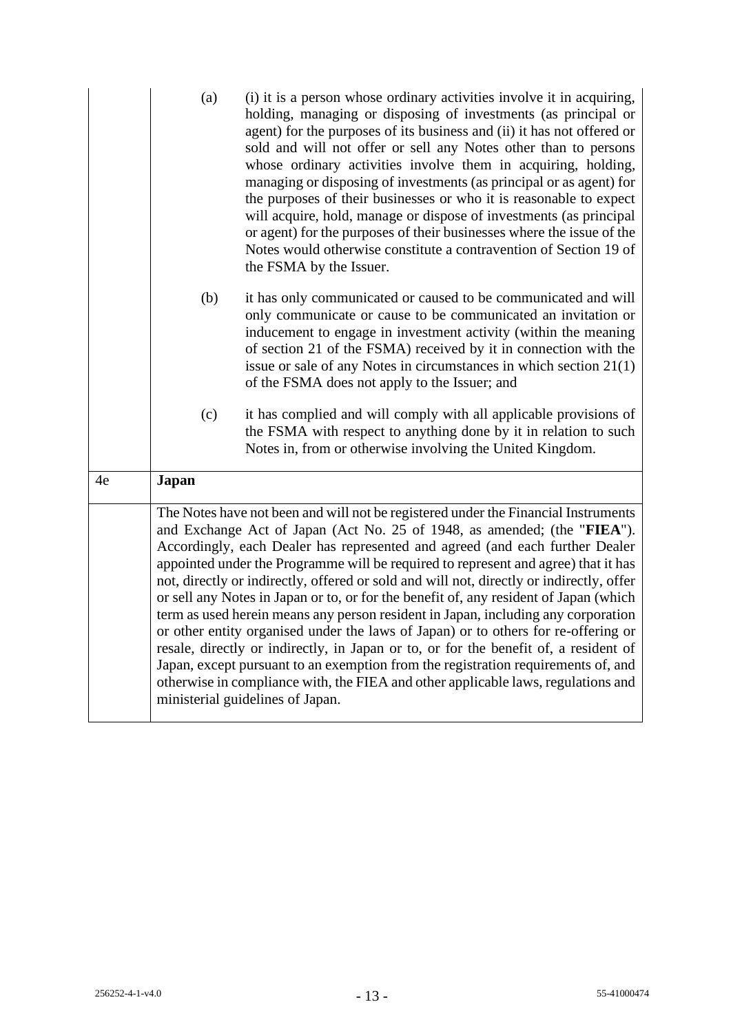|    | (a)                                                                                                                                                                                                                                                                                                                                                                                                                                                                                                                                                                                                                                                                                                                                                                                                                                                                                                                                                                                                        | (i) it is a person whose ordinary activities involve it in acquiring,<br>holding, managing or disposing of investments (as principal or<br>agent) for the purposes of its business and (ii) it has not offered or<br>sold and will not offer or sell any Notes other than to persons<br>whose ordinary activities involve them in acquiring, holding,<br>managing or disposing of investments (as principal or as agent) for<br>the purposes of their businesses or who it is reasonable to expect<br>will acquire, hold, manage or dispose of investments (as principal<br>or agent) for the purposes of their businesses where the issue of the<br>Notes would otherwise constitute a contravention of Section 19 of<br>the FSMA by the Issuer. |  |  |  |
|----|------------------------------------------------------------------------------------------------------------------------------------------------------------------------------------------------------------------------------------------------------------------------------------------------------------------------------------------------------------------------------------------------------------------------------------------------------------------------------------------------------------------------------------------------------------------------------------------------------------------------------------------------------------------------------------------------------------------------------------------------------------------------------------------------------------------------------------------------------------------------------------------------------------------------------------------------------------------------------------------------------------|---------------------------------------------------------------------------------------------------------------------------------------------------------------------------------------------------------------------------------------------------------------------------------------------------------------------------------------------------------------------------------------------------------------------------------------------------------------------------------------------------------------------------------------------------------------------------------------------------------------------------------------------------------------------------------------------------------------------------------------------------|--|--|--|
|    | (b)                                                                                                                                                                                                                                                                                                                                                                                                                                                                                                                                                                                                                                                                                                                                                                                                                                                                                                                                                                                                        | it has only communicated or caused to be communicated and will<br>only communicate or cause to be communicated an invitation or<br>inducement to engage in investment activity (within the meaning<br>of section 21 of the FSMA) received by it in connection with the<br>issue or sale of any Notes in circumstances in which section $21(1)$<br>of the FSMA does not apply to the Issuer; and                                                                                                                                                                                                                                                                                                                                                   |  |  |  |
|    | (c)                                                                                                                                                                                                                                                                                                                                                                                                                                                                                                                                                                                                                                                                                                                                                                                                                                                                                                                                                                                                        | it has complied and will comply with all applicable provisions of<br>the FSMA with respect to anything done by it in relation to such<br>Notes in, from or otherwise involving the United Kingdom.                                                                                                                                                                                                                                                                                                                                                                                                                                                                                                                                                |  |  |  |
| 4e | <b>Japan</b>                                                                                                                                                                                                                                                                                                                                                                                                                                                                                                                                                                                                                                                                                                                                                                                                                                                                                                                                                                                               |                                                                                                                                                                                                                                                                                                                                                                                                                                                                                                                                                                                                                                                                                                                                                   |  |  |  |
|    | The Notes have not been and will not be registered under the Financial Instruments<br>and Exchange Act of Japan (Act No. 25 of 1948, as amended; (the "FIEA").<br>Accordingly, each Dealer has represented and agreed (and each further Dealer<br>appointed under the Programme will be required to represent and agree) that it has<br>not, directly or indirectly, offered or sold and will not, directly or indirectly, offer<br>or sell any Notes in Japan or to, or for the benefit of, any resident of Japan (which<br>term as used herein means any person resident in Japan, including any corporation<br>or other entity organised under the laws of Japan) or to others for re-offering or<br>resale, directly or indirectly, in Japan or to, or for the benefit of, a resident of<br>Japan, except pursuant to an exemption from the registration requirements of, and<br>otherwise in compliance with, the FIEA and other applicable laws, regulations and<br>ministerial guidelines of Japan. |                                                                                                                                                                                                                                                                                                                                                                                                                                                                                                                                                                                                                                                                                                                                                   |  |  |  |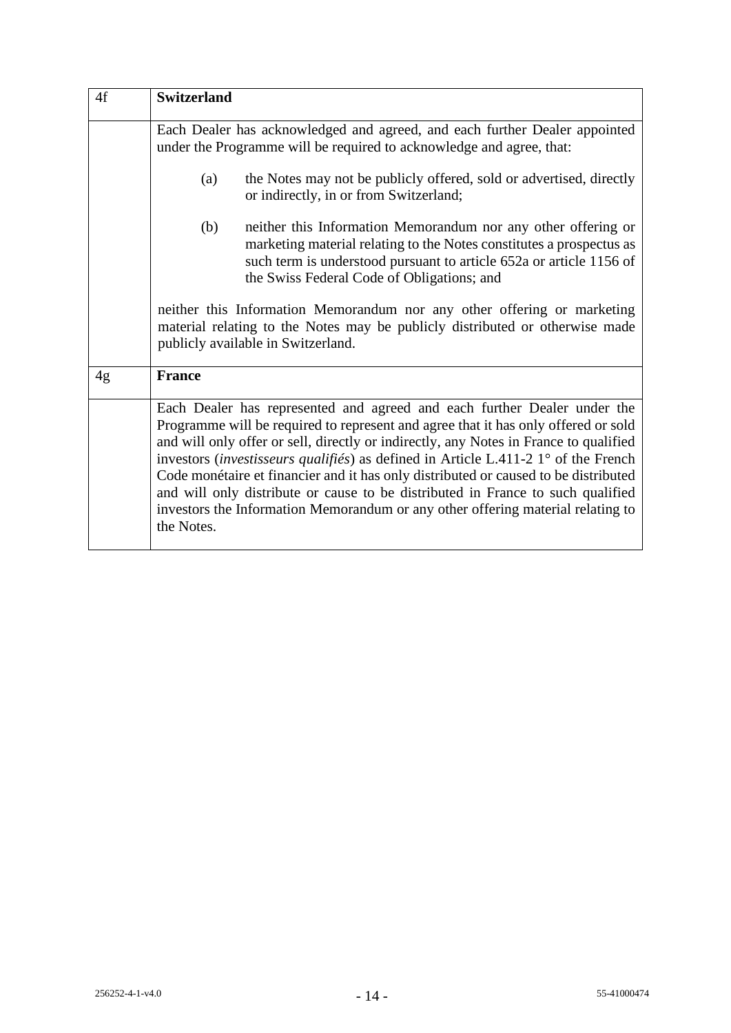| 4f | <b>Switzerland</b>                                                                                                                                                                                                                                                                                                                                                                                                                                                                                                                                                                                                                       |  |  |  |  |  |
|----|------------------------------------------------------------------------------------------------------------------------------------------------------------------------------------------------------------------------------------------------------------------------------------------------------------------------------------------------------------------------------------------------------------------------------------------------------------------------------------------------------------------------------------------------------------------------------------------------------------------------------------------|--|--|--|--|--|
|    | Each Dealer has acknowledged and agreed, and each further Dealer appointed<br>under the Programme will be required to acknowledge and agree, that:                                                                                                                                                                                                                                                                                                                                                                                                                                                                                       |  |  |  |  |  |
|    | the Notes may not be publicly offered, sold or advertised, directly<br>(a)<br>or indirectly, in or from Switzerland;                                                                                                                                                                                                                                                                                                                                                                                                                                                                                                                     |  |  |  |  |  |
|    | (b)<br>neither this Information Memorandum nor any other offering or<br>marketing material relating to the Notes constitutes a prospectus as<br>such term is understood pursuant to article 652a or article 1156 of<br>the Swiss Federal Code of Obligations; and                                                                                                                                                                                                                                                                                                                                                                        |  |  |  |  |  |
|    | neither this Information Memorandum nor any other offering or marketing<br>material relating to the Notes may be publicly distributed or otherwise made<br>publicly available in Switzerland.                                                                                                                                                                                                                                                                                                                                                                                                                                            |  |  |  |  |  |
| 4g | <b>France</b>                                                                                                                                                                                                                                                                                                                                                                                                                                                                                                                                                                                                                            |  |  |  |  |  |
|    | Each Dealer has represented and agreed and each further Dealer under the<br>Programme will be required to represent and agree that it has only offered or sold<br>and will only offer or sell, directly or indirectly, any Notes in France to qualified<br>investors <i>(investisseurs qualifiés)</i> as defined in Article L.411-2 $1^{\circ}$ of the French<br>Code monétaire et financier and it has only distributed or caused to be distributed<br>and will only distribute or cause to be distributed in France to such qualified<br>investors the Information Memorandum or any other offering material relating to<br>the Notes. |  |  |  |  |  |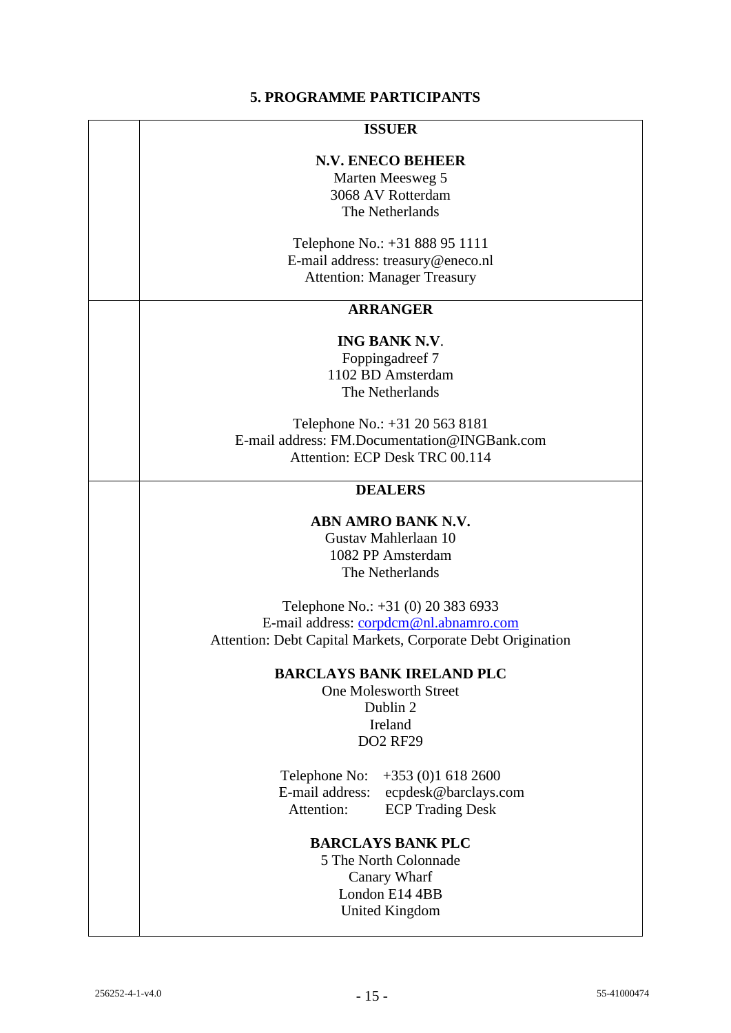# **5. PROGRAMME PARTICIPANTS**

#### **ISSUER**

## **N.V. ENECO BEHEER**

Marten Meesweg 5 3068 AV Rotterdam The Netherlands

Telephone No.: +31 888 95 1111 E-mail address: treasury@eneco.nl Attention: Manager Treasury

# **ARRANGER**

## **ING BANK N.V**.

Foppingadreef 7 1102 BD Amsterdam The Netherlands

Telephone No.: +31 20 563 8181 E-mail address: FM.Documentation@INGBank.com Attention: ECP Desk TRC 00.114

# **DEALERS**

## **ABN AMRO BANK N.V.**

Gustav Mahlerlaan 10 1082 PP Amsterdam The Netherlands

Telephone No.: +31 (0) 20 383 6933 E-mail address: [corpdcm@nl.abnamro.com](mailto:corpdcm@nl.abnamro.com) Attention: Debt Capital Markets, Corporate Debt Origination

#### **BARCLAYS BANK IRELAND PLC**

One Molesworth Street Dublin 2 Ireland DO2 RF29

Telephone No: +353 (0)1 618 2600 E-mail address: ecpdesk@barclays.com Attention: ECP Trading Desk

# **BARCLAYS BANK PLC**

5 The North Colonnade Canary Wharf London E14 4BB United Kingdom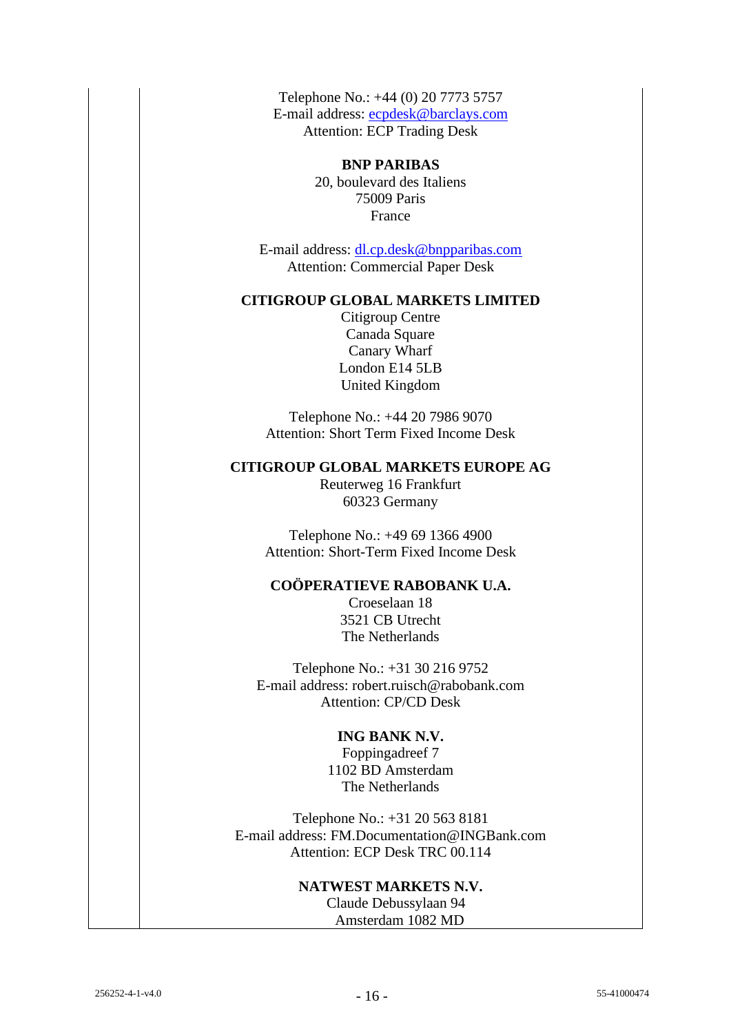Telephone No.: +44 (0) 20 7773 5757 E-mail address: [ecpdesk@barclays.com](mailto:ecpdesk@barclays.com) Attention: ECP Trading Desk

> **BNP PARIBAS** 20, boulevard des Italiens 75009 Paris France

E-mail address: [dl.cp.desk@bnpparibas.com](mailto:dl.cp.desk@bnpparibas.com) Attention: Commercial Paper Desk

# **CITIGROUP GLOBAL MARKETS LIMITED**

Citigroup Centre Canada Square Canary Wharf London E14 5LB United Kingdom

Telephone No.: +44 20 7986 9070 Attention: Short Term Fixed Income Desk

# **CITIGROUP GLOBAL MARKETS EUROPE AG**

Reuterweg 16 Frankfurt 60323 Germany

Telephone No.: +49 69 1366 4900 Attention: Short-Term Fixed Income Desk

# **COÖPERATIEVE RABOBANK U.A.**

Croeselaan 18 3521 CB Utrecht The Netherlands

Telephone No.: +31 30 216 9752 E-mail address: robert.ruisch@rabobank.com Attention: CP/CD Desk

# **ING BANK N.V.**

Foppingadreef 7 1102 BD Amsterdam The Netherlands

Telephone No.: +31 20 563 8181 E-mail address: FM.Documentation@INGBank.com Attention: ECP Desk TRC 00.114

## **NATWEST MARKETS N.V.**

 Claude Debussylaan 94 Amsterdam 1082 MD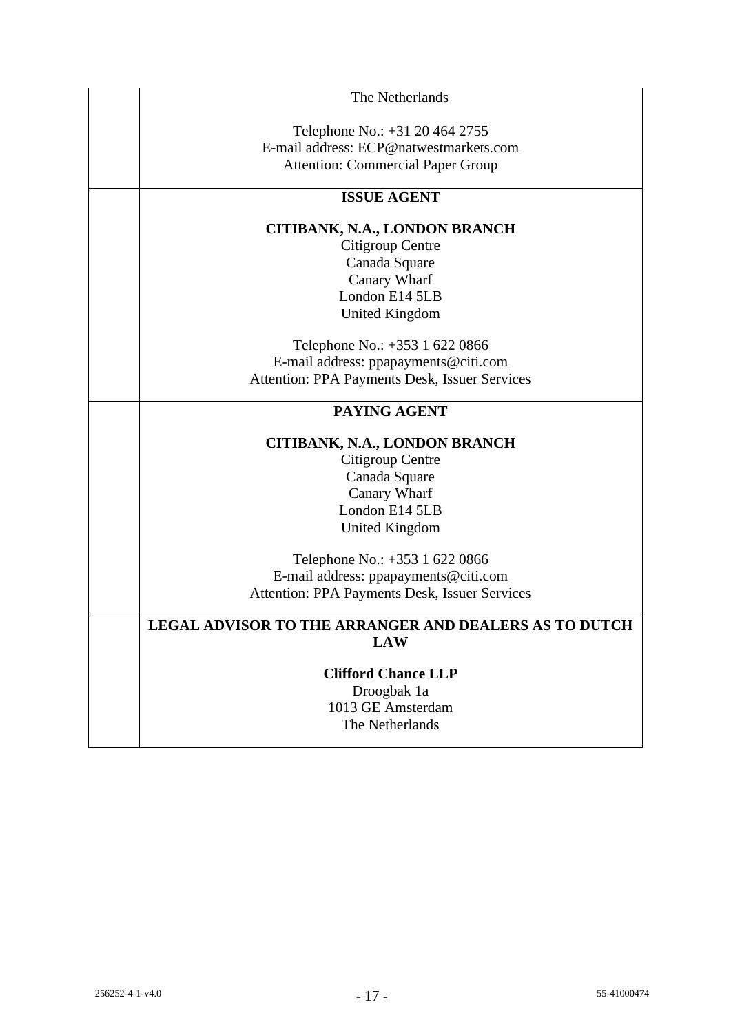| The Netherlands                                       |
|-------------------------------------------------------|
| Telephone No.: +31 20 464 2755                        |
| E-mail address: ECP@natwestmarkets.com                |
| <b>Attention: Commercial Paper Group</b>              |
| <b>ISSUE AGENT</b>                                    |
| CITIBANK, N.A., LONDON BRANCH                         |
| Citigroup Centre                                      |
| Canada Square                                         |
| Canary Wharf                                          |
| London E14 5LB                                        |
| <b>United Kingdom</b>                                 |
| Telephone No.: +353 1 622 0866                        |
| E-mail address: ppapayments@citi.com                  |
| Attention: PPA Payments Desk, Issuer Services         |
| PAYING AGENT                                          |
| CITIBANK, N.A., LONDON BRANCH                         |
| Citigroup Centre                                      |
| Canada Square                                         |
| Canary Wharf                                          |
| London E14 5LB                                        |
| <b>United Kingdom</b>                                 |
| Telephone No.: +353 1 622 0866                        |
| E-mail address: ppapayments@citi.com                  |
| Attention: PPA Payments Desk, Issuer Services         |
| LEGAL ADVISOR TO THE ARRANGER AND DEALERS AS TO DUTCH |
| <b>LAW</b>                                            |
| <b>Clifford Chance LLP</b>                            |
| Droogbak 1a                                           |
| 1013 GE Amsterdam                                     |
| The Netherlands                                       |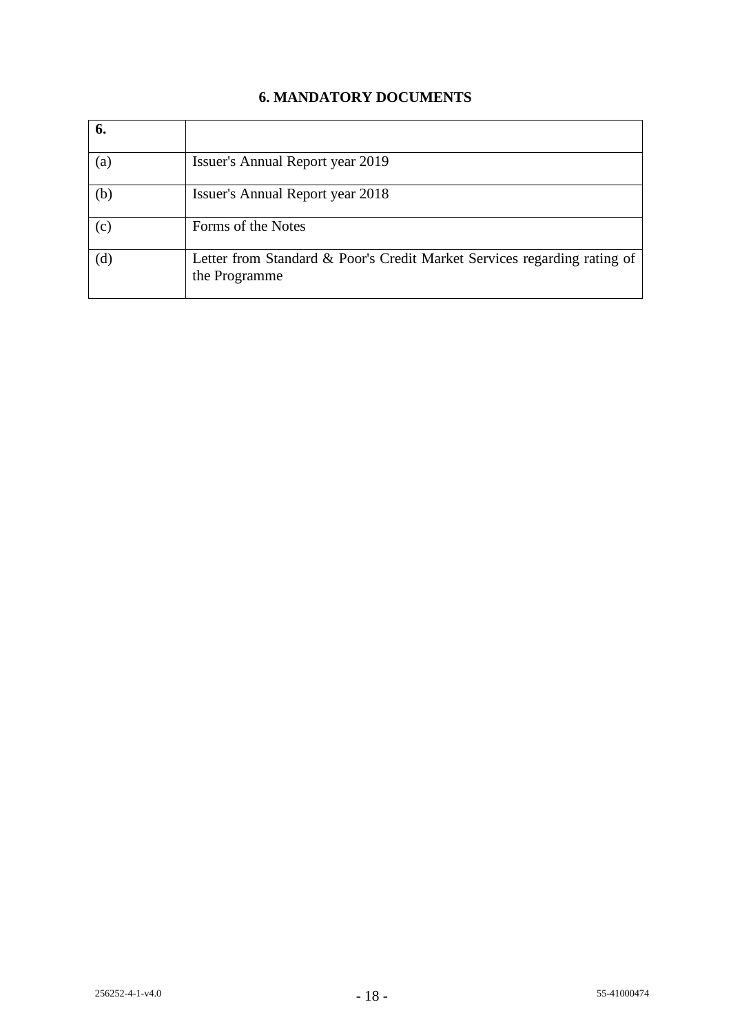# **6. MANDATORY DOCUMENTS**

| 6.  |                                                                                           |
|-----|-------------------------------------------------------------------------------------------|
| (a) | Issuer's Annual Report year 2019                                                          |
| (b) | <b>Issuer's Annual Report year 2018</b>                                                   |
| (c) | Forms of the Notes                                                                        |
| (d) | Letter from Standard & Poor's Credit Market Services regarding rating of<br>the Programme |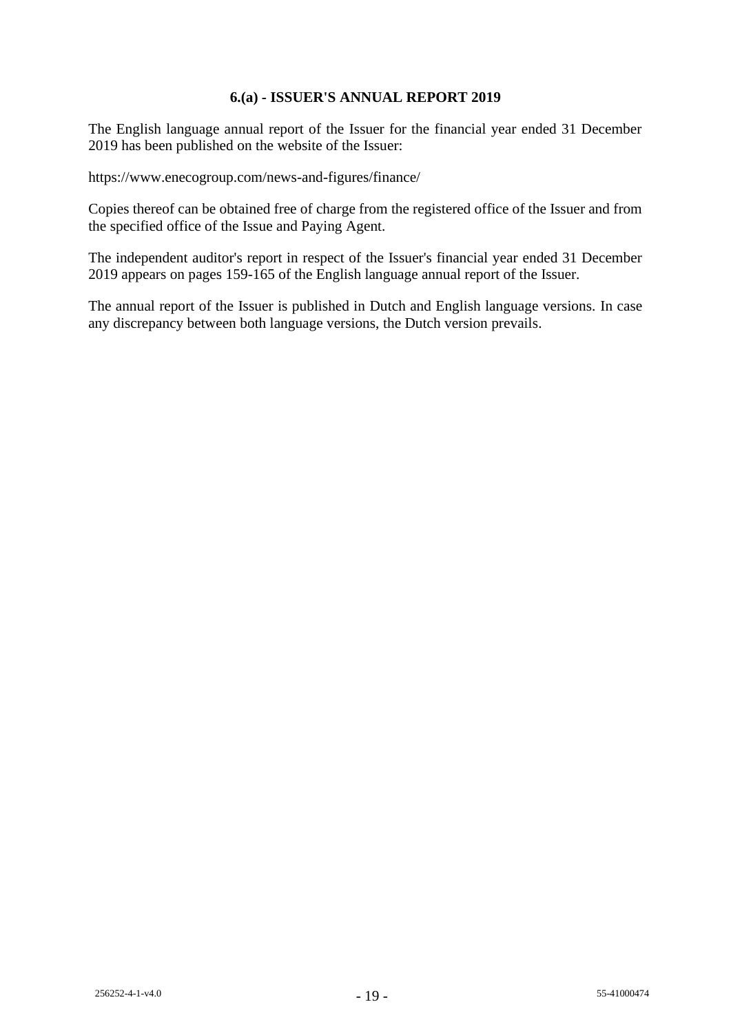# **6.(a) - ISSUER'S ANNUAL REPORT 2019**

The English language annual report of the Issuer for the financial year ended 31 December 2019 has been published on the website of the Issuer:

https://www.enecogroup.com/news-and-figures/finance/

Copies thereof can be obtained free of charge from the registered office of the Issuer and from the specified office of the Issue and Paying Agent.

The independent auditor's report in respect of the Issuer's financial year ended 31 December 2019 appears on pages 159-165 of the English language annual report of the Issuer.

The annual report of the Issuer is published in Dutch and English language versions. In case any discrepancy between both language versions, the Dutch version prevails.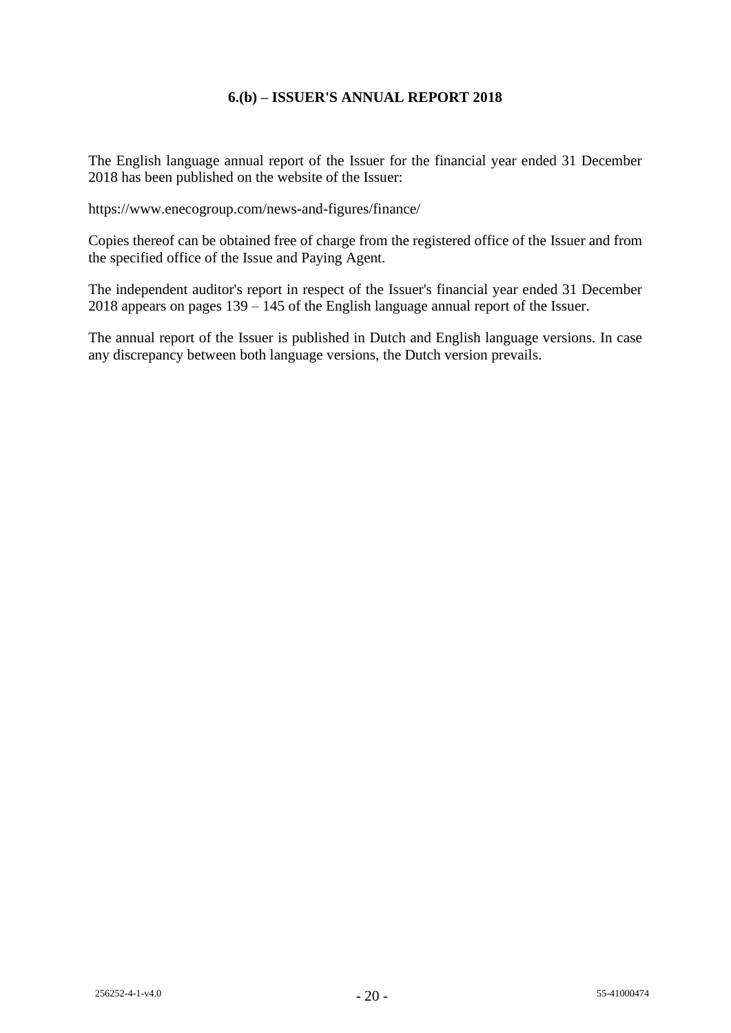# **6.(b) – ISSUER'S ANNUAL REPORT 2018**

The English language annual report of the Issuer for the financial year ended 31 December 2018 has been published on the website of the Issuer:

https://www.enecogroup.com/news-and-figures/finance/

Copies thereof can be obtained free of charge from the registered office of the Issuer and from the specified office of the Issue and Paying Agent.

The independent auditor's report in respect of the Issuer's financial year ended 31 December 2018 appears on pages 139 – 145 of the English language annual report of the Issuer.

The annual report of the Issuer is published in Dutch and English language versions. In case any discrepancy between both language versions, the Dutch version prevails.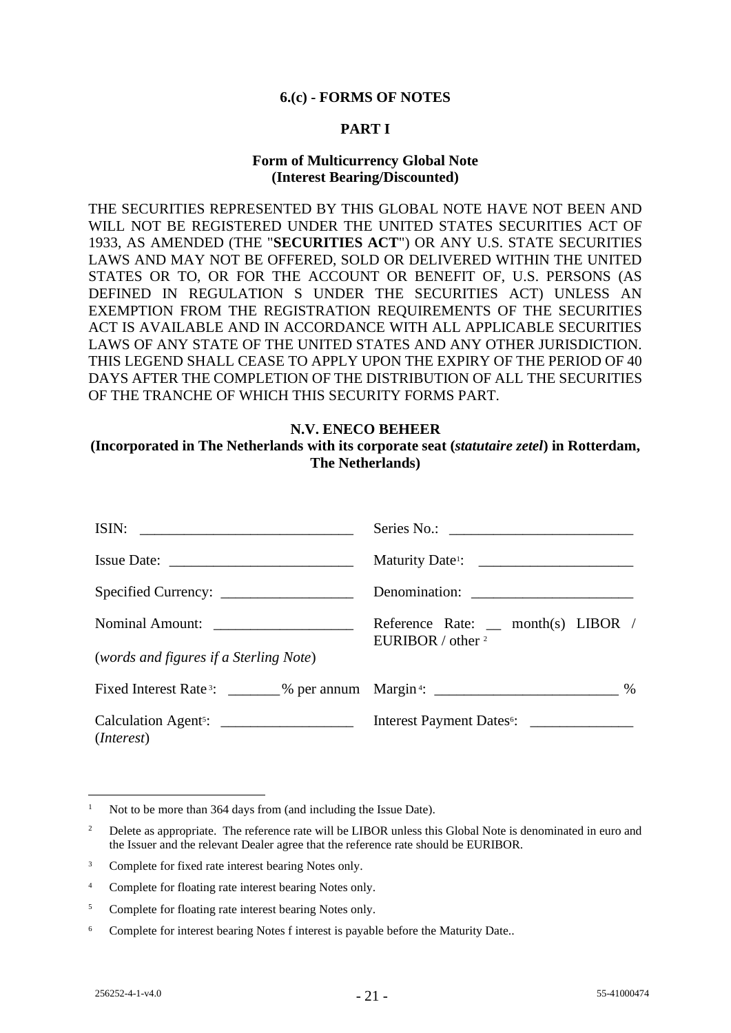#### **6.(c) - FORMS OF NOTES**

# **PART I**

#### **Form of Multicurrency Global Note (Interest Bearing/Discounted)**

THE SECURITIES REPRESENTED BY THIS GLOBAL NOTE HAVE NOT BEEN AND WILL NOT BE REGISTERED UNDER THE UNITED STATES SECURITIES ACT OF 1933, AS AMENDED (THE "**SECURITIES ACT**") OR ANY U.S. STATE SECURITIES LAWS AND MAY NOT BE OFFERED, SOLD OR DELIVERED WITHIN THE UNITED STATES OR TO, OR FOR THE ACCOUNT OR BENEFIT OF, U.S. PERSONS (AS DEFINED IN REGULATION S UNDER THE SECURITIES ACT) UNLESS AN EXEMPTION FROM THE REGISTRATION REQUIREMENTS OF THE SECURITIES ACT IS AVAILABLE AND IN ACCORDANCE WITH ALL APPLICABLE SECURITIES LAWS OF ANY STATE OF THE UNITED STATES AND ANY OTHER JURISDICTION. THIS LEGEND SHALL CEASE TO APPLY UPON THE EXPIRY OF THE PERIOD OF 40 DAYS AFTER THE COMPLETION OF THE DISTRIBUTION OF ALL THE SECURITIES OF THE TRANCHE OF WHICH THIS SECURITY FORMS PART.

#### **N.V. ENECO BEHEER**

#### **(Incorporated in The Netherlands with its corporate seat (***statutaire zetel***) in Rotterdam, The Netherlands)**

| ISIN:                                                                                                    |                                                           |
|----------------------------------------------------------------------------------------------------------|-----------------------------------------------------------|
|                                                                                                          |                                                           |
|                                                                                                          |                                                           |
| Nominal Amount:                                                                                          | Reference Rate: _ month(s) LIBOR /<br>EURIBOR / other $2$ |
| (words and figures if a Sterling Note)                                                                   |                                                           |
| Fixed Interest Rate <sup>3</sup> : ________% per annum Margin <sup>4</sup> : __________________________% |                                                           |
| Calculation Agent <sup>5</sup> : <u>_________________</u><br>( <i>Interest</i> )                         |                                                           |

<sup>&</sup>lt;sup>1</sup> Not to be more than 364 days from (and including the Issue Date).

<sup>&</sup>lt;sup>2</sup> Delete as appropriate. The reference rate will be LIBOR unless this Global Note is denominated in euro and the Issuer and the relevant Dealer agree that the reference rate should be EURIBOR.

<sup>&</sup>lt;sup>3</sup> Complete for fixed rate interest bearing Notes only.

<sup>4</sup> Complete for floating rate interest bearing Notes only.

<sup>&</sup>lt;sup>5</sup> Complete for floating rate interest bearing Notes only.

<sup>&</sup>lt;sup>6</sup> Complete for interest bearing Notes f interest is payable before the Maturity Date..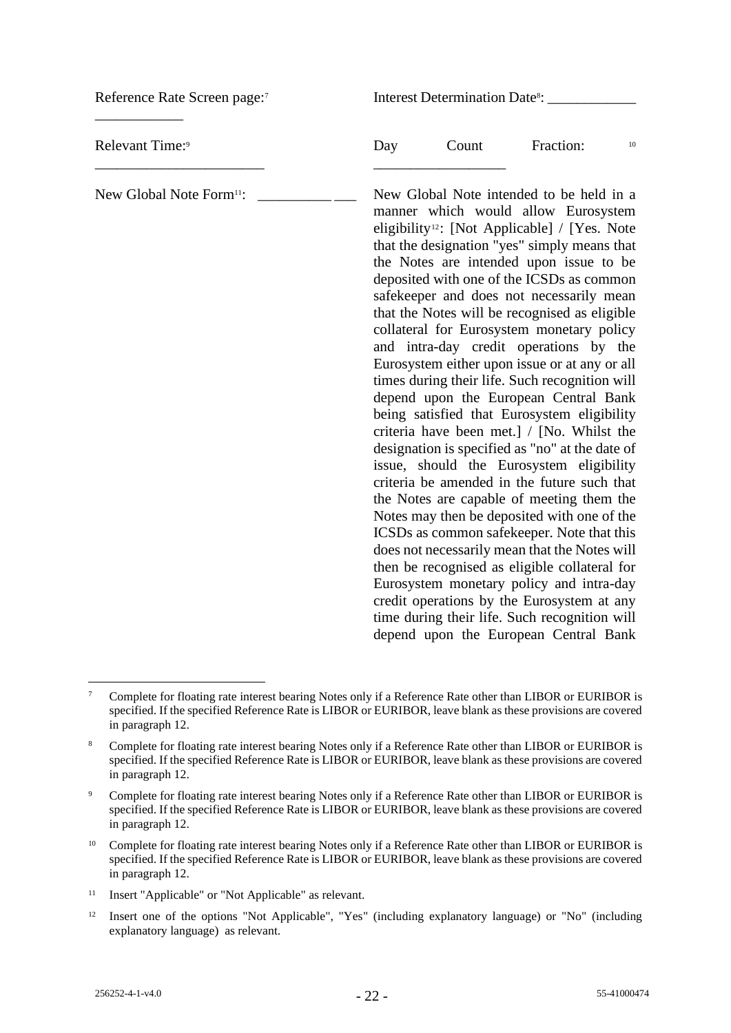Reference Rate Screen page:<sup>7</sup> \_\_\_\_\_\_\_\_\_\_\_\_ Interest Determination Date<sup>8</sup>: \_\_\_\_\_\_\_\_\_\_\_\_\_\_\_ Relevant Time:<sup>9</sup> \_\_\_\_\_\_\_\_\_\_\_\_\_\_\_\_\_\_\_\_\_\_\_ Day Count Fraction: 10 \_\_\_\_\_\_\_\_\_\_\_\_\_\_\_\_\_\_ New Global Note Form<sup>11</sup>: New Global Note intended to be held in a manner which would allow Eurosystem eligibility12: [Not Applicable] / [Yes. Note that the designation "yes" simply means that the Notes are intended upon issue to be deposited with one of the ICSDs as common safekeeper and does not necessarily mean that the Notes will be recognised as eligible collateral for Eurosystem monetary policy and intra-day credit operations by the Eurosystem either upon issue or at any or all times during their life. Such recognition will depend upon the European Central Bank being satisfied that Eurosystem eligibility criteria have been met.] / [No. Whilst the designation is specified as "no" at the date of issue, should the Eurosystem eligibility criteria be amended in the future such that the Notes are capable of meeting them the Notes may then be deposited with one of the ICSDs as common safekeeper. Note that this does not necessarily mean that the Notes will then be recognised as eligible collateral for Eurosystem monetary policy and intra-day credit operations by the Eurosystem at any time during their life. Such recognition will depend upon the European Central Bank

<sup>12</sup> Insert one of the options "Not Applicable", "Yes" (including explanatory language) or "No" (including explanatory language) as relevant.

<sup>&</sup>lt;sup>7</sup> Complete for floating rate interest bearing Notes only if a Reference Rate other than LIBOR or EURIBOR is specified. If the specified Reference Rate is LIBOR or EURIBOR, leave blank as these provisions are covered in paragraph 12.

<sup>8</sup> Complete for floating rate interest bearing Notes only if a Reference Rate other than LIBOR or EURIBOR is specified. If the specified Reference Rate is LIBOR or EURIBOR, leave blank as these provisions are covered in paragraph 12.

<sup>&</sup>lt;sup>9</sup> Complete for floating rate interest bearing Notes only if a Reference Rate other than LIBOR or EURIBOR is specified. If the specified Reference Rate is LIBOR or EURIBOR, leave blank as these provisions are covered in paragraph 12.

<sup>10</sup> Complete for floating rate interest bearing Notes only if a Reference Rate other than LIBOR or EURIBOR is specified. If the specified Reference Rate is LIBOR or EURIBOR, leave blank as these provisions are covered in paragraph 12.

<sup>11</sup> Insert "Applicable" or "Not Applicable" as relevant.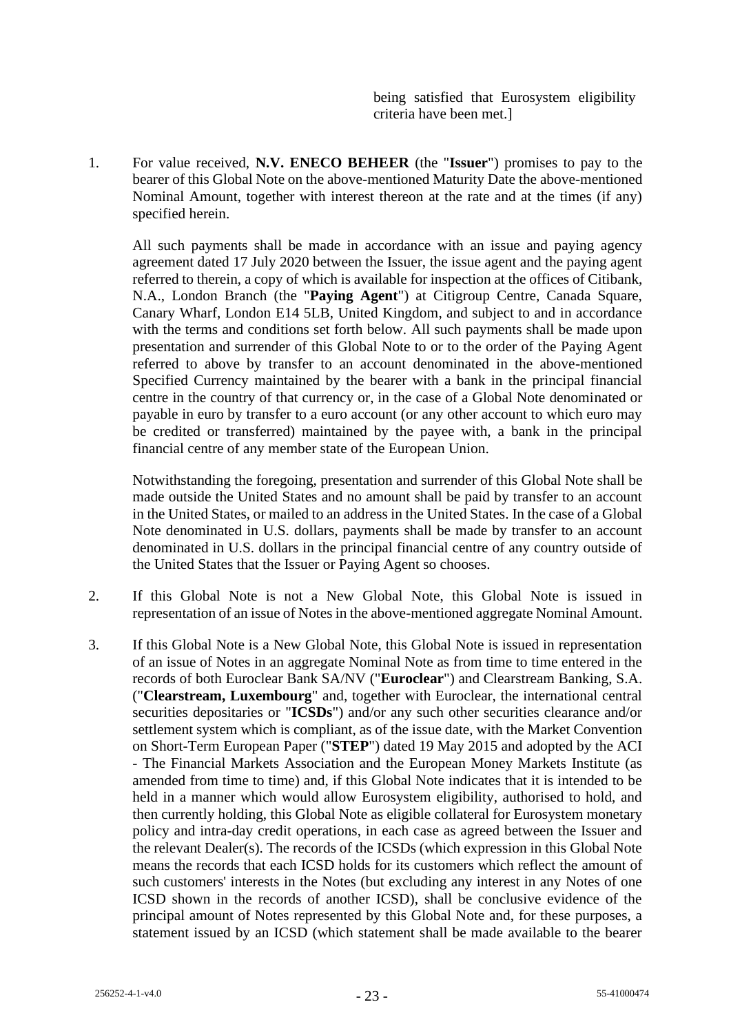being satisfied that Eurosystem eligibility criteria have been met.]

1. For value received, **N.V. ENECO BEHEER** (the "**Issuer**") promises to pay to the bearer of this Global Note on the above-mentioned Maturity Date the above-mentioned Nominal Amount, together with interest thereon at the rate and at the times (if any) specified herein.

All such payments shall be made in accordance with an issue and paying agency agreement dated 17 July 2020 between the Issuer, the issue agent and the paying agent referred to therein, a copy of which is available for inspection at the offices of Citibank, N.A., London Branch (the "**Paying Agent**") at Citigroup Centre, Canada Square, Canary Wharf, London E14 5LB, United Kingdom, and subject to and in accordance with the terms and conditions set forth below. All such payments shall be made upon presentation and surrender of this Global Note to or to the order of the Paying Agent referred to above by transfer to an account denominated in the above-mentioned Specified Currency maintained by the bearer with a bank in the principal financial centre in the country of that currency or, in the case of a Global Note denominated or payable in euro by transfer to a euro account (or any other account to which euro may be credited or transferred) maintained by the payee with, a bank in the principal financial centre of any member state of the European Union.

Notwithstanding the foregoing, presentation and surrender of this Global Note shall be made outside the United States and no amount shall be paid by transfer to an account in the United States, or mailed to an address in the United States. In the case of a Global Note denominated in U.S. dollars, payments shall be made by transfer to an account denominated in U.S. dollars in the principal financial centre of any country outside of the United States that the Issuer or Paying Agent so chooses.

- 2. If this Global Note is not a New Global Note, this Global Note is issued in representation of an issue of Notes in the above-mentioned aggregate Nominal Amount.
- 3. If this Global Note is a New Global Note, this Global Note is issued in representation of an issue of Notes in an aggregate Nominal Note as from time to time entered in the records of both Euroclear Bank SA/NV ("**Euroclear**") and Clearstream Banking, S.A. ("**Clearstream, Luxembourg**" and, together with Euroclear, the international central securities depositaries or "**ICSDs**") and/or any such other securities clearance and/or settlement system which is compliant, as of the issue date, with the Market Convention on Short-Term European Paper ("**STEP**") dated 19 May 2015 and adopted by the ACI - The Financial Markets Association and the European Money Markets Institute (as amended from time to time) and, if this Global Note indicates that it is intended to be held in a manner which would allow Eurosystem eligibility, authorised to hold, and then currently holding, this Global Note as eligible collateral for Eurosystem monetary policy and intra-day credit operations, in each case as agreed between the Issuer and the relevant Dealer(s). The records of the ICSDs (which expression in this Global Note means the records that each ICSD holds for its customers which reflect the amount of such customers' interests in the Notes (but excluding any interest in any Notes of one ICSD shown in the records of another ICSD), shall be conclusive evidence of the principal amount of Notes represented by this Global Note and, for these purposes, a statement issued by an ICSD (which statement shall be made available to the bearer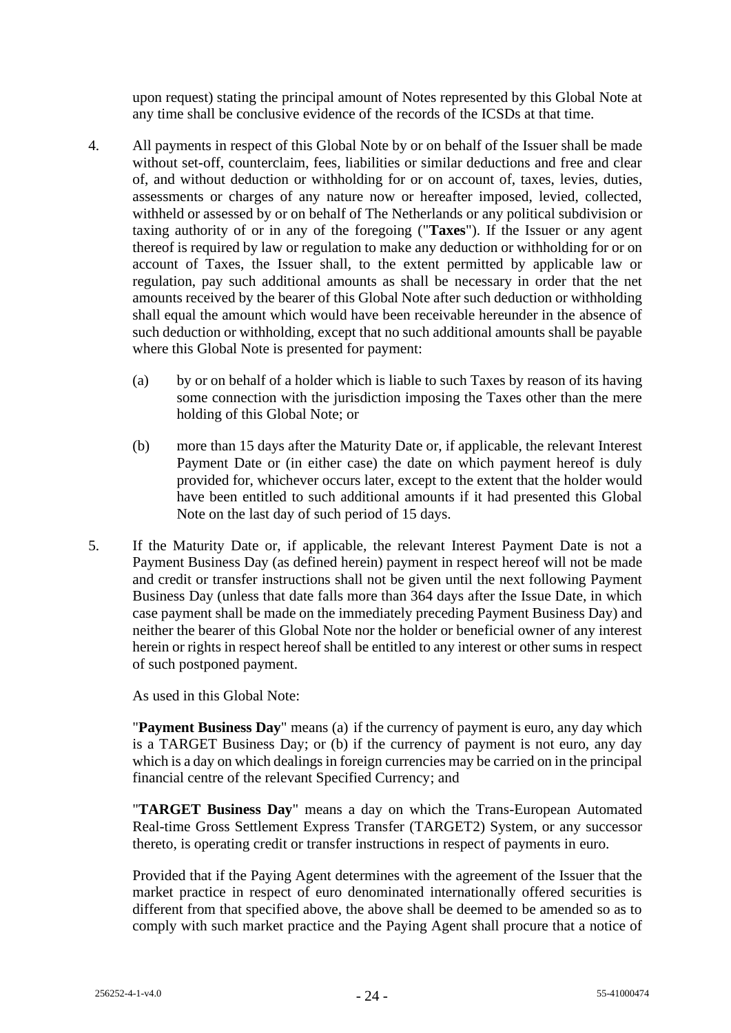upon request) stating the principal amount of Notes represented by this Global Note at any time shall be conclusive evidence of the records of the ICSDs at that time.

- 4. All payments in respect of this Global Note by or on behalf of the Issuer shall be made without set-off, counterclaim, fees, liabilities or similar deductions and free and clear of, and without deduction or withholding for or on account of, taxes, levies, duties, assessments or charges of any nature now or hereafter imposed, levied, collected, withheld or assessed by or on behalf of The Netherlands or any political subdivision or taxing authority of or in any of the foregoing ("**Taxes**"). If the Issuer or any agent thereof is required by law or regulation to make any deduction or withholding for or on account of Taxes, the Issuer shall, to the extent permitted by applicable law or regulation, pay such additional amounts as shall be necessary in order that the net amounts received by the bearer of this Global Note after such deduction or withholding shall equal the amount which would have been receivable hereunder in the absence of such deduction or withholding, except that no such additional amounts shall be payable where this Global Note is presented for payment:
	- (a) by or on behalf of a holder which is liable to such Taxes by reason of its having some connection with the jurisdiction imposing the Taxes other than the mere holding of this Global Note; or
	- (b) more than 15 days after the Maturity Date or, if applicable, the relevant Interest Payment Date or (in either case) the date on which payment hereof is duly provided for, whichever occurs later, except to the extent that the holder would have been entitled to such additional amounts if it had presented this Global Note on the last day of such period of 15 days.
- 5. If the Maturity Date or, if applicable, the relevant Interest Payment Date is not a Payment Business Day (as defined herein) payment in respect hereof will not be made and credit or transfer instructions shall not be given until the next following Payment Business Day (unless that date falls more than 364 days after the Issue Date, in which case payment shall be made on the immediately preceding Payment Business Day) and neither the bearer of this Global Note nor the holder or beneficial owner of any interest herein or rights in respect hereof shall be entitled to any interest or other sums in respect of such postponed payment.

As used in this Global Note:

"**Payment Business Day**" means (a) if the currency of payment is euro, any day which is a TARGET Business Day; or (b) if the currency of payment is not euro, any day which is a day on which dealings in foreign currencies may be carried on in the principal financial centre of the relevant Specified Currency; and

"**TARGET Business Day**" means a day on which the Trans-European Automated Real-time Gross Settlement Express Transfer (TARGET2) System, or any successor thereto, is operating credit or transfer instructions in respect of payments in euro.

Provided that if the Paying Agent determines with the agreement of the Issuer that the market practice in respect of euro denominated internationally offered securities is different from that specified above, the above shall be deemed to be amended so as to comply with such market practice and the Paying Agent shall procure that a notice of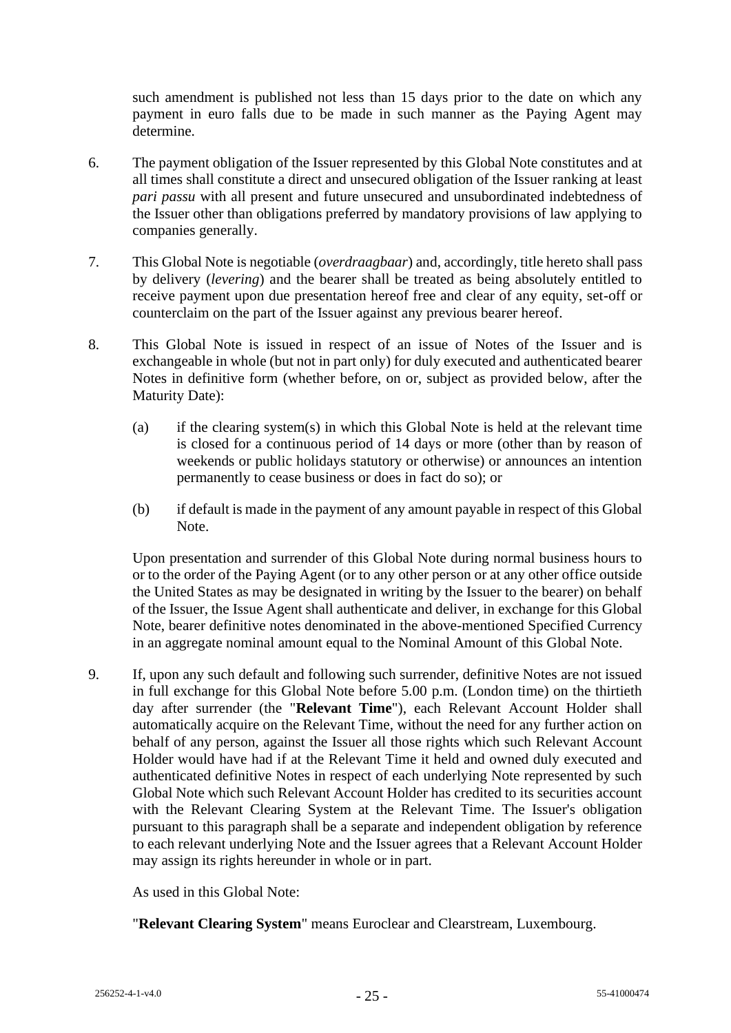such amendment is published not less than 15 days prior to the date on which any payment in euro falls due to be made in such manner as the Paying Agent may determine.

- 6. The payment obligation of the Issuer represented by this Global Note constitutes and at all times shall constitute a direct and unsecured obligation of the Issuer ranking at least *pari passu* with all present and future unsecured and unsubordinated indebtedness of the Issuer other than obligations preferred by mandatory provisions of law applying to companies generally.
- 7. This Global Note is negotiable (*overdraagbaar*) and, accordingly, title hereto shall pass by delivery (*levering*) and the bearer shall be treated as being absolutely entitled to receive payment upon due presentation hereof free and clear of any equity, set-off or counterclaim on the part of the Issuer against any previous bearer hereof.
- 8. This Global Note is issued in respect of an issue of Notes of the Issuer and is exchangeable in whole (but not in part only) for duly executed and authenticated bearer Notes in definitive form (whether before, on or, subject as provided below, after the Maturity Date):
	- (a) if the clearing system(s) in which this Global Note is held at the relevant time is closed for a continuous period of 14 days or more (other than by reason of weekends or public holidays statutory or otherwise) or announces an intention permanently to cease business or does in fact do so); or
	- (b) if default is made in the payment of any amount payable in respect of this Global Note.

Upon presentation and surrender of this Global Note during normal business hours to or to the order of the Paying Agent (or to any other person or at any other office outside the United States as may be designated in writing by the Issuer to the bearer) on behalf of the Issuer, the Issue Agent shall authenticate and deliver, in exchange for this Global Note, bearer definitive notes denominated in the above-mentioned Specified Currency in an aggregate nominal amount equal to the Nominal Amount of this Global Note.

9. If, upon any such default and following such surrender, definitive Notes are not issued in full exchange for this Global Note before 5.00 p.m. (London time) on the thirtieth day after surrender (the "**Relevant Time**"), each Relevant Account Holder shall automatically acquire on the Relevant Time, without the need for any further action on behalf of any person, against the Issuer all those rights which such Relevant Account Holder would have had if at the Relevant Time it held and owned duly executed and authenticated definitive Notes in respect of each underlying Note represented by such Global Note which such Relevant Account Holder has credited to its securities account with the Relevant Clearing System at the Relevant Time. The Issuer's obligation pursuant to this paragraph shall be a separate and independent obligation by reference to each relevant underlying Note and the Issuer agrees that a Relevant Account Holder may assign its rights hereunder in whole or in part.

As used in this Global Note:

"**Relevant Clearing System**" means Euroclear and Clearstream, Luxembourg.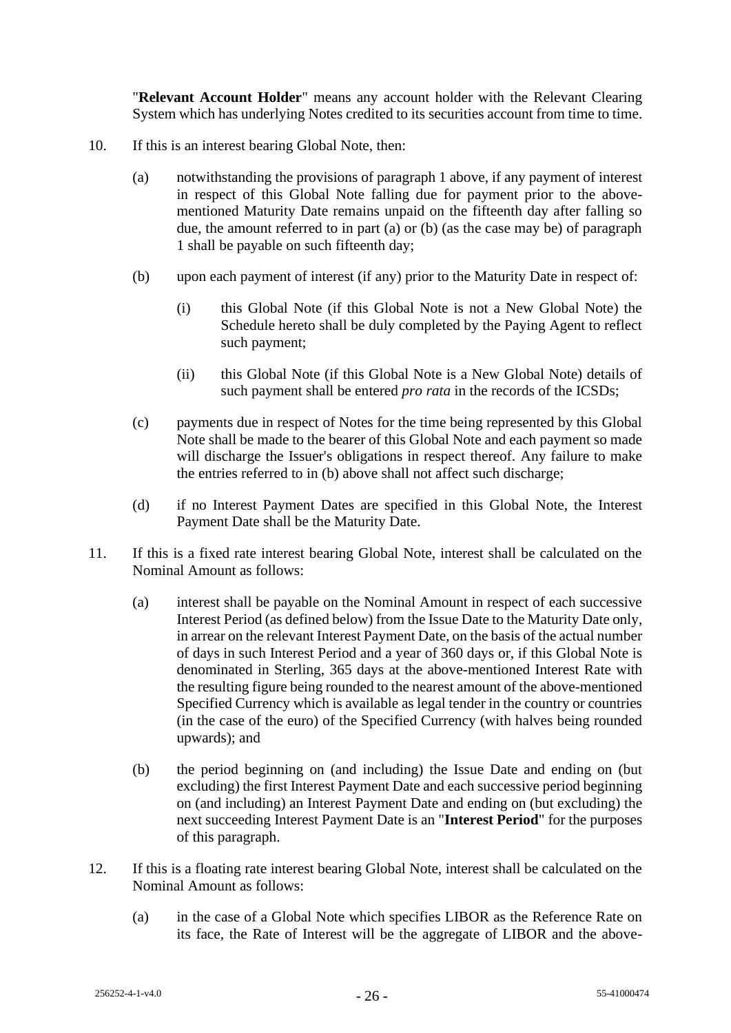"**Relevant Account Holder**" means any account holder with the Relevant Clearing System which has underlying Notes credited to its securities account from time to time.

- 10. If this is an interest bearing Global Note, then:
	- (a) notwithstanding the provisions of paragraph 1 above, if any payment of interest in respect of this Global Note falling due for payment prior to the abovementioned Maturity Date remains unpaid on the fifteenth day after falling so due, the amount referred to in part (a) or (b) (as the case may be) of paragraph 1 shall be payable on such fifteenth day;
	- (b) upon each payment of interest (if any) prior to the Maturity Date in respect of:
		- (i) this Global Note (if this Global Note is not a New Global Note) the Schedule hereto shall be duly completed by the Paying Agent to reflect such payment;
		- (ii) this Global Note (if this Global Note is a New Global Note) details of such payment shall be entered *pro rata* in the records of the ICSDs;
	- (c) payments due in respect of Notes for the time being represented by this Global Note shall be made to the bearer of this Global Note and each payment so made will discharge the Issuer's obligations in respect thereof. Any failure to make the entries referred to in (b) above shall not affect such discharge;
	- (d) if no Interest Payment Dates are specified in this Global Note, the Interest Payment Date shall be the Maturity Date.
- 11. If this is a fixed rate interest bearing Global Note, interest shall be calculated on the Nominal Amount as follows:
	- (a) interest shall be payable on the Nominal Amount in respect of each successive Interest Period (as defined below) from the Issue Date to the Maturity Date only, in arrear on the relevant Interest Payment Date, on the basis of the actual number of days in such Interest Period and a year of 360 days or, if this Global Note is denominated in Sterling, 365 days at the above-mentioned Interest Rate with the resulting figure being rounded to the nearest amount of the above-mentioned Specified Currency which is available as legal tender in the country or countries (in the case of the euro) of the Specified Currency (with halves being rounded upwards); and
	- (b) the period beginning on (and including) the Issue Date and ending on (but excluding) the first Interest Payment Date and each successive period beginning on (and including) an Interest Payment Date and ending on (but excluding) the next succeeding Interest Payment Date is an "**Interest Period**" for the purposes of this paragraph.
- 12. If this is a floating rate interest bearing Global Note, interest shall be calculated on the Nominal Amount as follows:
	- (a) in the case of a Global Note which specifies LIBOR as the Reference Rate on its face, the Rate of Interest will be the aggregate of LIBOR and the above-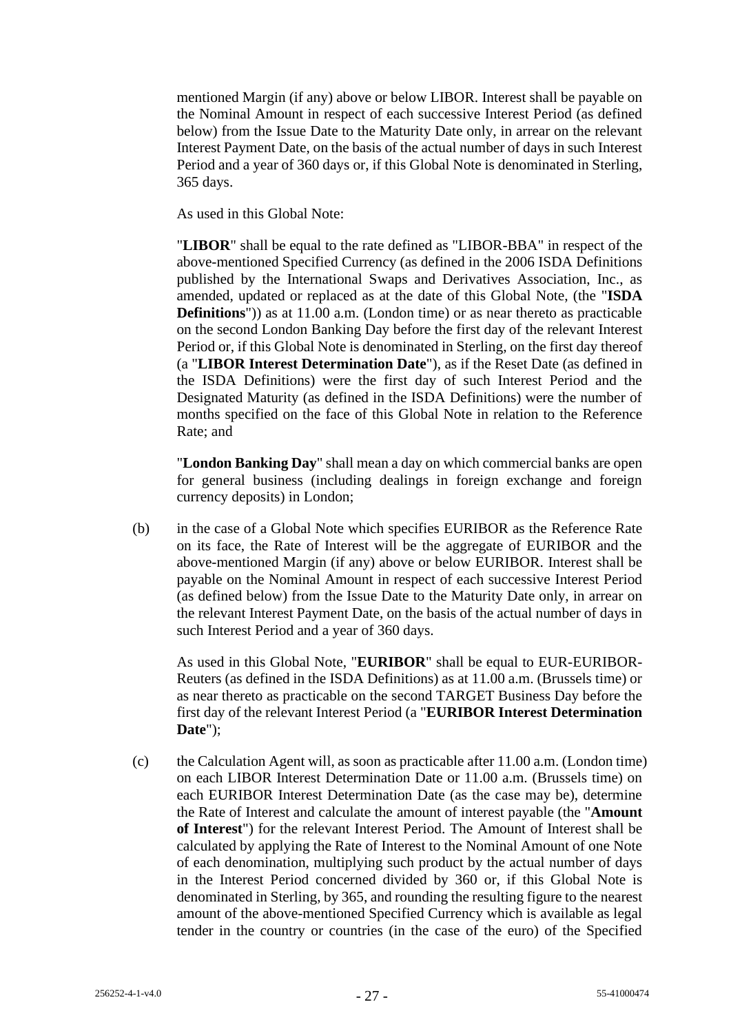mentioned Margin (if any) above or below LIBOR. Interest shall be payable on the Nominal Amount in respect of each successive Interest Period (as defined below) from the Issue Date to the Maturity Date only, in arrear on the relevant Interest Payment Date, on the basis of the actual number of days in such Interest Period and a year of 360 days or, if this Global Note is denominated in Sterling, 365 days.

As used in this Global Note:

"**LIBOR**" shall be equal to the rate defined as "LIBOR-BBA" in respect of the above-mentioned Specified Currency (as defined in the 2006 ISDA Definitions published by the International Swaps and Derivatives Association, Inc., as amended, updated or replaced as at the date of this Global Note, (the "**ISDA Definitions**")) as at 11.00 a.m. (London time) or as near thereto as practicable on the second London Banking Day before the first day of the relevant Interest Period or, if this Global Note is denominated in Sterling, on the first day thereof (a "**LIBOR Interest Determination Date**"), as if the Reset Date (as defined in the ISDA Definitions) were the first day of such Interest Period and the Designated Maturity (as defined in the ISDA Definitions) were the number of months specified on the face of this Global Note in relation to the Reference Rate; and

"**London Banking Day**" shall mean a day on which commercial banks are open for general business (including dealings in foreign exchange and foreign currency deposits) in London;

(b) in the case of a Global Note which specifies EURIBOR as the Reference Rate on its face, the Rate of Interest will be the aggregate of EURIBOR and the above-mentioned Margin (if any) above or below EURIBOR. Interest shall be payable on the Nominal Amount in respect of each successive Interest Period (as defined below) from the Issue Date to the Maturity Date only, in arrear on the relevant Interest Payment Date, on the basis of the actual number of days in such Interest Period and a year of 360 days.

As used in this Global Note, "**EURIBOR**" shall be equal to EUR-EURIBOR-Reuters (as defined in the ISDA Definitions) as at 11.00 a.m. (Brussels time) or as near thereto as practicable on the second TARGET Business Day before the first day of the relevant Interest Period (a "**EURIBOR Interest Determination Date**");

(c) the Calculation Agent will, as soon as practicable after 11.00 a.m. (London time) on each LIBOR Interest Determination Date or 11.00 a.m. (Brussels time) on each EURIBOR Interest Determination Date (as the case may be), determine the Rate of Interest and calculate the amount of interest payable (the "**Amount of Interest**") for the relevant Interest Period. The Amount of Interest shall be calculated by applying the Rate of Interest to the Nominal Amount of one Note of each denomination, multiplying such product by the actual number of days in the Interest Period concerned divided by 360 or, if this Global Note is denominated in Sterling, by 365, and rounding the resulting figure to the nearest amount of the above-mentioned Specified Currency which is available as legal tender in the country or countries (in the case of the euro) of the Specified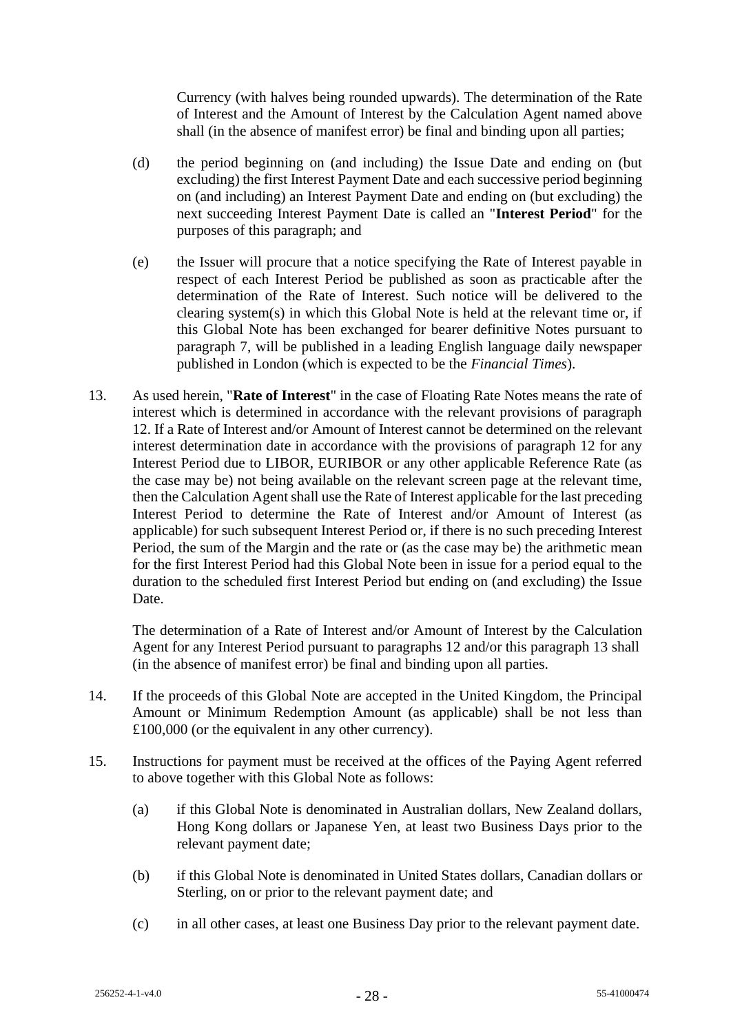Currency (with halves being rounded upwards). The determination of the Rate of Interest and the Amount of Interest by the Calculation Agent named above shall (in the absence of manifest error) be final and binding upon all parties;

- (d) the period beginning on (and including) the Issue Date and ending on (but excluding) the first Interest Payment Date and each successive period beginning on (and including) an Interest Payment Date and ending on (but excluding) the next succeeding Interest Payment Date is called an "**Interest Period**" for the purposes of this paragraph; and
- (e) the Issuer will procure that a notice specifying the Rate of Interest payable in respect of each Interest Period be published as soon as practicable after the determination of the Rate of Interest. Such notice will be delivered to the clearing system(s) in which this Global Note is held at the relevant time or, if this Global Note has been exchanged for bearer definitive Notes pursuant to paragraph 7, will be published in a leading English language daily newspaper published in London (which is expected to be the *Financial Times*).
- 13. As used herein, "**Rate of Interest**" in the case of Floating Rate Notes means the rate of interest which is determined in accordance with the relevant provisions of paragraph 12. If a Rate of Interest and/or Amount of Interest cannot be determined on the relevant interest determination date in accordance with the provisions of paragraph 12 for any Interest Period due to LIBOR, EURIBOR or any other applicable Reference Rate (as the case may be) not being available on the relevant screen page at the relevant time, then the Calculation Agent shall use the Rate of Interest applicable for the last preceding Interest Period to determine the Rate of Interest and/or Amount of Interest (as applicable) for such subsequent Interest Period or, if there is no such preceding Interest Period, the sum of the Margin and the rate or (as the case may be) the arithmetic mean for the first Interest Period had this Global Note been in issue for a period equal to the duration to the scheduled first Interest Period but ending on (and excluding) the Issue Date.

The determination of a Rate of Interest and/or Amount of Interest by the Calculation Agent for any Interest Period pursuant to paragraphs 12 and/or this paragraph 13 shall (in the absence of manifest error) be final and binding upon all parties.

- 14. If the proceeds of this Global Note are accepted in the United Kingdom, the Principal Amount or Minimum Redemption Amount (as applicable) shall be not less than £100,000 (or the equivalent in any other currency).
- 15. Instructions for payment must be received at the offices of the Paying Agent referred to above together with this Global Note as follows:
	- (a) if this Global Note is denominated in Australian dollars, New Zealand dollars, Hong Kong dollars or Japanese Yen, at least two Business Days prior to the relevant payment date;
	- (b) if this Global Note is denominated in United States dollars, Canadian dollars or Sterling, on or prior to the relevant payment date; and
	- (c) in all other cases, at least one Business Day prior to the relevant payment date.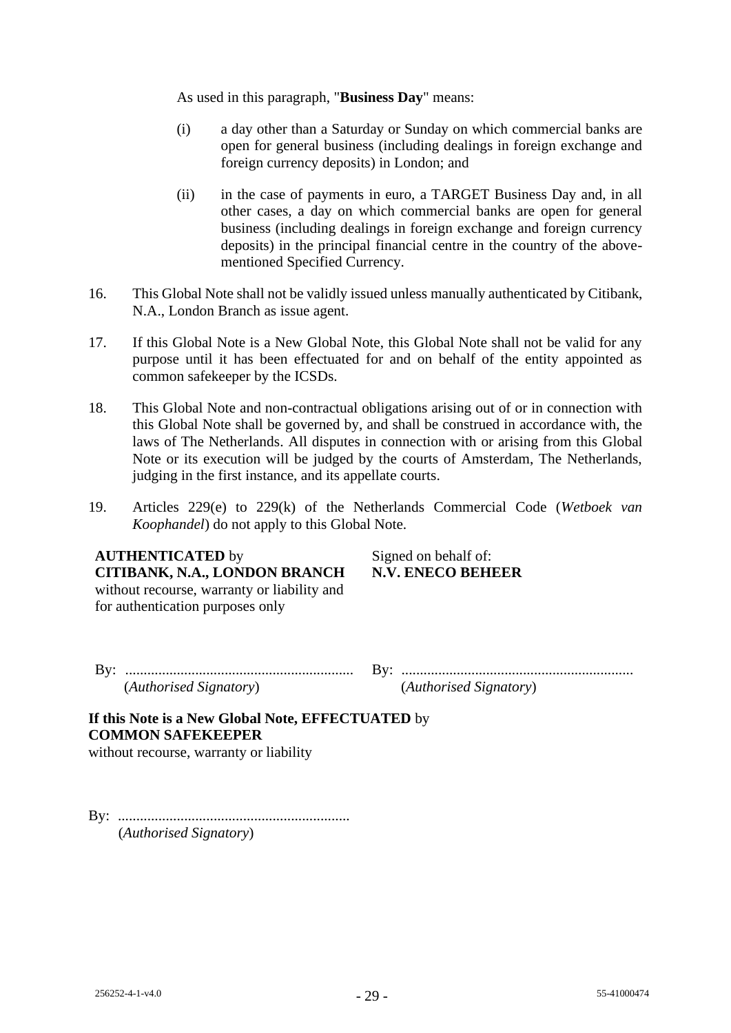As used in this paragraph, "**Business Day**" means:

- (i) a day other than a Saturday or Sunday on which commercial banks are open for general business (including dealings in foreign exchange and foreign currency deposits) in London; and
- (ii) in the case of payments in euro, a TARGET Business Day and, in all other cases, a day on which commercial banks are open for general business (including dealings in foreign exchange and foreign currency deposits) in the principal financial centre in the country of the abovementioned Specified Currency.
- 16. This Global Note shall not be validly issued unless manually authenticated by Citibank, N.A., London Branch as issue agent.
- 17. If this Global Note is a New Global Note, this Global Note shall not be valid for any purpose until it has been effectuated for and on behalf of the entity appointed as common safekeeper by the ICSDs.
- 18. This Global Note and non-contractual obligations arising out of or in connection with this Global Note shall be governed by, and shall be construed in accordance with, the laws of The Netherlands. All disputes in connection with or arising from this Global Note or its execution will be judged by the courts of Amsterdam, The Netherlands, judging in the first instance, and its appellate courts.
- 19. Articles 229(e) to 229(k) of the Netherlands Commercial Code (*Wetboek van Koophandel*) do not apply to this Global Note.

# **AUTHENTICATED** by Signed on behalf of: **CITIBANK, N.A., LONDON BRANCH** without recourse, warranty or liability and for authentication purposes only

**N.V. ENECO BEHEER**

By: .............................................................. By: ............................................................... (*Authorised Signatory*) (*Authorised Signatory*)

**If this Note is a New Global Note, EFFECTUATED** by **COMMON SAFEKEEPER**

without recourse, warranty or liability

By: ............................................................... (*Authorised Signatory*)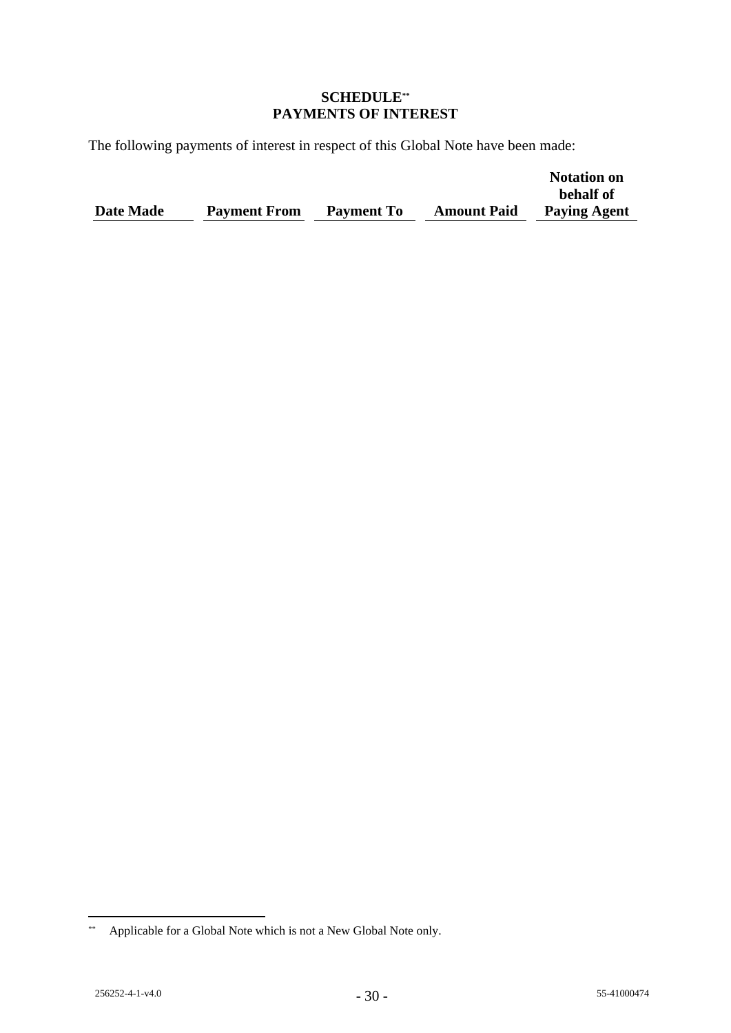## **SCHEDULE\*\* PAYMENTS OF INTEREST**

The following payments of interest in respect of this Global Note have been made:

|           |                     |                   |                    | <b>Notation on</b>  |
|-----------|---------------------|-------------------|--------------------|---------------------|
|           |                     |                   |                    | behalf of           |
| Date Made | <b>Payment From</b> | <b>Payment To</b> | <b>Amount Paid</b> | <b>Paying Agent</b> |

<sup>\*\*</sup> Applicable for a Global Note which is not a New Global Note only.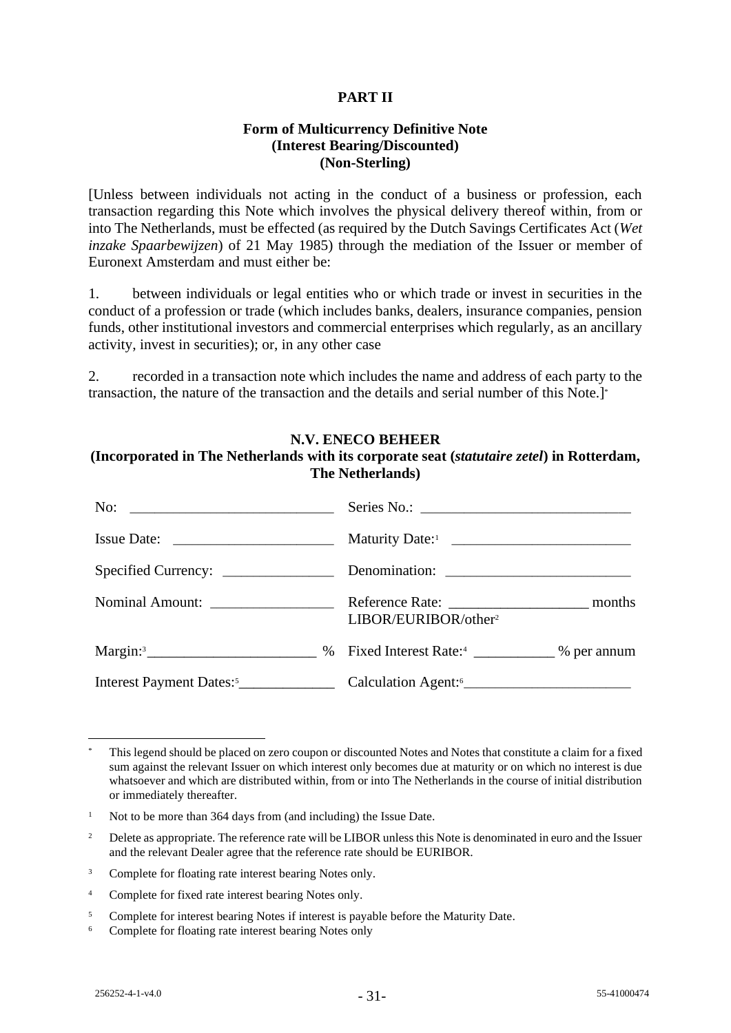# **PART II**

# **Form of Multicurrency Definitive Note (Interest Bearing/Discounted) (Non-Sterling)**

[Unless between individuals not acting in the conduct of a business or profession, each transaction regarding this Note which involves the physical delivery thereof within, from or into The Netherlands, must be effected (as required by the Dutch Savings Certificates Act (*Wet inzake Spaarbewijzen*) of 21 May 1985) through the mediation of the Issuer or member of Euronext Amsterdam and must either be:

1. between individuals or legal entities who or which trade or invest in securities in the conduct of a profession or trade (which includes banks, dealers, insurance companies, pension funds, other institutional investors and commercial enterprises which regularly, as an ancillary activity, invest in securities); or, in any other case

2. recorded in a transaction note which includes the name and address of each party to the transaction, the nature of the transaction and the details and serial number of this Note.]\*

#### **N.V. ENECO BEHEER (Incorporated in The Netherlands with its corporate seat (***statutaire zetel***) in Rotterdam, The Netherlands)**

| Issue Date:                                                                                                   |  |                                  |  |  |
|---------------------------------------------------------------------------------------------------------------|--|----------------------------------|--|--|
|                                                                                                               |  |                                  |  |  |
|                                                                                                               |  | LIBOR/EURIBOR/other <sup>2</sup> |  |  |
| Margin: <sup>3</sup> __________________________ % Fixed Interest Rate: <sup>4</sup> _____________ % per annum |  |                                  |  |  |
|                                                                                                               |  |                                  |  |  |

This legend should be placed on zero coupon or discounted Notes and Notes that constitute a claim for a fixed sum against the relevant Issuer on which interest only becomes due at maturity or on which no interest is due whatsoever and which are distributed within, from or into The Netherlands in the course of initial distribution or immediately thereafter.

<sup>&</sup>lt;sup>1</sup> Not to be more than 364 days from (and including) the Issue Date.

<sup>&</sup>lt;sup>2</sup> Delete as appropriate. The reference rate will be LIBOR unless this Note is denominated in euro and the Issuer and the relevant Dealer agree that the reference rate should be EURIBOR.

<sup>&</sup>lt;sup>3</sup> Complete for floating rate interest bearing Notes only.

<sup>4</sup> Complete for fixed rate interest bearing Notes only.

<sup>&</sup>lt;sup>5</sup> Complete for interest bearing Notes if interest is payable before the Maturity Date.

<sup>6</sup> Complete for floating rate interest bearing Notes only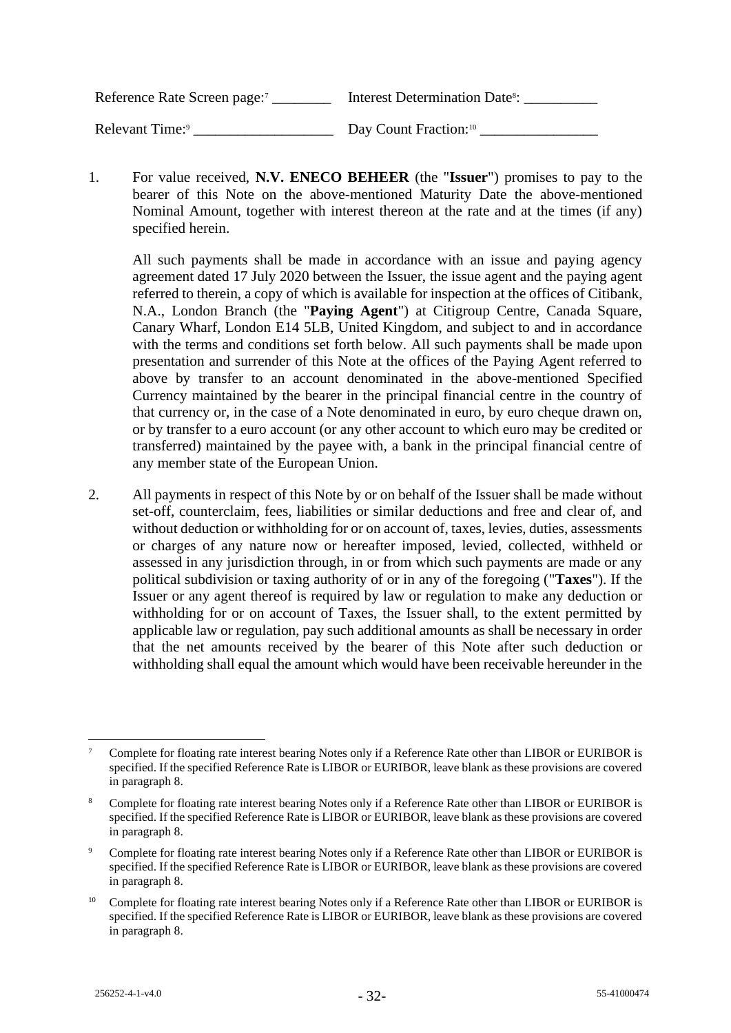Reference Rate Screen page:<sup>7</sup> \_\_\_\_\_\_\_\_\_\_\_ Interest Determination Date<sup>8</sup>: \_\_\_\_\_\_\_\_\_\_\_\_ Relevant Time:<sup>9</sup> Day Count Fraction:<sup>10</sup>

1. For value received, **N.V. ENECO BEHEER** (the "**Issuer**") promises to pay to the bearer of this Note on the above-mentioned Maturity Date the above-mentioned Nominal Amount, together with interest thereon at the rate and at the times (if any) specified herein.

All such payments shall be made in accordance with an issue and paying agency agreement dated 17 July 2020 between the Issuer, the issue agent and the paying agent referred to therein, a copy of which is available for inspection at the offices of Citibank, N.A., London Branch (the "**Paying Agent**") at Citigroup Centre, Canada Square, Canary Wharf, London E14 5LB, United Kingdom, and subject to and in accordance with the terms and conditions set forth below. All such payments shall be made upon presentation and surrender of this Note at the offices of the Paying Agent referred to above by transfer to an account denominated in the above-mentioned Specified Currency maintained by the bearer in the principal financial centre in the country of that currency or, in the case of a Note denominated in euro, by euro cheque drawn on, or by transfer to a euro account (or any other account to which euro may be credited or transferred) maintained by the payee with, a bank in the principal financial centre of any member state of the European Union.

2. All payments in respect of this Note by or on behalf of the Issuer shall be made without set-off, counterclaim, fees, liabilities or similar deductions and free and clear of, and without deduction or withholding for or on account of, taxes, levies, duties, assessments or charges of any nature now or hereafter imposed, levied, collected, withheld or assessed in any jurisdiction through, in or from which such payments are made or any political subdivision or taxing authority of or in any of the foregoing ("**Taxes**"). If the Issuer or any agent thereof is required by law or regulation to make any deduction or withholding for or on account of Taxes, the Issuer shall, to the extent permitted by applicable law or regulation, pay such additional amounts as shall be necessary in order that the net amounts received by the bearer of this Note after such deduction or withholding shall equal the amount which would have been receivable hereunder in the

<sup>7</sup> Complete for floating rate interest bearing Notes only if a Reference Rate other than LIBOR or EURIBOR is specified. If the specified Reference Rate is LIBOR or EURIBOR, leave blank as these provisions are covered in paragraph 8.

<sup>&</sup>lt;sup>8</sup> Complete for floating rate interest bearing Notes only if a Reference Rate other than LIBOR or EURIBOR is specified. If the specified Reference Rate is LIBOR or EURIBOR, leave blank as these provisions are covered in paragraph 8.

<sup>9</sup> Complete for floating rate interest bearing Notes only if a Reference Rate other than LIBOR or EURIBOR is specified. If the specified Reference Rate is LIBOR or EURIBOR, leave blank as these provisions are covered in paragraph 8.

<sup>&</sup>lt;sup>10</sup> Complete for floating rate interest bearing Notes only if a Reference Rate other than LIBOR or EURIBOR is specified. If the specified Reference Rate is LIBOR or EURIBOR, leave blank as these provisions are covered in paragraph 8.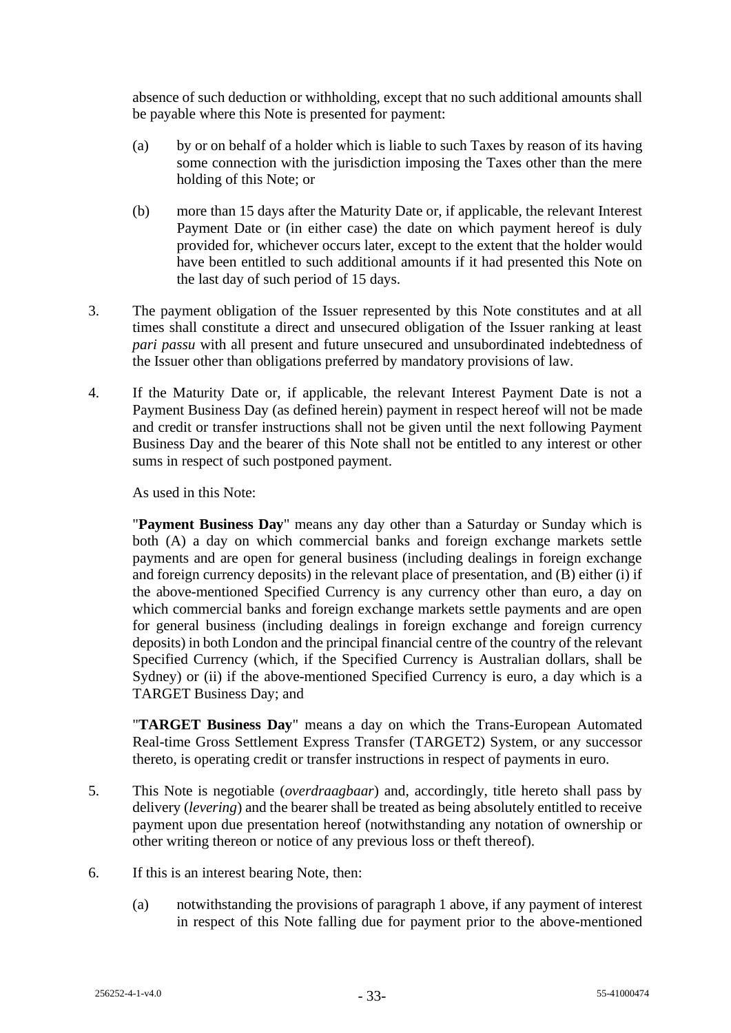absence of such deduction or withholding, except that no such additional amounts shall be payable where this Note is presented for payment:

- (a) by or on behalf of a holder which is liable to such Taxes by reason of its having some connection with the jurisdiction imposing the Taxes other than the mere holding of this Note; or
- (b) more than 15 days after the Maturity Date or, if applicable, the relevant Interest Payment Date or (in either case) the date on which payment hereof is duly provided for, whichever occurs later, except to the extent that the holder would have been entitled to such additional amounts if it had presented this Note on the last day of such period of 15 days.
- 3. The payment obligation of the Issuer represented by this Note constitutes and at all times shall constitute a direct and unsecured obligation of the Issuer ranking at least *pari passu* with all present and future unsecured and unsubordinated indebtedness of the Issuer other than obligations preferred by mandatory provisions of law.
- 4. If the Maturity Date or, if applicable, the relevant Interest Payment Date is not a Payment Business Day (as defined herein) payment in respect hereof will not be made and credit or transfer instructions shall not be given until the next following Payment Business Day and the bearer of this Note shall not be entitled to any interest or other sums in respect of such postponed payment.

As used in this Note:

"**Payment Business Day**" means any day other than a Saturday or Sunday which is both (A) a day on which commercial banks and foreign exchange markets settle payments and are open for general business (including dealings in foreign exchange and foreign currency deposits) in the relevant place of presentation, and (B) either (i) if the above-mentioned Specified Currency is any currency other than euro, a day on which commercial banks and foreign exchange markets settle payments and are open for general business (including dealings in foreign exchange and foreign currency deposits) in both London and the principal financial centre of the country of the relevant Specified Currency (which, if the Specified Currency is Australian dollars, shall be Sydney) or (ii) if the above-mentioned Specified Currency is euro, a day which is a TARGET Business Day; and

"**TARGET Business Day**" means a day on which the Trans-European Automated Real-time Gross Settlement Express Transfer (TARGET2) System, or any successor thereto, is operating credit or transfer instructions in respect of payments in euro.

- 5. This Note is negotiable (*overdraagbaar*) and, accordingly, title hereto shall pass by delivery (*levering*) and the bearer shall be treated as being absolutely entitled to receive payment upon due presentation hereof (notwithstanding any notation of ownership or other writing thereon or notice of any previous loss or theft thereof).
- 6. If this is an interest bearing Note, then:
	- (a) notwithstanding the provisions of paragraph 1 above, if any payment of interest in respect of this Note falling due for payment prior to the above-mentioned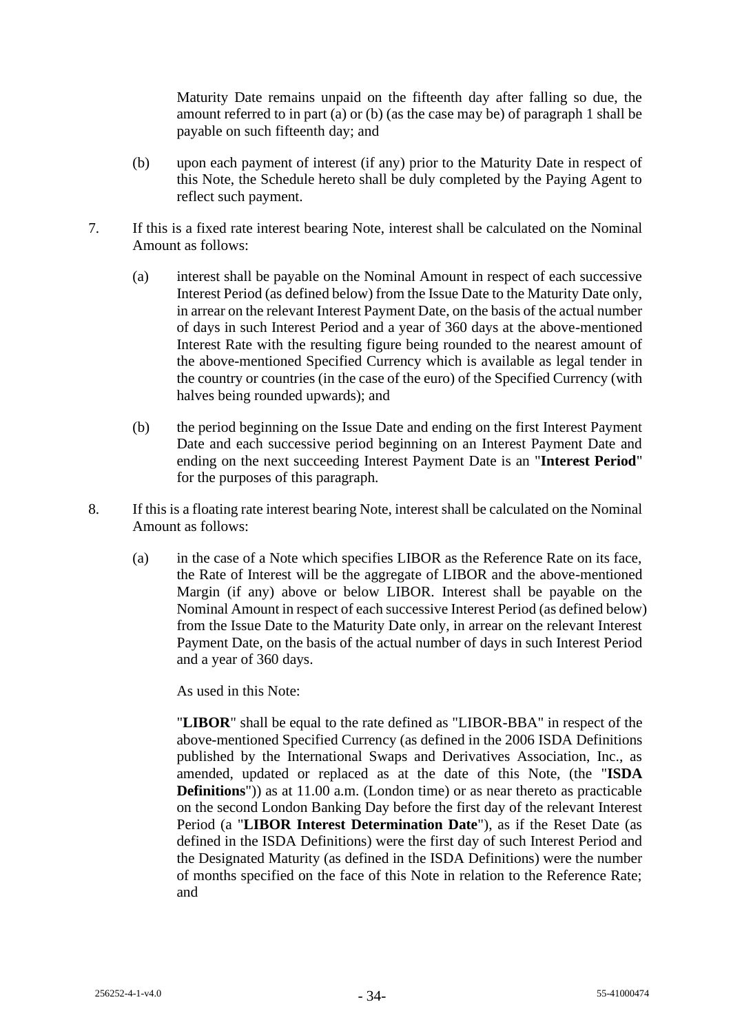Maturity Date remains unpaid on the fifteenth day after falling so due, the amount referred to in part (a) or (b) (as the case may be) of paragraph 1 shall be payable on such fifteenth day; and

- (b) upon each payment of interest (if any) prior to the Maturity Date in respect of this Note, the Schedule hereto shall be duly completed by the Paying Agent to reflect such payment.
- 7. If this is a fixed rate interest bearing Note, interest shall be calculated on the Nominal Amount as follows:
	- (a) interest shall be payable on the Nominal Amount in respect of each successive Interest Period (as defined below) from the Issue Date to the Maturity Date only, in arrear on the relevant Interest Payment Date, on the basis of the actual number of days in such Interest Period and a year of 360 days at the above-mentioned Interest Rate with the resulting figure being rounded to the nearest amount of the above-mentioned Specified Currency which is available as legal tender in the country or countries (in the case of the euro) of the Specified Currency (with halves being rounded upwards); and
	- (b) the period beginning on the Issue Date and ending on the first Interest Payment Date and each successive period beginning on an Interest Payment Date and ending on the next succeeding Interest Payment Date is an "**Interest Period**" for the purposes of this paragraph.
- 8. If this is a floating rate interest bearing Note, interest shall be calculated on the Nominal Amount as follows:
	- (a) in the case of a Note which specifies LIBOR as the Reference Rate on its face, the Rate of Interest will be the aggregate of LIBOR and the above-mentioned Margin (if any) above or below LIBOR. Interest shall be payable on the Nominal Amount in respect of each successive Interest Period (as defined below) from the Issue Date to the Maturity Date only, in arrear on the relevant Interest Payment Date, on the basis of the actual number of days in such Interest Period and a year of 360 days.

As used in this Note:

"**LIBOR**" shall be equal to the rate defined as "LIBOR-BBA" in respect of the above-mentioned Specified Currency (as defined in the 2006 ISDA Definitions published by the International Swaps and Derivatives Association, Inc., as amended, updated or replaced as at the date of this Note, (the "**ISDA Definitions**")) as at 11.00 a.m. (London time) or as near thereto as practicable on the second London Banking Day before the first day of the relevant Interest Period (a "**LIBOR Interest Determination Date**"), as if the Reset Date (as defined in the ISDA Definitions) were the first day of such Interest Period and the Designated Maturity (as defined in the ISDA Definitions) were the number of months specified on the face of this Note in relation to the Reference Rate; and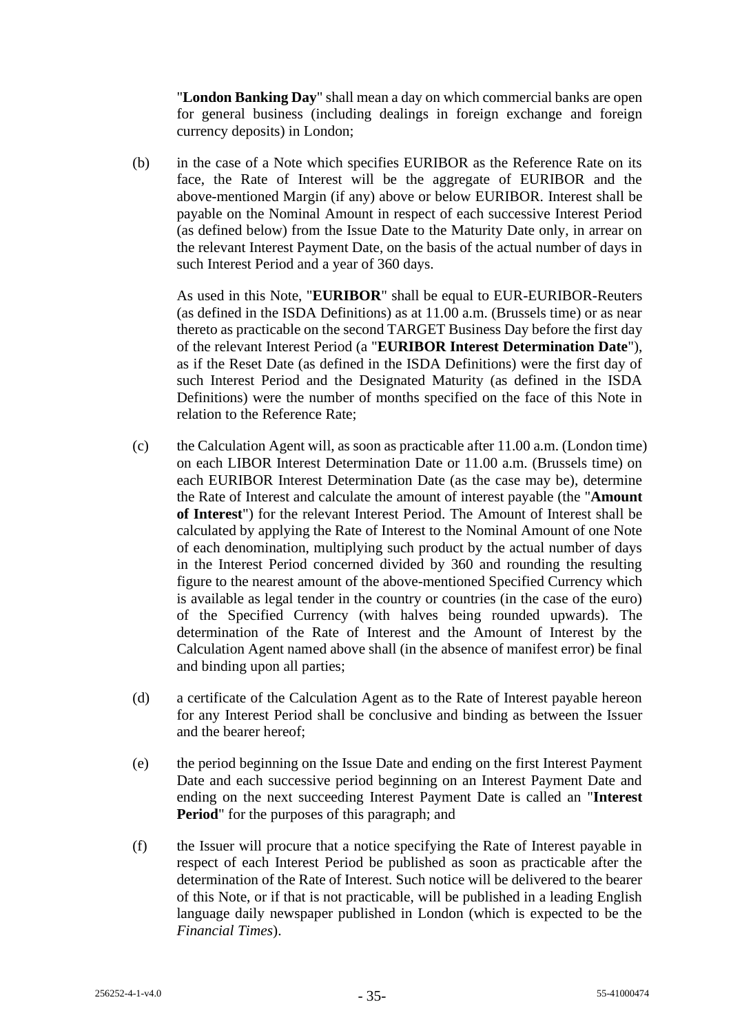"**London Banking Day**" shall mean a day on which commercial banks are open for general business (including dealings in foreign exchange and foreign currency deposits) in London;

(b) in the case of a Note which specifies EURIBOR as the Reference Rate on its face, the Rate of Interest will be the aggregate of EURIBOR and the above-mentioned Margin (if any) above or below EURIBOR. Interest shall be payable on the Nominal Amount in respect of each successive Interest Period (as defined below) from the Issue Date to the Maturity Date only, in arrear on the relevant Interest Payment Date, on the basis of the actual number of days in such Interest Period and a year of 360 days.

As used in this Note, "**EURIBOR**" shall be equal to EUR-EURIBOR-Reuters (as defined in the ISDA Definitions) as at 11.00 a.m. (Brussels time) or as near thereto as practicable on the second TARGET Business Day before the first day of the relevant Interest Period (a "**EURIBOR Interest Determination Date**"), as if the Reset Date (as defined in the ISDA Definitions) were the first day of such Interest Period and the Designated Maturity (as defined in the ISDA Definitions) were the number of months specified on the face of this Note in relation to the Reference Rate;

- (c) the Calculation Agent will, as soon as practicable after 11.00 a.m. (London time) on each LIBOR Interest Determination Date or 11.00 a.m. (Brussels time) on each EURIBOR Interest Determination Date (as the case may be), determine the Rate of Interest and calculate the amount of interest payable (the "**Amount of Interest**") for the relevant Interest Period. The Amount of Interest shall be calculated by applying the Rate of Interest to the Nominal Amount of one Note of each denomination, multiplying such product by the actual number of days in the Interest Period concerned divided by 360 and rounding the resulting figure to the nearest amount of the above-mentioned Specified Currency which is available as legal tender in the country or countries (in the case of the euro) of the Specified Currency (with halves being rounded upwards). The determination of the Rate of Interest and the Amount of Interest by the Calculation Agent named above shall (in the absence of manifest error) be final and binding upon all parties;
- (d) a certificate of the Calculation Agent as to the Rate of Interest payable hereon for any Interest Period shall be conclusive and binding as between the Issuer and the bearer hereof;
- (e) the period beginning on the Issue Date and ending on the first Interest Payment Date and each successive period beginning on an Interest Payment Date and ending on the next succeeding Interest Payment Date is called an "**Interest Period**" for the purposes of this paragraph; and
- (f) the Issuer will procure that a notice specifying the Rate of Interest payable in respect of each Interest Period be published as soon as practicable after the determination of the Rate of Interest. Such notice will be delivered to the bearer of this Note, or if that is not practicable, will be published in a leading English language daily newspaper published in London (which is expected to be the *Financial Times*).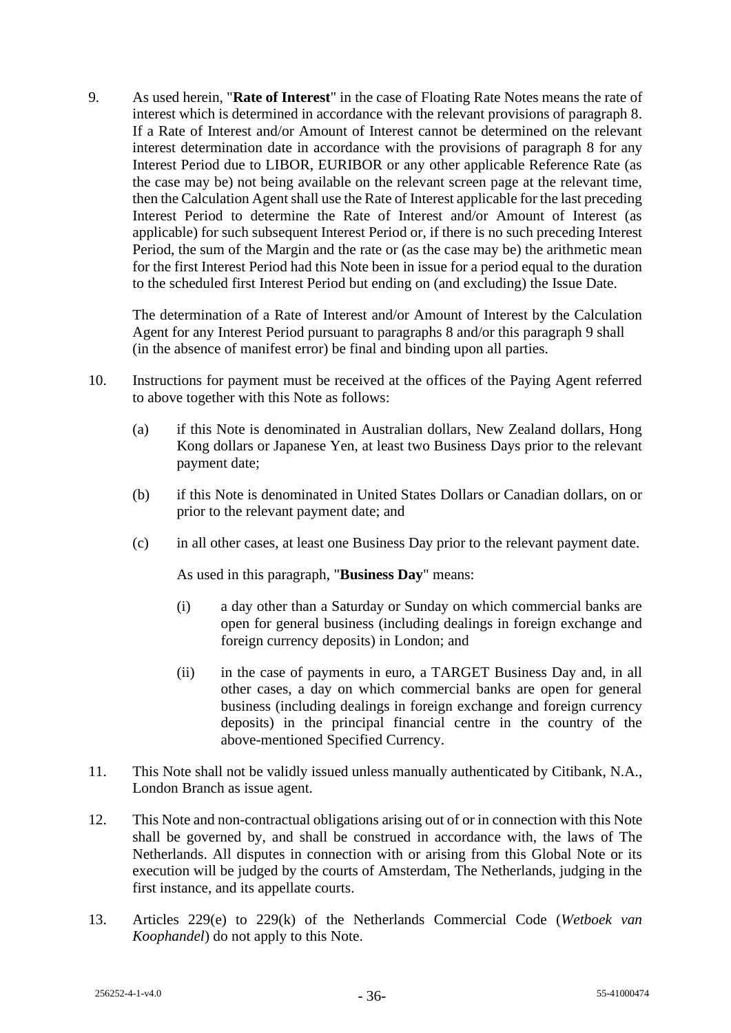9. As used herein, "**Rate of Interest**" in the case of Floating Rate Notes means the rate of interest which is determined in accordance with the relevant provisions of paragraph 8. If a Rate of Interest and/or Amount of Interest cannot be determined on the relevant interest determination date in accordance with the provisions of paragraph 8 for any Interest Period due to LIBOR, EURIBOR or any other applicable Reference Rate (as the case may be) not being available on the relevant screen page at the relevant time, then the Calculation Agent shall use the Rate of Interest applicable for the last preceding Interest Period to determine the Rate of Interest and/or Amount of Interest (as applicable) for such subsequent Interest Period or, if there is no such preceding Interest Period, the sum of the Margin and the rate or (as the case may be) the arithmetic mean for the first Interest Period had this Note been in issue for a period equal to the duration to the scheduled first Interest Period but ending on (and excluding) the Issue Date.

The determination of a Rate of Interest and/or Amount of Interest by the Calculation Agent for any Interest Period pursuant to paragraphs 8 and/or this paragraph 9 shall (in the absence of manifest error) be final and binding upon all parties.

- 10. Instructions for payment must be received at the offices of the Paying Agent referred to above together with this Note as follows:
	- (a) if this Note is denominated in Australian dollars, New Zealand dollars, Hong Kong dollars or Japanese Yen, at least two Business Days prior to the relevant payment date;
	- (b) if this Note is denominated in United States Dollars or Canadian dollars, on or prior to the relevant payment date; and
	- (c) in all other cases, at least one Business Day prior to the relevant payment date.

As used in this paragraph, "**Business Day**" means:

- (i) a day other than a Saturday or Sunday on which commercial banks are open for general business (including dealings in foreign exchange and foreign currency deposits) in London; and
- (ii) in the case of payments in euro, a TARGET Business Day and, in all other cases, a day on which commercial banks are open for general business (including dealings in foreign exchange and foreign currency deposits) in the principal financial centre in the country of the above-mentioned Specified Currency.
- 11. This Note shall not be validly issued unless manually authenticated by Citibank, N.A., London Branch as issue agent.
- 12. This Note and non-contractual obligations arising out of or in connection with this Note shall be governed by, and shall be construed in accordance with, the laws of The Netherlands. All disputes in connection with or arising from this Global Note or its execution will be judged by the courts of Amsterdam, The Netherlands, judging in the first instance, and its appellate courts.
- 13. Articles 229(e) to 229(k) of the Netherlands Commercial Code (*Wetboek van Koophandel*) do not apply to this Note.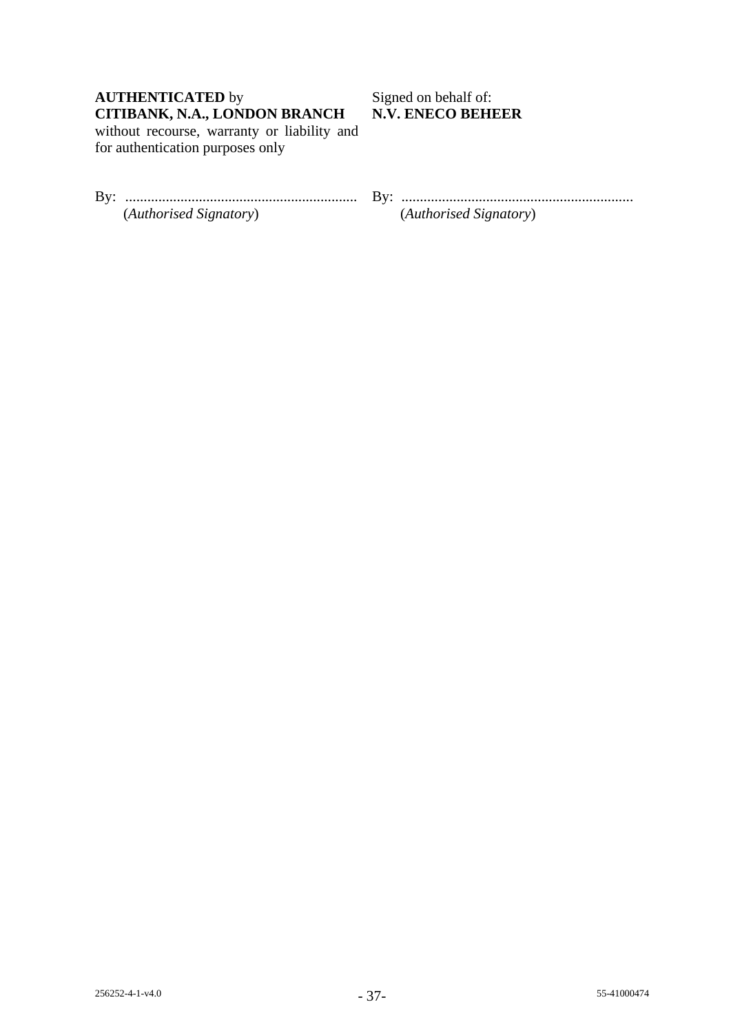# **AUTHENTICATED** by Signed on behalf of: **CITIBANK, N.A., LONDON BRANCH N.V. ENECO BEHEER**

without recourse, warranty or liability and for authentication purposes only

| Bv: |                        |
|-----|------------------------|
|     | (Authorised Signatory) |

By: ............................................................... By: ............................................................... (*Authorised Signatory*) (*Authorised Signatory*)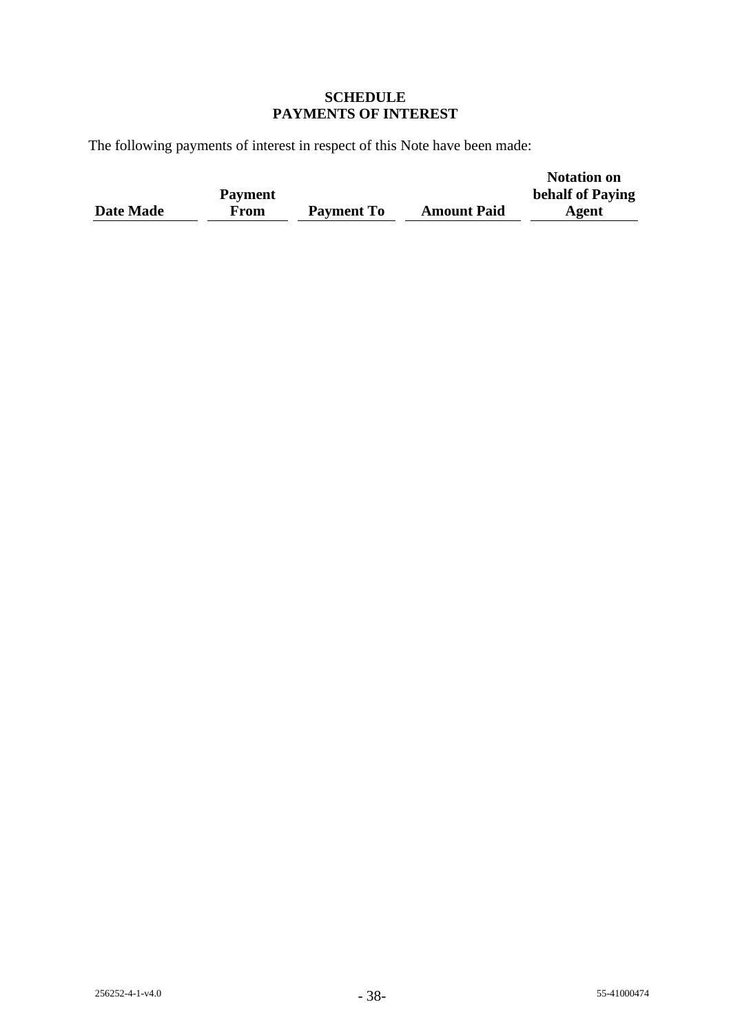# **SCHEDULE PAYMENTS OF INTEREST**

The following payments of interest in respect of this Note have been made:

|           |                |                   |                    | <b>Notation on</b> |
|-----------|----------------|-------------------|--------------------|--------------------|
|           | <b>Payment</b> |                   |                    | behalf of Paying   |
| Date Made | From           | <b>Payment To</b> | <b>Amount Paid</b> | Agent              |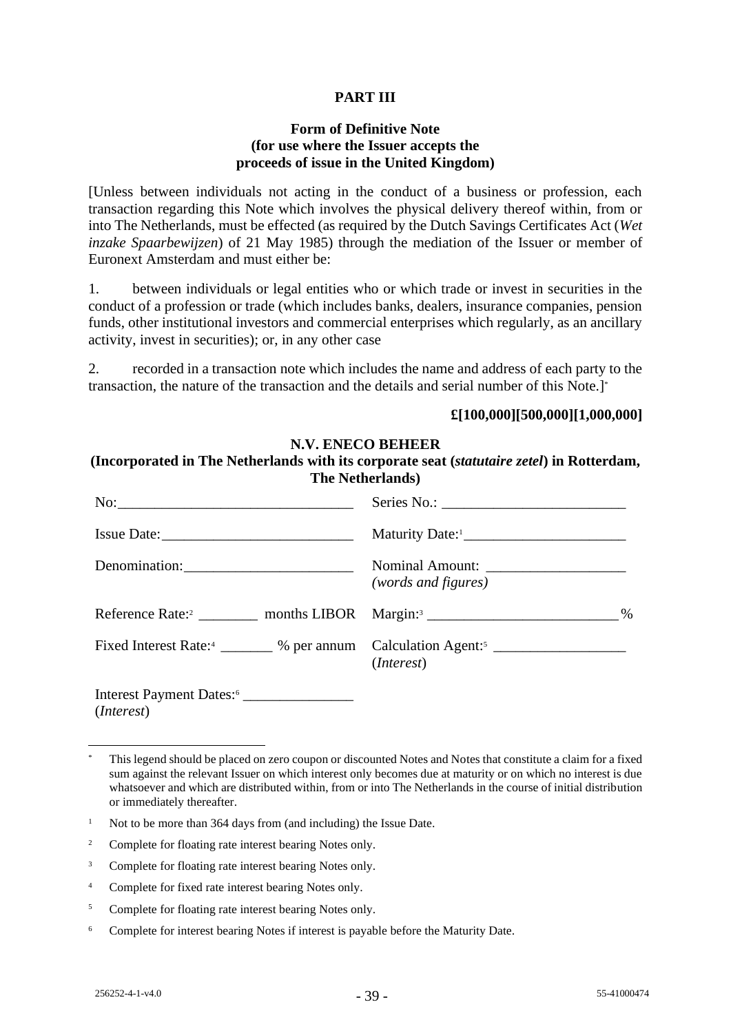# **PART III**

# **Form of Definitive Note (for use where the Issuer accepts the proceeds of issue in the United Kingdom)**

[Unless between individuals not acting in the conduct of a business or profession, each transaction regarding this Note which involves the physical delivery thereof within, from or into The Netherlands, must be effected (as required by the Dutch Savings Certificates Act (*Wet inzake Spaarbewijzen*) of 21 May 1985) through the mediation of the Issuer or member of Euronext Amsterdam and must either be:

1. between individuals or legal entities who or which trade or invest in securities in the conduct of a profession or trade (which includes banks, dealers, insurance companies, pension funds, other institutional investors and commercial enterprises which regularly, as an ancillary activity, invest in securities); or, in any other case

2. recorded in a transaction note which includes the name and address of each party to the transaction, the nature of the transaction and the details and serial number of this Note.]\*

# **£[100,000][500,000][1,000,000]**

## **N.V. ENECO BEHEER**

# **(Incorporated in The Netherlands with its corporate seat (***statutaire zetel***) in Rotterdam, The Netherlands)**

| Issue Date:                                                 |                     |  |  |
|-------------------------------------------------------------|---------------------|--|--|
| Denomination:                                               | (words and figures) |  |  |
|                                                             | %                   |  |  |
|                                                             | ( <i>Interest</i> ) |  |  |
| Interest Payment Dates: <sup>6</sup><br>( <i>Interest</i> ) |                     |  |  |

<sup>\*</sup> This legend should be placed on zero coupon or discounted Notes and Notes that constitute a claim for a fixed sum against the relevant Issuer on which interest only becomes due at maturity or on which no interest is due whatsoever and which are distributed within, from or into The Netherlands in the course of initial distribution or immediately thereafter.

<sup>&</sup>lt;sup>1</sup> Not to be more than 364 days from (and including) the Issue Date.

<sup>&</sup>lt;sup>2</sup> Complete for floating rate interest bearing Notes only.

<sup>&</sup>lt;sup>3</sup> Complete for floating rate interest bearing Notes only.

<sup>4</sup> Complete for fixed rate interest bearing Notes only.

<sup>&</sup>lt;sup>5</sup> Complete for floating rate interest bearing Notes only.

<sup>&</sup>lt;sup>6</sup> Complete for interest bearing Notes if interest is payable before the Maturity Date.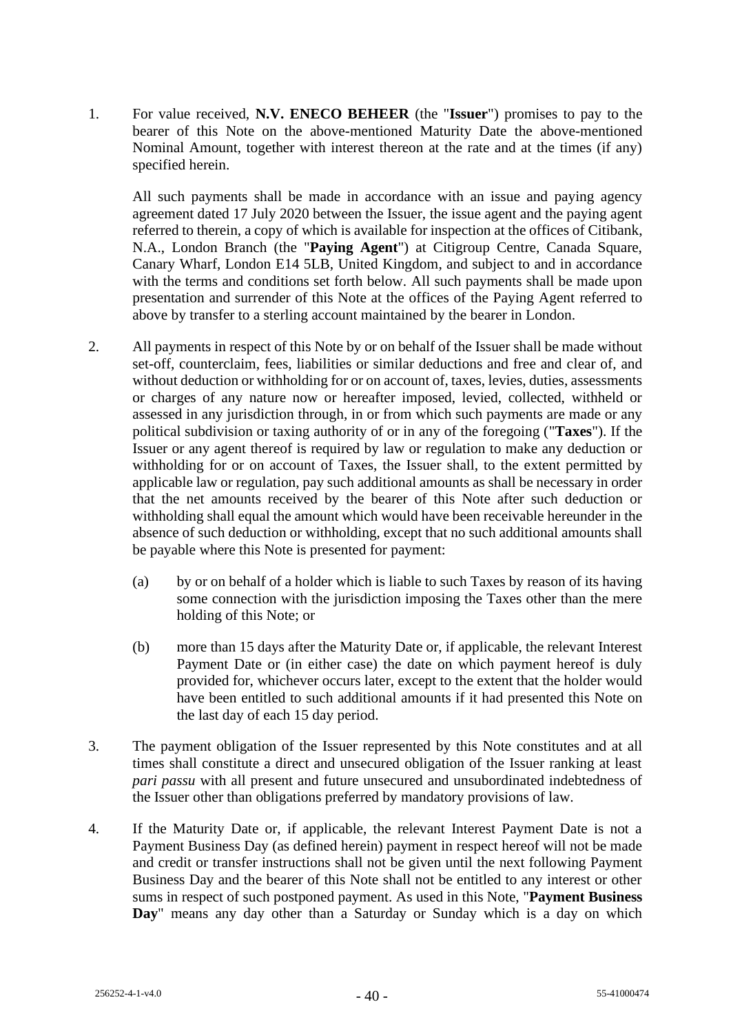1. For value received, **N.V. ENECO BEHEER** (the "**Issuer**") promises to pay to the bearer of this Note on the above-mentioned Maturity Date the above-mentioned Nominal Amount, together with interest thereon at the rate and at the times (if any) specified herein.

All such payments shall be made in accordance with an issue and paying agency agreement dated 17 July 2020 between the Issuer, the issue agent and the paying agent referred to therein, a copy of which is available for inspection at the offices of Citibank, N.A., London Branch (the "**Paying Agent**") at Citigroup Centre, Canada Square, Canary Wharf, London E14 5LB, United Kingdom, and subject to and in accordance with the terms and conditions set forth below. All such payments shall be made upon presentation and surrender of this Note at the offices of the Paying Agent referred to above by transfer to a sterling account maintained by the bearer in London.

- 2. All payments in respect of this Note by or on behalf of the Issuer shall be made without set-off, counterclaim, fees, liabilities or similar deductions and free and clear of, and without deduction or withholding for or on account of, taxes, levies, duties, assessments or charges of any nature now or hereafter imposed, levied, collected, withheld or assessed in any jurisdiction through, in or from which such payments are made or any political subdivision or taxing authority of or in any of the foregoing ("**Taxes**"). If the Issuer or any agent thereof is required by law or regulation to make any deduction or withholding for or on account of Taxes, the Issuer shall, to the extent permitted by applicable law or regulation, pay such additional amounts as shall be necessary in order that the net amounts received by the bearer of this Note after such deduction or withholding shall equal the amount which would have been receivable hereunder in the absence of such deduction or withholding, except that no such additional amounts shall be payable where this Note is presented for payment:
	- (a) by or on behalf of a holder which is liable to such Taxes by reason of its having some connection with the jurisdiction imposing the Taxes other than the mere holding of this Note; or
	- (b) more than 15 days after the Maturity Date or, if applicable, the relevant Interest Payment Date or (in either case) the date on which payment hereof is duly provided for, whichever occurs later, except to the extent that the holder would have been entitled to such additional amounts if it had presented this Note on the last day of each 15 day period.
- 3. The payment obligation of the Issuer represented by this Note constitutes and at all times shall constitute a direct and unsecured obligation of the Issuer ranking at least *pari passu* with all present and future unsecured and unsubordinated indebtedness of the Issuer other than obligations preferred by mandatory provisions of law.
- 4. If the Maturity Date or, if applicable, the relevant Interest Payment Date is not a Payment Business Day (as defined herein) payment in respect hereof will not be made and credit or transfer instructions shall not be given until the next following Payment Business Day and the bearer of this Note shall not be entitled to any interest or other sums in respect of such postponed payment. As used in this Note, "**Payment Business Day**" means any day other than a Saturday or Sunday which is a day on which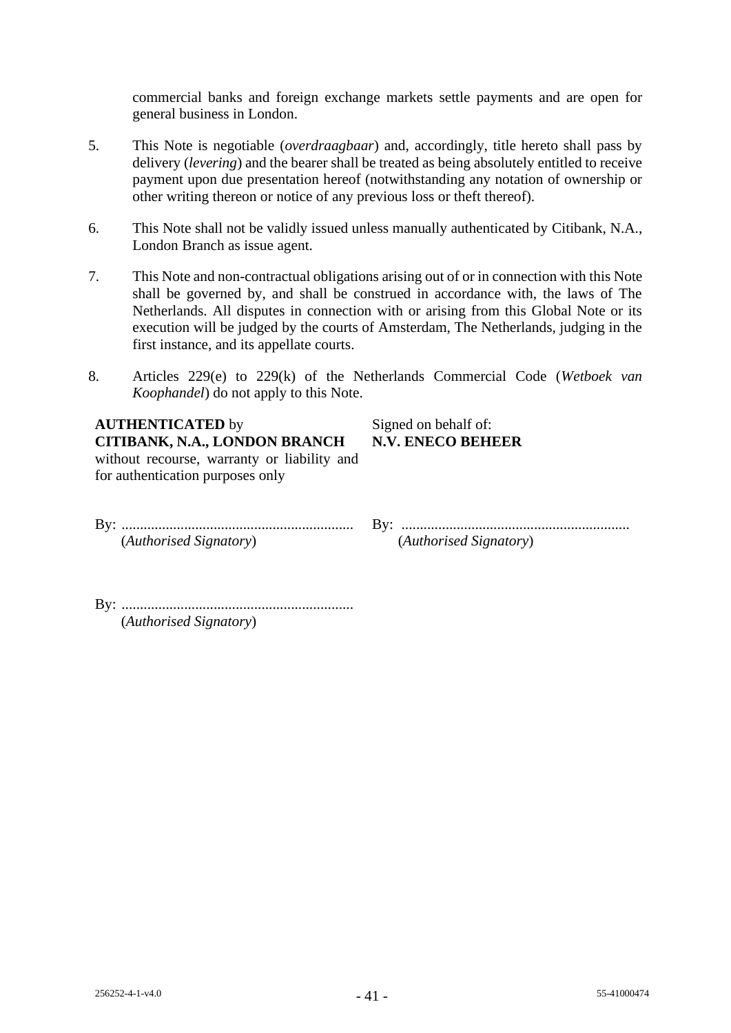commercial banks and foreign exchange markets settle payments and are open for general business in London.

- 5. This Note is negotiable (*overdraagbaar*) and, accordingly, title hereto shall pass by delivery (*levering*) and the bearer shall be treated as being absolutely entitled to receive payment upon due presentation hereof (notwithstanding any notation of ownership or other writing thereon or notice of any previous loss or theft thereof).
- 6. This Note shall not be validly issued unless manually authenticated by Citibank, N.A., London Branch as issue agent.
- 7. This Note and non-contractual obligations arising out of or in connection with this Note shall be governed by, and shall be construed in accordance with, the laws of The Netherlands. All disputes in connection with or arising from this Global Note or its execution will be judged by the courts of Amsterdam, The Netherlands, judging in the first instance, and its appellate courts.
- 8. Articles 229(e) to 229(k) of the Netherlands Commercial Code (*Wetboek van Koophandel*) do not apply to this Note.

# **AUTHENTICATED** by Signed on behalf of: **CITIBANK, N.A., LONDON BRANCH N.V. ENECO BEHEER** without recourse, warranty or liability and

for authentication purposes only

By: ............................................................... By: .............................................................. (*Authorised Signatory*) (*Authorised Signatory*)

By: ............................................................... (*Authorised Signatory*)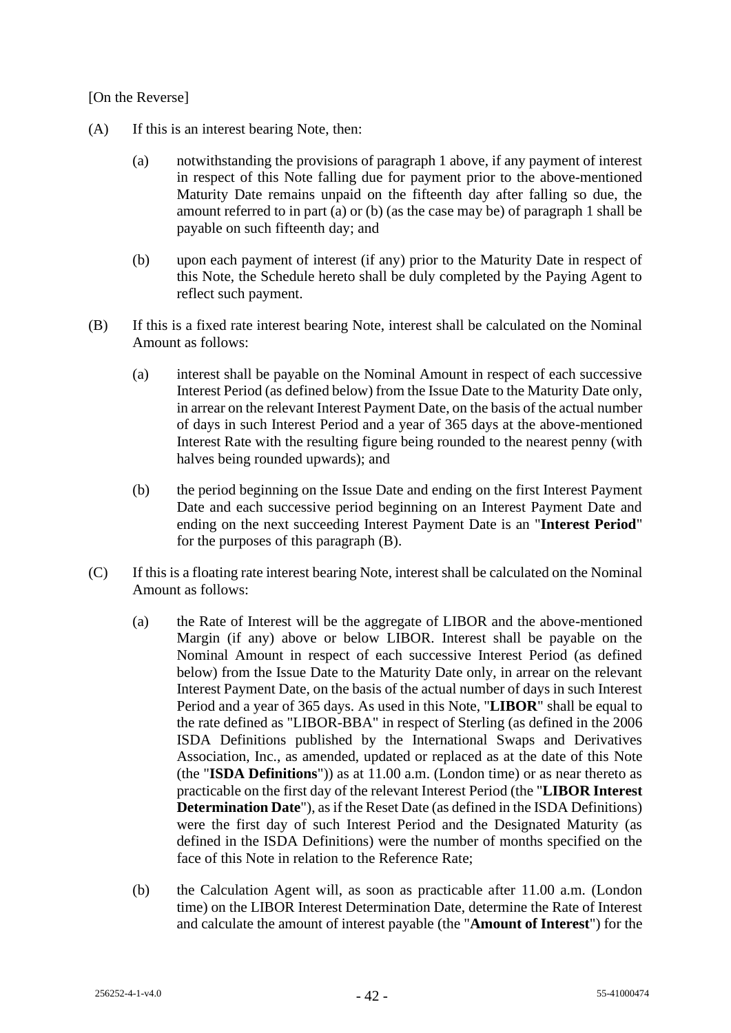# [On the Reverse]

- (A) If this is an interest bearing Note, then:
	- (a) notwithstanding the provisions of paragraph 1 above, if any payment of interest in respect of this Note falling due for payment prior to the above-mentioned Maturity Date remains unpaid on the fifteenth day after falling so due, the amount referred to in part (a) or (b) (as the case may be) of paragraph 1 shall be payable on such fifteenth day; and
	- (b) upon each payment of interest (if any) prior to the Maturity Date in respect of this Note, the Schedule hereto shall be duly completed by the Paying Agent to reflect such payment.
- (B) If this is a fixed rate interest bearing Note, interest shall be calculated on the Nominal Amount as follows:
	- (a) interest shall be payable on the Nominal Amount in respect of each successive Interest Period (as defined below) from the Issue Date to the Maturity Date only, in arrear on the relevant Interest Payment Date, on the basis of the actual number of days in such Interest Period and a year of 365 days at the above-mentioned Interest Rate with the resulting figure being rounded to the nearest penny (with halves being rounded upwards); and
	- (b) the period beginning on the Issue Date and ending on the first Interest Payment Date and each successive period beginning on an Interest Payment Date and ending on the next succeeding Interest Payment Date is an "**Interest Period**" for the purposes of this paragraph (B).
- (C) If this is a floating rate interest bearing Note, interest shall be calculated on the Nominal Amount as follows:
	- (a) the Rate of Interest will be the aggregate of LIBOR and the above-mentioned Margin (if any) above or below LIBOR. Interest shall be payable on the Nominal Amount in respect of each successive Interest Period (as defined below) from the Issue Date to the Maturity Date only, in arrear on the relevant Interest Payment Date, on the basis of the actual number of days in such Interest Period and a year of 365 days. As used in this Note, "**LIBOR**" shall be equal to the rate defined as "LIBOR-BBA" in respect of Sterling (as defined in the 2006 ISDA Definitions published by the International Swaps and Derivatives Association, Inc., as amended, updated or replaced as at the date of this Note (the "**ISDA Definitions**")) as at 11.00 a.m. (London time) or as near thereto as practicable on the first day of the relevant Interest Period (the "**LIBOR Interest Determination Date**"), as if the Reset Date (as defined in the ISDA Definitions) were the first day of such Interest Period and the Designated Maturity (as defined in the ISDA Definitions) were the number of months specified on the face of this Note in relation to the Reference Rate;
	- (b) the Calculation Agent will, as soon as practicable after 11.00 a.m. (London time) on the LIBOR Interest Determination Date, determine the Rate of Interest and calculate the amount of interest payable (the "**Amount of Interest**") for the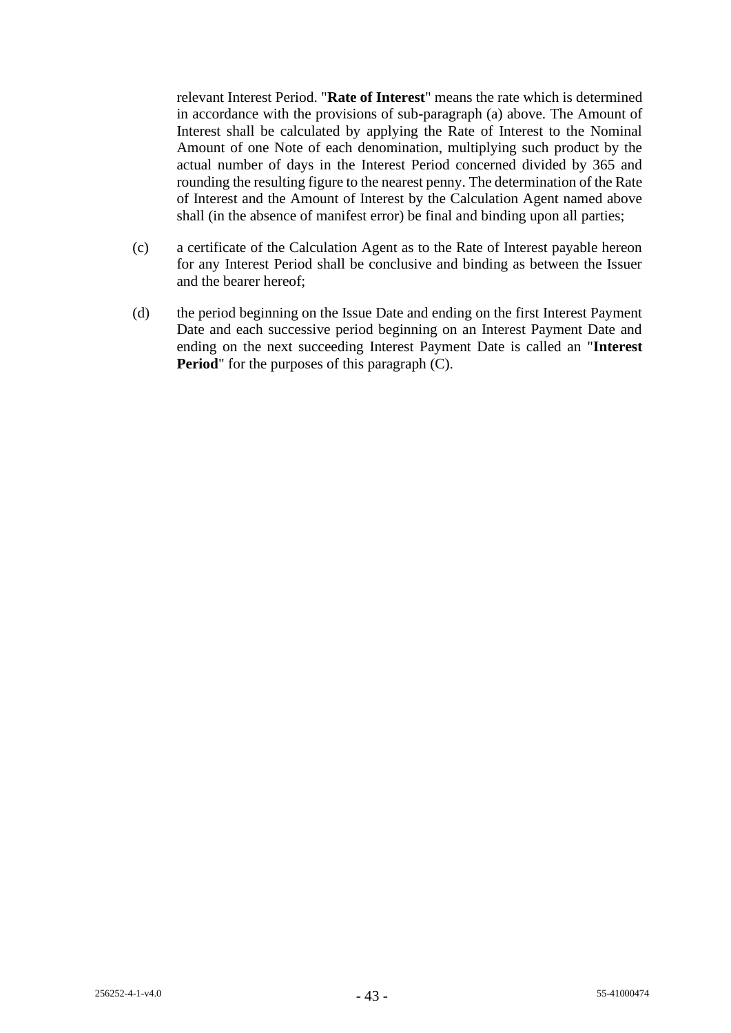relevant Interest Period. "**Rate of Interest**" means the rate which is determined in accordance with the provisions of sub-paragraph (a) above. The Amount of Interest shall be calculated by applying the Rate of Interest to the Nominal Amount of one Note of each denomination, multiplying such product by the actual number of days in the Interest Period concerned divided by 365 and rounding the resulting figure to the nearest penny. The determination of the Rate of Interest and the Amount of Interest by the Calculation Agent named above shall (in the absence of manifest error) be final and binding upon all parties;

- (c) a certificate of the Calculation Agent as to the Rate of Interest payable hereon for any Interest Period shall be conclusive and binding as between the Issuer and the bearer hereof;
- (d) the period beginning on the Issue Date and ending on the first Interest Payment Date and each successive period beginning on an Interest Payment Date and ending on the next succeeding Interest Payment Date is called an "**Interest Period**" for the purposes of this paragraph (C).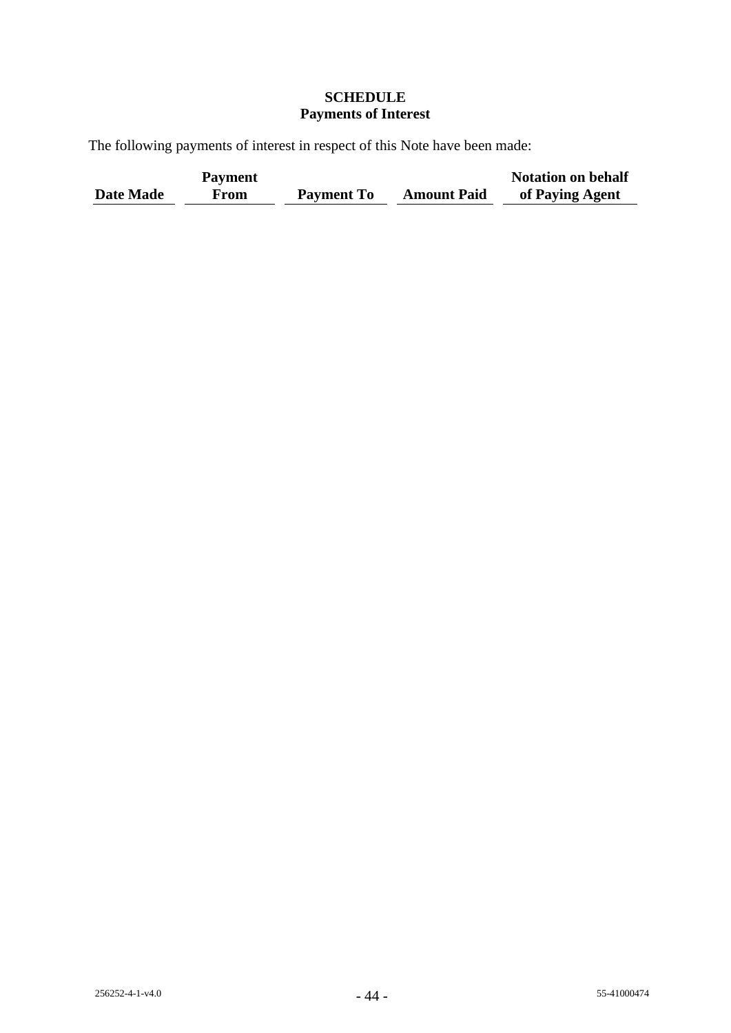# **SCHEDULE Payments of Interest**

The following payments of interest in respect of this Note have been made:

|           | <b>Payment</b> |                   |                    | <b>Notation on behalf</b> |
|-----------|----------------|-------------------|--------------------|---------------------------|
| Date Made | From           | <b>Payment To</b> | <b>Amount Paid</b> | of Paying Agent           |